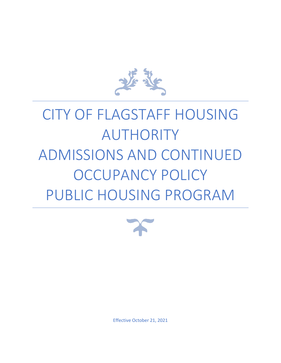

# CITY OF FLAGSTAFF HOUSING AUTHORITY ADMISSIONS AND CONTINUED OCCUPANCY POLICY PUBLIC HOUSING PROGRAM



Effective October 21, 2021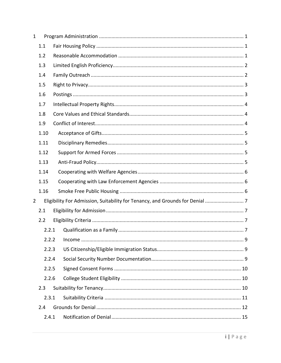| $\mathbf{1}$   |       |                                                                            |  |
|----------------|-------|----------------------------------------------------------------------------|--|
|                | 1.1   |                                                                            |  |
|                | 1.2   |                                                                            |  |
|                | 1.3   |                                                                            |  |
|                | 1.4   |                                                                            |  |
|                | 1.5   |                                                                            |  |
|                | 1.6   |                                                                            |  |
|                | 1.7   |                                                                            |  |
|                | 1.8   |                                                                            |  |
|                | 1.9   |                                                                            |  |
|                | 1.10  |                                                                            |  |
|                | 1.11  |                                                                            |  |
|                | 1.12  |                                                                            |  |
|                | 1.13  |                                                                            |  |
|                | 1.14  |                                                                            |  |
|                | 1.15  |                                                                            |  |
|                | 1.16  |                                                                            |  |
| $\overline{2}$ |       | Eligibility For Admission, Suitability for Tenancy, and Grounds for Denial |  |
|                | 2.1   |                                                                            |  |
|                | 2.2   |                                                                            |  |
|                | 2.2.1 |                                                                            |  |
|                |       |                                                                            |  |
|                | 2.2.3 |                                                                            |  |
|                | 2.2.4 |                                                                            |  |
|                | 2.2.5 |                                                                            |  |
|                | 2.2.6 |                                                                            |  |
|                | 2.3   |                                                                            |  |
|                | 2.3.1 |                                                                            |  |
|                | 2.4   |                                                                            |  |
|                | 2.4.1 |                                                                            |  |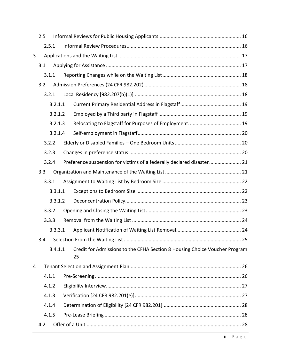|   | 2.5 |       |         |                                                                                  |  |
|---|-----|-------|---------|----------------------------------------------------------------------------------|--|
|   |     | 2.5.1 |         |                                                                                  |  |
| 3 |     |       |         |                                                                                  |  |
|   | 3.1 |       |         |                                                                                  |  |
|   |     | 3.1.1 |         |                                                                                  |  |
|   | 3.2 |       |         |                                                                                  |  |
|   |     | 3.2.1 |         |                                                                                  |  |
|   |     |       | 3.2.1.1 |                                                                                  |  |
|   |     |       | 3.2.1.2 |                                                                                  |  |
|   |     |       | 3.2.1.3 |                                                                                  |  |
|   |     |       | 3.2.1.4 |                                                                                  |  |
|   |     | 3.2.2 |         |                                                                                  |  |
|   |     | 3.2.3 |         |                                                                                  |  |
|   |     | 3.2.4 |         | Preference suspension for victims of a federally declared disaster 21            |  |
|   | 3.3 |       |         |                                                                                  |  |
|   |     | 3.3.1 |         |                                                                                  |  |
|   |     |       | 3.3.1.1 |                                                                                  |  |
|   |     |       | 3.3.1.2 |                                                                                  |  |
|   |     | 3.3.2 |         |                                                                                  |  |
|   |     | 3.3.3 |         |                                                                                  |  |
|   |     |       | 3.3.3.1 |                                                                                  |  |
|   | 3.4 |       |         |                                                                                  |  |
|   |     |       | 3.4.1.1 | Credit for Admissions to the CFHA Section 8 Housing Choice Voucher Program<br>25 |  |
| 4 |     |       |         |                                                                                  |  |
|   |     | 4.1.1 |         |                                                                                  |  |
|   |     | 4.1.2 |         |                                                                                  |  |
|   |     | 4.1.3 |         |                                                                                  |  |
|   |     | 4.1.4 |         |                                                                                  |  |
|   |     | 4.1.5 |         |                                                                                  |  |
|   | 4.2 |       |         |                                                                                  |  |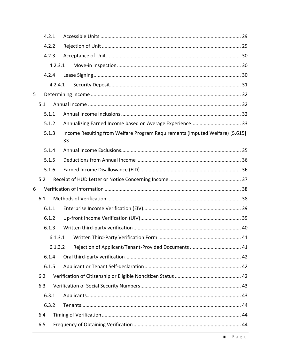|   |     | 4.2.1   |                                                                                    |  |
|---|-----|---------|------------------------------------------------------------------------------------|--|
|   |     | 4.2.2   |                                                                                    |  |
|   |     | 4.2.3   |                                                                                    |  |
|   |     | 4.2.3.1 |                                                                                    |  |
|   |     | 4.2.4   |                                                                                    |  |
|   |     | 4.2.4.1 |                                                                                    |  |
| 5 |     |         |                                                                                    |  |
|   | 5.1 |         |                                                                                    |  |
|   |     | 5.1.1   |                                                                                    |  |
|   |     | 5.1.2   |                                                                                    |  |
|   |     | 5.1.3   | Income Resulting from Welfare Program Requirements (Imputed Welfare) [5.615]<br>33 |  |
|   |     | 5.1.4   |                                                                                    |  |
|   |     | 5.1.5   |                                                                                    |  |
|   |     | 5.1.6   |                                                                                    |  |
|   | 5.2 |         |                                                                                    |  |
| 6 |     |         |                                                                                    |  |
|   | 6.1 |         |                                                                                    |  |
|   |     | 6.1.1   |                                                                                    |  |
|   |     | 6.1.2   |                                                                                    |  |
|   |     | 6.1.3   |                                                                                    |  |
|   |     |         |                                                                                    |  |
|   |     | 6.1.3.2 |                                                                                    |  |
|   |     | 6.1.4   |                                                                                    |  |
|   |     | 6.1.5   |                                                                                    |  |
|   | 6.2 |         |                                                                                    |  |
|   | 6.3 |         |                                                                                    |  |
|   |     | 6.3.1   |                                                                                    |  |
|   |     | 6.3.2   |                                                                                    |  |
|   | 6.4 |         |                                                                                    |  |
|   | 6.5 |         |                                                                                    |  |
|   |     |         |                                                                                    |  |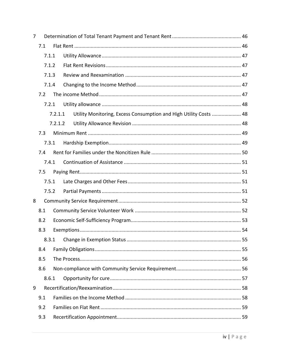| 7 |       |         |                                                                   |  |
|---|-------|---------|-------------------------------------------------------------------|--|
|   | 7.1   |         |                                                                   |  |
|   | 7.1.1 |         |                                                                   |  |
|   | 7.1.2 |         |                                                                   |  |
|   | 7.1.3 |         |                                                                   |  |
|   | 7.1.4 |         |                                                                   |  |
|   | 7.2   |         |                                                                   |  |
|   | 7.2.1 |         |                                                                   |  |
|   |       | 7.2.1.1 | Utility Monitoring, Excess Consumption and High Utility Costs  48 |  |
|   |       | 7.2.1.2 |                                                                   |  |
|   | 7.3   |         |                                                                   |  |
|   | 7.3.1 |         |                                                                   |  |
|   | 7.4   |         |                                                                   |  |
|   | 7.4.1 |         |                                                                   |  |
|   | 7.5   |         |                                                                   |  |
|   | 7.5.1 |         |                                                                   |  |
|   | 7.5.2 |         |                                                                   |  |
| 8 |       |         |                                                                   |  |
|   | 8.1   |         |                                                                   |  |
|   | 8.2   |         |                                                                   |  |
|   | 8.3   |         |                                                                   |  |
|   | 8.3.1 |         |                                                                   |  |
|   | 8.4   |         |                                                                   |  |
|   | 8.5   |         |                                                                   |  |
|   | 8.6   |         |                                                                   |  |
|   | 8.6.1 |         |                                                                   |  |
| 9 |       |         |                                                                   |  |
|   | 9.1   |         |                                                                   |  |
|   | 9.2   |         |                                                                   |  |
|   | 9.3   |         |                                                                   |  |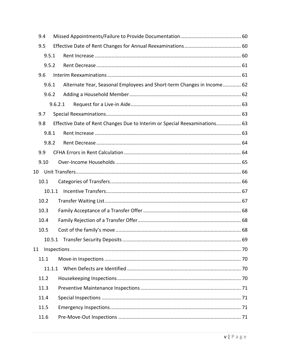| 9.4 |        |                                                                            |  |
|-----|--------|----------------------------------------------------------------------------|--|
| 9.5 |        |                                                                            |  |
|     | 9.5.1  |                                                                            |  |
|     | 9.5.2  |                                                                            |  |
| 9.6 |        |                                                                            |  |
|     | 9.6.1  | Alternate Year, Seasonal Employees and Short-term Changes in Income 62     |  |
|     | 9.6.2  |                                                                            |  |
|     |        | 9.6.2.1                                                                    |  |
|     | 9.7    |                                                                            |  |
| 9.8 |        | Effective Date of Rent Changes Due to Interim or Special Reexaminations 63 |  |
|     | 9.8.1  |                                                                            |  |
|     | 9.8.2  |                                                                            |  |
|     | 9.9    |                                                                            |  |
|     | 9.10   |                                                                            |  |
| 10  |        |                                                                            |  |
|     | 10.1   |                                                                            |  |
|     | 10.1.1 |                                                                            |  |
|     | 10.2   |                                                                            |  |
|     | 10.3   |                                                                            |  |
|     | 10.4   |                                                                            |  |
|     | 10.5   |                                                                            |  |
|     |        |                                                                            |  |
| 11  |        |                                                                            |  |
|     | 11.1   |                                                                            |  |
|     | 11.1.1 |                                                                            |  |
|     | 11.2   |                                                                            |  |
|     | 11.3   |                                                                            |  |
|     | 11.4   |                                                                            |  |
|     | 11.5   |                                                                            |  |
|     | 11.6   |                                                                            |  |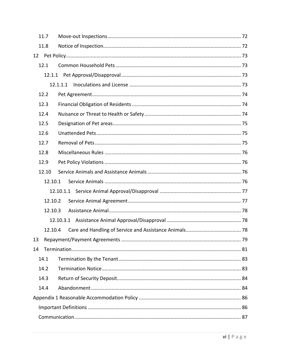| 11.7  |         |          |  |
|-------|---------|----------|--|
| 11.8  |         |          |  |
| 12    |         |          |  |
| 12.1  |         |          |  |
|       |         |          |  |
|       |         | 12.1.1.1 |  |
| 12.2  |         |          |  |
| 12.3  |         |          |  |
| 12.4  |         |          |  |
| 12.5  |         |          |  |
| 12.6  |         |          |  |
| 12.7  |         |          |  |
| 12.8  |         |          |  |
| 12.9  |         |          |  |
| 12.10 |         |          |  |
|       | 12.10.1 |          |  |
|       |         |          |  |
|       | 12.10.2 |          |  |
|       | 12.10.3 |          |  |
|       |         |          |  |
|       | 12.10.4 |          |  |
| 13    |         |          |  |
| 14    |         |          |  |
| 14.1  |         |          |  |
| 14.2  |         |          |  |
| 14.3  |         |          |  |
| 14.4  |         |          |  |
|       |         |          |  |
|       |         |          |  |
|       |         |          |  |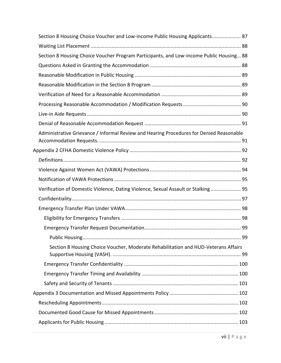| Section 8 Housing Choice Voucher and Low-income Public Housing Applicants 87            |  |
|-----------------------------------------------------------------------------------------|--|
|                                                                                         |  |
| Section 8 Housing Choice Voucher Program Participants, and Low-income Public Housing 88 |  |
|                                                                                         |  |
|                                                                                         |  |
|                                                                                         |  |
|                                                                                         |  |
|                                                                                         |  |
|                                                                                         |  |
|                                                                                         |  |
| Administrative Grievance / Informal Review and Hearing Procedures for Denied Reasonable |  |
|                                                                                         |  |
|                                                                                         |  |
|                                                                                         |  |
|                                                                                         |  |
| Verification of Domestic Violence, Dating Violence, Sexual Assault or Stalking 95       |  |
|                                                                                         |  |
|                                                                                         |  |
|                                                                                         |  |
|                                                                                         |  |
|                                                                                         |  |
| Section 8 Housing Choice Voucher, Moderate Rehabilitation and HUD-Veterans Affairs      |  |
|                                                                                         |  |
|                                                                                         |  |
|                                                                                         |  |
|                                                                                         |  |
|                                                                                         |  |
|                                                                                         |  |
|                                                                                         |  |
|                                                                                         |  |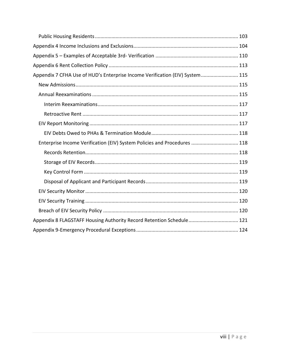| Appendix 7 CFHA Use of HUD's Enterprise Income Verification (EIV) System 115 |  |
|------------------------------------------------------------------------------|--|
|                                                                              |  |
|                                                                              |  |
|                                                                              |  |
|                                                                              |  |
|                                                                              |  |
|                                                                              |  |
| Enterprise Income Verification (EIV) System Policies and Procedures  118     |  |
|                                                                              |  |
|                                                                              |  |
|                                                                              |  |
|                                                                              |  |
|                                                                              |  |
|                                                                              |  |
|                                                                              |  |
| Appendix 8 FLAGSTAFF Housing Authority Record Retention Schedule 121         |  |
|                                                                              |  |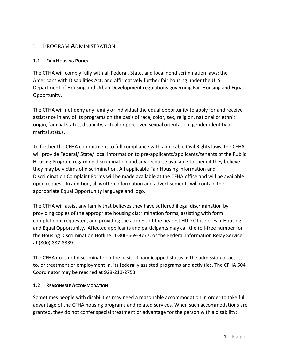# <span id="page-9-0"></span>1 PROGRAM ADMINISTRATION

#### <span id="page-9-1"></span>**1.1 FAIR HOUSING POLICY**

The CFHA will comply fully with all Federal, State, and local nondiscrimination laws; the Americans with Disabilities Act; and affirmatively further fair housing under the U. S. Department of Housing and Urban Development regulations governing Fair Housing and Equal Opportunity.

The CFHA will not deny any family or individual the equal opportunity to apply for and receive assistance in any of its programs on the basis of race, color, sex, religion, national or ethnic origin, familial status, disability, actual or perceived sexual orientation, gender identity or marital status.

To further the CFHA commitment to full compliance with applicable Civil Rights laws, the CFHA will provide Federal/ State/ local information to pre-applicants/applicants/tenants of the Public Housing Program regarding discrimination and any recourse available to them if they believe they may be victims of discrimination. All applicable Fair Housing Information and Discrimination Complaint Forms will be made available at the CFHA office and will be available upon request. In addition, all written information and advertisements will contain the appropriate Equal Opportunity language and logo.

The CFHA will assist any family that believes they have suffered illegal discrimination by providing copies of the appropriate housing discrimination forms, assisting with form completion if requested, and providing the address of the nearest HUD Office of Fair Housing and Equal Opportunity. Affected applicants and participants may call the toll-free number for the Housing Discrimination Hotline: 1-800-669-9777, or the Federal Information Relay Service at (800) 887-8339.

The CFHA does not discriminate on the basis of handicapped status in the admission or access to, or treatment or employment in, its federally assisted programs and activities. The CFHA 504 Coordinator may be reached at 928-213-2753.

#### <span id="page-9-2"></span>**1.2 REASONABLE ACCOMMODATION**

Sometimes people with disabilities may need a reasonable accommodation in order to take full advantage of the CFHA housing programs and related services. When such accommodations are granted, they do not confer special treatment or advantage for the person with a disability;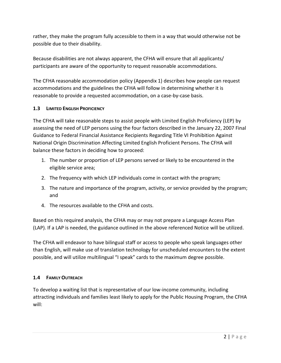rather, they make the program fully accessible to them in a way that would otherwise not be possible due to their disability.

Because disabilities are not always apparent, the CFHA will ensure that all applicants/ participants are aware of the opportunity to request reasonable accommodations.

The CFHA reasonable accommodation policy (Appendix 1) describes how people can request accommodations and the guidelines the CFHA will follow in determining whether it is reasonable to provide a requested accommodation, on a case-by-case basis.

#### <span id="page-10-0"></span>**1.3 LIMITED ENGLISH PROFICIENCY**

The CFHA will take reasonable steps to assist people with Limited English Proficiency (LEP) by assessing the need of LEP persons using the four factors described in the January 22, 2007 Final Guidance to Federal Financial Assistance Recipients Regarding Title VI Prohibition Against National Origin Discrimination Affecting Limited English Proficient Persons. The CFHA will balance these factors in deciding how to proceed:

- 1. The number or proportion of LEP persons served or likely to be encountered in the eligible service area;
- 2. The frequency with which LEP individuals come in contact with the program;
- 3. The nature and importance of the program, activity, or service provided by the program; and
- 4. The resources available to the CFHA and costs.

Based on this required analysis, the CFHA may or may not prepare a Language Access Plan (LAP). If a LAP is needed, the guidance outlined in the above referenced Notice will be utilized.

The CFHA will endeavor to have bilingual staff or access to people who speak languages other than English, will make use of translation technology for unscheduled encounters to the extent possible, and will utilize multilingual "I speak" cards to the maximum degree possible.

#### <span id="page-10-1"></span>**1.4 FAMILY OUTREACH**

To develop a waiting list that is representative of our low-income community, including attracting individuals and families least likely to apply for the Public Housing Program, the CFHA will: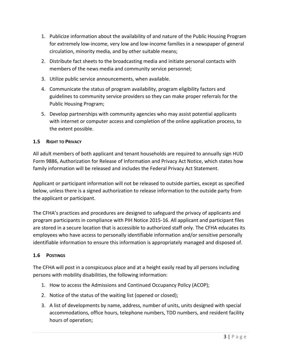- 1. Publicize information about the availability of and nature of the Public Housing Program for extremely low-income, very low and low-income families in a newspaper of general circulation, minority media, and by other suitable means;
- 2. Distribute fact sheets to the broadcasting media and initiate personal contacts with members of the news media and community service personnel;
- 3. Utilize public service announcements, when available.
- 4. Communicate the status of program availability, program eligibility factors and guidelines to community service providers so they can make proper referrals for the Public Housing Program;
- 5. Develop partnerships with community agencies who may assist potential applicants with internet or computer access and completion of the online application process, to the extent possible.

#### <span id="page-11-0"></span>**1.5 RIGHT TO PRIVACY**

All adult members of both applicant and tenant households are required to annually sign HUD Form 9886, Authorization for Release of Information and Privacy Act Notice, which states how family information will be released and includes the Federal Privacy Act Statement.

Applicant or participant information will not be released to outside parties, except as specified below, unless there is a signed authorization to release information to the outside party from the applicant or participant.

The CFHA's practices and procedures are designed to safeguard the privacy of applicants and program participants in compliance with PIH Notice 2015-16. All applicant and participant files are stored in a secure location that is accessible to authorized staff only. The CFHA educates its employees who have access to personally identifiable information and/or sensitive personally identifiable information to ensure this information is appropriately managed and disposed of.

#### <span id="page-11-1"></span>**1.6 POSTINGS**

The CFHA will post in a conspicuous place and at a height easily read by all persons including persons with mobility disabilities, the following information:

- 1. How to access the Admissions and Continued Occupancy Policy (ACOP);
- 2. Notice of the status of the waiting list (opened or closed);
- 3. A list of developments by name, address, number of units, units designed with special accommodations, office hours, telephone numbers, TDD numbers, and resident facility hours of operation;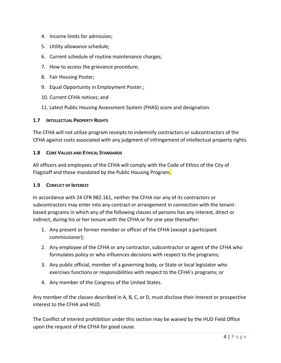- 4. Income limits for admission;
- 5. Utility allowance schedule;
- 6. Current schedule of routine maintenance charges;
- 7. How to access the grievance procedure;
- 8. Fair Housing Poster;
- 9. Equal Opportunity in Employment Poster.;
- 10. Current CFHA notices; and
- 11. Latest Public Housing Assessment System (PHAS) score and designation.

#### <span id="page-12-0"></span>**1.7 INTELLECTUAL PROPERTY RIGHTS**

The CFHA will not utilize program receipts to indemnify contractors or subcontractors of the CFHA against costs associated with any judgment of infringement of intellectual property rights.

#### <span id="page-12-1"></span>**1.8 CORE VALUES AND ETHICAL STANDARDS**

All officers and employees of the CFHA will comply with the Code of Ethics of the City of Flagstaff and those mandated by the Public Housing Program.

#### <span id="page-12-2"></span>**1.9 CONFLICT OF INTEREST**

In accordance with 24 CFR 982.161, neither the CFHA nor any of its contractors or subcontractors may enter into any contract or arrangement in connection with the tenantbased programs in which any of the following classes of persons has any interest, direct or indirect, during his or her tenure with the CFHA or for one year thereafter:

- 1. Any present or former member or officer of the CFHA (except a participant commissioner);
- 2. Any employee of the CFHA or any contractor, subcontractor or agent of the CFHA who formulates policy or who influences decisions with respect to the programs;
- 3. Any public official, member of a governing body, or State or local legislator who exercises functions or responsibilities with respect to the CFHA's programs; or
- 4. Any member of the Congress of the United States.

Any member of the classes described in A, B, C, or D, must disclose their interest or prospective interest to the CFHA and HUD.

The Conflict of Interest prohibition under this section may be waived by the HUD Field Office upon the request of the CFHA for good cause.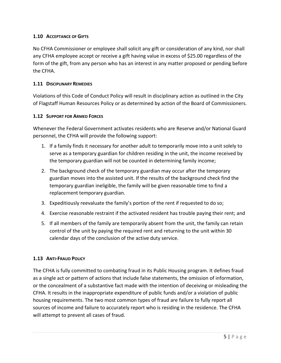#### <span id="page-13-0"></span>**1.10 ACCEPTANCE OF GIFTS**

No CFHA Commissioner or employee shall solicit any gift or consideration of any kind, nor shall any CFHA employee accept or receive a gift having value in excess of \$25.00 regardless of the form of the gift, from any person who has an interest in any matter proposed or pending before the CFHA.

#### <span id="page-13-1"></span>**1.11 DISCIPLINARY REMEDIES**

Violations of this Code of Conduct Policy will result in disciplinary action as outlined in the City of Flagstaff Human Resources Policy or as determined by action of the Board of Commissioners.

#### <span id="page-13-2"></span>**1.12 SUPPORT FOR ARMED FORCES**

Whenever the Federal Government activates residents who are Reserve and/or National Guard personnel, the CFHA will provide the following support:

- 1. If a family finds it necessary for another adult to temporarily move into a unit solely to serve as a temporary guardian for children residing in the unit, the income received by the temporary guardian will not be counted in determining family income;
- 2. The background check of the temporary guardian may occur after the temporary guardian moves into the assisted unit. If the results of the background check find the temporary guardian ineligible, the family will be given reasonable time to find a replacement temporary guardian.
- 3. Expeditiously reevaluate the family's portion of the rent if requested to do so;
- 4. Exercise reasonable restraint if the activated resident has trouble paying their rent; and
- 5. If all members of the family are temporarily absent from the unit, the family can retain control of the unit by paying the required rent and returning to the unit within 30 calendar days of the conclusion of the active duty service.

#### <span id="page-13-3"></span>**1.13 ANTI-FRAUD POLICY**

The CFHA is fully committed to combating fraud in its Public Housing program. It defines fraud as a single act or pattern of actions that include false statements, the omission of information, or the concealment of a substantive fact made with the intention of deceiving or misleading the CFHA. It results in the inappropriate expenditure of public funds and/or a violation of public housing requirements. The two most common types of fraud are failure to fully report all sources of income and failure to accurately report who is residing in the residence. The CFHA will attempt to prevent all cases of fraud.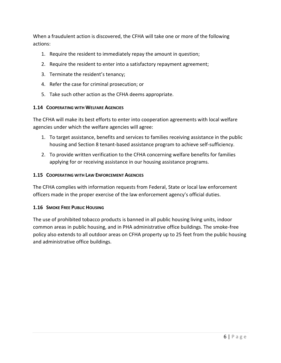When a fraudulent action is discovered, the CFHA will take one or more of the following actions:

- 1. Require the resident to immediately repay the amount in question;
- 2. Require the resident to enter into a satisfactory repayment agreement;
- 3. Terminate the resident's tenancy;
- 4. Refer the case for criminal prosecution; or
- 5. Take such other action as the CFHA deems appropriate.

#### <span id="page-14-0"></span>**1.14 COOPERATING WITH WELFARE AGENCIES**

The CFHA will make its best efforts to enter into cooperation agreements with local welfare agencies under which the welfare agencies will agree:

- 1. To target assistance, benefits and services to families receiving assistance in the public housing and Section 8 tenant-based assistance program to achieve self-sufficiency.
- 2. To provide written verification to the CFHA concerning welfare benefits for families applying for or receiving assistance in our housing assistance programs.

#### <span id="page-14-1"></span>**1.15 COOPERATING WITH LAW ENFORCEMENT AGENCIES**

The CFHA complies with information requests from Federal, State or local law enforcement officers made in the proper exercise of the law enforcement agency's official duties.

#### <span id="page-14-2"></span>**1.16 SMOKE FREE PUBLIC HOUSING**

The use of prohibited tobacco products is banned in all public housing living units, indoor common areas in public housing, and in PHA administrative office buildings. The smoke-free policy also extends to all outdoor areas on CFHA property up to 25 feet from the public housing and administrative office buildings.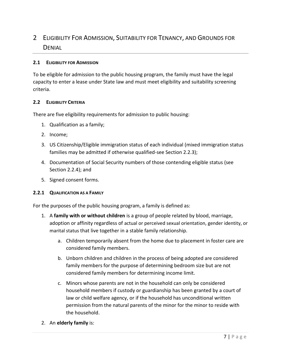# <span id="page-15-0"></span>2 ELIGIBILITY FOR ADMISSION, SUITABILITY FOR TENANCY, AND GROUNDS FOR **DENIAL**

#### <span id="page-15-1"></span>**2.1 ELIGIBILITY FOR ADMISSION**

To be eligible for admission to the public housing program, the family must have the legal capacity to enter a lease under State law and must meet eligibility and suitability screening criteria.

#### <span id="page-15-2"></span>**2.2 ELIGIBILITY CRITERIA**

There are five eligibility requirements for admission to public housing:

- 1. Qualification as a family;
- 2. Income;
- 3. US Citizenship/Eligible immigration status of each individual (mixed immigration status families may be admitted if otherwise qualified-see Section 2.2.3);
- 4. Documentation of Social Security numbers of those contending eligible status (see Section 2.2.4); and
- 5. Signed consent forms.

#### <span id="page-15-3"></span>**2.2.1 QUALIFICATION AS A FAMILY**

For the purposes of the public housing program, a family is defined as:

- 1. A **family with or without children** is a group of people related by blood, marriage, adoption or affinity regardless of actual or perceived sexual orientation, gender identity, or marital status that live together in a stable family relationship.
	- a. Children temporarily absent from the home due to placement in foster care are considered family members.
	- b. Unborn children and children in the process of being adopted are considered family members for the purpose of determining bedroom size but are not considered family members for determining income limit.
	- c. Minors whose parents are not in the household can only be considered household members if custody or guardianship has been granted by a court of law or child welfare agency, or if the household has unconditional written permission from the natural parents of the minor for the minor to reside with the household.
- 2. An **elderly family** is: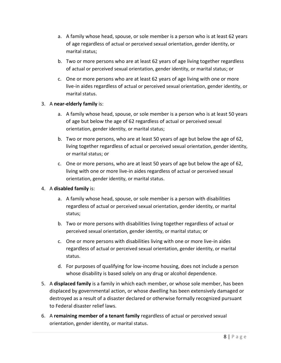- a. A family whose head, spouse, or sole member is a person who is at least 62 years of age regardless of actual or perceived sexual orientation, gender identity, or marital status;
- b. Two or more persons who are at least 62 years of age living together regardless of actual or perceived sexual orientation, gender identity, or marital status; or
- c. One or more persons who are at least 62 years of age living with one or more live-in aides regardless of actual or perceived sexual orientation, gender identity, or marital status.

#### 3. A **near-elderly family** is:

- a. A family whose head, spouse, or sole member is a person who is at least 50 years of age but below the age of 62 regardless of actual or perceived sexual orientation, gender identity, or marital status;
- b. Two or more persons, who are at least 50 years of age but below the age of 62, living together regardless of actual or perceived sexual orientation, gender identity, or marital status; or
- c. One or more persons, who are at least 50 years of age but below the age of 62, living with one or more live-in aides regardless of actual or perceived sexual orientation, gender identity, or marital status.

#### 4. A **disabled family** is:

- a. A family whose head, spouse, or sole member is a person with disabilities regardless of actual or perceived sexual orientation, gender identity, or marital status;
- b. Two or more persons with disabilities living together regardless of actual or perceived sexual orientation, gender identity, or marital status; or
- c. One or more persons with disabilities living with one or more live-in aides regardless of actual or perceived sexual orientation, gender identity, or marital status.
- d. For purposes of qualifying for low-income housing, does not include a person whose disability is based solely on any drug or alcohol dependence.
- 5. A **displaced family** is a family in which each member, or whose sole member, has been displaced by governmental action, or whose dwelling has been extensively damaged or destroyed as a result of a disaster declared or otherwise formally recognized pursuant to Federal disaster relief laws.
- 6. A **remaining member of a tenant family** regardless of actual or perceived sexual orientation, gender identity, or marital status.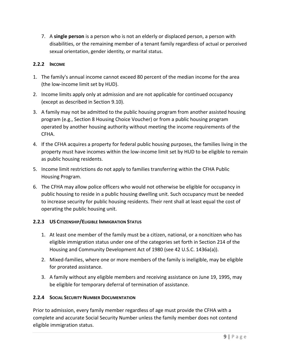7. A **single person** is a person who is not an elderly or displaced person, a person with disabilities, or the remaining member of a tenant family regardless of actual or perceived sexual orientation, gender identity, or marital status.

#### <span id="page-17-0"></span>**2.2.2 INCOME**

- 1. The family's annual income cannot exceed 80 percent of the median income for the area (the low-income limit set by HUD).
- 2. Income limits apply only at admission and are not applicable for continued occupancy (except as described in Section 9.10).
- 3. A family may not be admitted to the public housing program from another assisted housing program (e.g., Section 8 Housing Choice Voucher) or from a public housing program operated by another housing authority without meeting the income requirements of the CFHA.
- 4. If the CFHA acquires a property for federal public housing purposes, the families living in the property must have incomes within the low-income limit set by HUD to be eligible to remain as public housing residents.
- 5. Income limit restrictions do not apply to families transferring within the CFHA Public Housing Program.
- 6. The CFHA may allow police officers who would not otherwise be eligible for occupancy in public housing to reside in a public housing dwelling unit. Such occupancy must be needed to increase security for public housing residents. Their rent shall at least equal the cost of operating the public housing unit.

#### <span id="page-17-1"></span>**2.2.3 US CITIZENSHIP/ELIGIBLE IMMIGRATION STATUS**

- 1. At least one member of the family must be a citizen, national, or a noncitizen who has eligible immigration status under one of the categories set forth in Section 214 of the Housing and Community Development Act of 1980 (see 42 U.S.C. 1436a(a)).
- 2. Mixed-families, where one or more members of the family is ineligible, may be eligible for prorated assistance.
- 3. A family without any eligible members and receiving assistance on June 19, 1995, may be eligible for temporary deferral of termination of assistance.

# <span id="page-17-2"></span>**2.2.4 SOCIAL SECURITY NUMBER DOCUMENTATION**

Prior to admission, every family member regardless of age must provide the CFHA with a complete and accurate Social Security Number unless the family member does not contend eligible immigration status.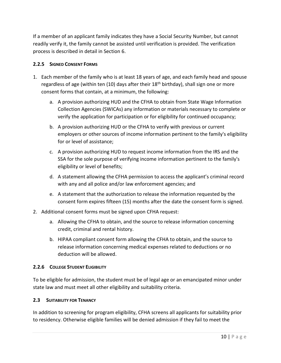If a member of an applicant family indicates they have a Social Security Number, but cannot readily verify it, the family cannot be assisted until verification is provided. The verification process is described in detail in Section 6.

#### <span id="page-18-0"></span>**2.2.5 SIGNED CONSENT FORMS**

- 1. Each member of the family who is at least 18 years of age, and each family head and spouse regardless of age (within ten (10) days after their  $18<sup>th</sup>$  birthday), shall sign one or more consent forms that contain, at a minimum, the following:
	- a. A provision authorizing HUD and the CFHA to obtain from State Wage Information Collection Agencies (SWICAs) any information or materials necessary to complete or verify the application for participation or for eligibility for continued occupancy;
	- b. A provision authorizing HUD or the CFHA to verify with previous or current employers or other sources of income information pertinent to the family's eligibility for or level of assistance;
	- c. A provision authorizing HUD to request income information from the IRS and the SSA for the sole purpose of verifying income information pertinent to the family's eligibility or level of benefits;
	- d. A statement allowing the CFHA permission to access the applicant's criminal record with any and all police and/or law enforcement agencies; and
	- e. A statement that the authorization to release the information requested by the consent form expires fifteen (15) months after the date the consent form is signed.
- 2. Additional consent forms must be signed upon CFHA request:
	- a. Allowing the CFHA to obtain, and the source to release information concerning credit, criminal and rental history.
	- b. HIPAA compliant consent form allowing the CFHA to obtain, and the source to release information concerning medical expenses related to deductions or no deduction will be allowed.

#### <span id="page-18-1"></span>**2.2.6 COLLEGE STUDENT ELIGIBILITY**

To be eligible for admission, the student must be of legal age or an emancipated minor under state law and must meet all other eligibility and suitability criteria.

# <span id="page-18-2"></span>**2.3 SUITABILITY FOR TENANCY**

In addition to screening for program eligibility, CFHA screens all applicants for suitability prior to residency. Otherwise eligible families will be denied admission if they fail to meet the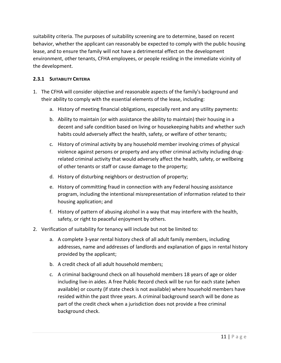suitability criteria. The purposes of suitability screening are to determine, based on recent behavior, whether the applicant can reasonably be expected to comply with the public housing lease, and to ensure the family will not have a detrimental effect on the development environment, other tenants, CFHA employees, or people residing in the immediate vicinity of the development.

#### <span id="page-19-0"></span>**2.3.1 SUITABILITY CRITERIA**

- 1. The CFHA will consider objective and reasonable aspects of the family's background and their ability to comply with the essential elements of the lease, including:
	- a. History of meeting financial obligations, especially rent and any utility payments:
	- b. Ability to maintain (or with assistance the ability to maintain) their housing in a decent and safe condition based on living or housekeeping habits and whether such habits could adversely affect the health, safety, or welfare of other tenants;
	- c. History of criminal activity by any household member involving crimes of physical violence against persons or property and any other criminal activity including drugrelated criminal activity that would adversely affect the health, safety, or wellbeing of other tenants or staff or cause damage to the property;
	- d. History of disturbing neighbors or destruction of property;
	- e. History of committing fraud in connection with any Federal housing assistance program, including the intentional misrepresentation of information related to their housing application; and
	- f. History of pattern of abusing alcohol in a way that may interfere with the health, safety, or right to peaceful enjoyment by others.
- 2. Verification of suitability for tenancy will include but not be limited to:
	- a. A complete 3-year rental history check of all adult family members, including addresses, name and addresses of landlords and explanation of gaps in rental history provided by the applicant;
	- b. A credit check of all adult household members;
	- c. A criminal background check on all household members 18 years of age or older including live-in aides. A free Public Record check will be run for each state (when available) or county (if state check is not available) where household members have resided within the past three years. A criminal background search will be done as part of the credit check when a jurisdiction does not provide a free criminal background check.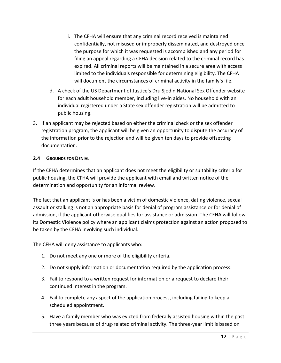- i. The CFHA will ensure that any criminal record received is maintained confidentially, not misused or improperly disseminated, and destroyed once the purpose for which it was requested is accomplished and any period for filing an appeal regarding a CFHA decision related to the criminal record has expired. All criminal reports will be maintained in a secure area with access limited to the individuals responsible for determining eligibility. The CFHA will document the circumstances of criminal activity in the family's file.
- d. A check of the US Department of Justice's Dru Sjodin National Sex Offender website for each adult household member, including live-in aides. No household with an individual registered under a State sex offender registration will be admitted to public housing.
- 3. If an applicant may be rejected based on either the criminal check or the sex offender registration program, the applicant will be given an opportunity to dispute the accuracy of the information prior to the rejection and will be given ten days to provide offsetting documentation.

#### <span id="page-20-0"></span>**2.4 GROUNDS FOR DENIAL**

If the CFHA determines that an applicant does not meet the eligibility or suitability criteria for public housing, the CFHA will provide the applicant with email and written notice of the determination and opportunity for an informal review.

The fact that an applicant is or has been a victim of domestic violence, dating violence, sexual assault or stalking is not an appropriate basis for denial of program assistance or for denial of admission, if the applicant otherwise qualifies for assistance or admission. The CFHA will follow its Domestic Violence policy where an applicant claims protection against an action proposed to be taken by the CFHA involving such individual.

The CFHA will deny assistance to applicants who:

- 1. Do not meet any one or more of the eligibility criteria.
- 2. Do not supply information or documentation required by the application process.
- 3. Fail to respond to a written request for information or a request to declare their continued interest in the program.
- 4. Fail to complete any aspect of the application process, including failing to keep a scheduled appointment.
- 5. Have a family member who was evicted from federally assisted housing within the past three years because of drug-related criminal activity. The three-year limit is based on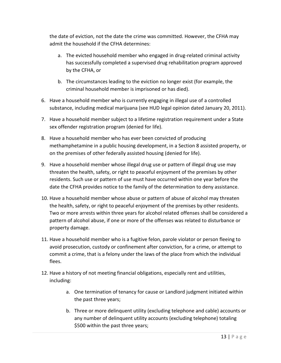the date of eviction, not the date the crime was committed. However, the CFHA may admit the household if the CFHA determines:

- a. The evicted household member who engaged in drug-related criminal activity has successfully completed a supervised drug rehabilitation program approved by the CFHA, or
- b. The circumstances leading to the eviction no longer exist (for example, the criminal household member is imprisoned or has died).
- 6. Have a household member who is currently engaging in illegal use of a controlled substance, including medical marijuana (see HUD legal opinion dated January 20, 2011).
- 7. Have a household member subject to a lifetime registration requirement under a State sex offender registration program (denied for life).
- 8. Have a household member who has ever been convicted of producing methamphetamine in a public housing development, in a Section 8 assisted property, or on the premises of other federally assisted housing (denied for life).
- 9. Have a household member whose illegal drug use or pattern of illegal drug use may threaten the health, safety, or right to peaceful enjoyment of the premises by other residents. Such use or pattern of use must have occurred within one year before the date the CFHA provides notice to the family of the determination to deny assistance.
- 10. Have a household member whose abuse or pattern of abuse of alcohol may threaten the health, safety, or right to peaceful enjoyment of the premises by other residents. Two or more arrests within three years for alcohol related offenses shall be considered a pattern of alcohol abuse, if one or more of the offenses was related to disturbance or property damage.
- 11. Have a household member who is a fugitive felon, parole violator or person fleeing to avoid prosecution, custody or confinement after conviction, for a crime, or attempt to commit a crime, that is a felony under the laws of the place from which the individual flees.
- 12. Have a history of not meeting financial obligations, especially rent and utilities, including:
	- a. One termination of tenancy for cause or Landlord judgment initiated within the past three years;
	- b. Three or more delinquent utility (excluding telephone and cable) accounts or any number of delinquent utility accounts (excluding telephone) totaling \$500 within the past three years;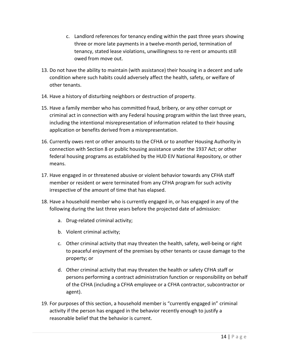- c. Landlord references for tenancy ending within the past three years showing three or more late payments in a twelve-month period, termination of tenancy, stated lease violations, unwillingness to re-rent or amounts still owed from move out.
- 13. Do not have the ability to maintain (with assistance) their housing in a decent and safe condition where such habits could adversely affect the health, safety, or welfare of other tenants.
- 14. Have a history of disturbing neighbors or destruction of property.
- 15. Have a family member who has committed fraud, bribery, or any other corrupt or criminal act in connection with any Federal housing program within the last three years, including the intentional misrepresentation of information related to their housing application or benefits derived from a misrepresentation.
- 16. Currently owes rent or other amounts to the CFHA or to another Housing Authority in connection with Section 8 or public housing assistance under the 1937 Act; or other federal housing programs as established by the HUD EIV National Repository, or other means.
- 17. Have engaged in or threatened abusive or violent behavior towards any CFHA staff member or resident or were terminated from any CFHA program for such activity irrespective of the amount of time that has elapsed.
- 18. Have a household member who is currently engaged in, or has engaged in any of the following during the last three years before the projected date of admission:
	- a. Drug-related criminal activity;
	- b. Violent criminal activity;
	- c. Other criminal activity that may threaten the health, safety, well-being or right to peaceful enjoyment of the premises by other tenants or cause damage to the property; or
	- d. Other criminal activity that may threaten the health or safety CFHA staff or persons performing a contract administration function or responsibility on behalf of the CFHA (including a CFHA employee or a CFHA contractor, subcontractor or agent).
- 19. For purposes of this section, a household member is "currently engaged in" criminal activity if the person has engaged in the behavior recently enough to justify a reasonable belief that the behavior is current.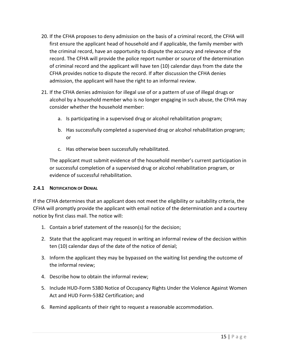- 20. If the CFHA proposes to deny admission on the basis of a criminal record, the CFHA will first ensure the applicant head of household and if applicable, the family member with the criminal record, have an opportunity to dispute the accuracy and relevance of the record. The CFHA will provide the police report number or source of the determination of criminal record and the applicant will have ten (10) calendar days from the date the CFHA provides notice to dispute the record. If after discussion the CFHA denies admission, the applicant will have the right to an informal review.
- 21. If the CFHA denies admission for illegal use of or a pattern of use of illegal drugs or alcohol by a household member who is no longer engaging in such abuse, the CFHA may consider whether the household member:
	- a. Is participating in a supervised drug or alcohol rehabilitation program;
	- b. Has successfully completed a supervised drug or alcohol rehabilitation program; or
	- c. Has otherwise been successfully rehabilitated.

The applicant must submit evidence of the household member's current participation in or successful completion of a supervised drug or alcohol rehabilitation program, or evidence of successful rehabilitation.

#### <span id="page-23-0"></span>**2.4.1 NOTIFICATION OF DENIAL**

If the CFHA determines that an applicant does not meet the eligibility or suitability criteria, the CFHA will promptly provide the applicant with email notice of the determination and a courtesy notice by first class mail. The notice will:

- 1. Contain a brief statement of the reason(s) for the decision;
- 2. State that the applicant may request in writing an informal review of the decision within ten (10) calendar days of the date of the notice of denial;
- 3. Inform the applicant they may be bypassed on the waiting list pending the outcome of the informal review;
- 4. Describe how to obtain the informal review;
- 5. Include HUD-Form 5380 Notice of Occupancy Rights Under the Violence Against Women Act and HUD Form-5382 Certification; and
- 6. Remind applicants of their right to request a reasonable accommodation.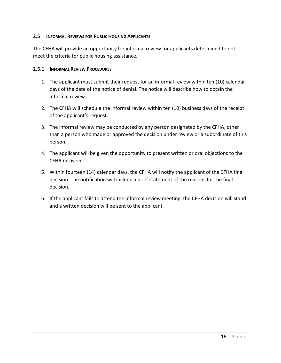#### <span id="page-24-0"></span>**2.5 INFORMAL REVIEWS FOR PUBLIC HOUSING APPLICANTS**

The CFHA will provide an opportunity for informal review for applicants determined to not meet the criteria for public housing assistance.

#### <span id="page-24-1"></span>**2.5.1 INFORMAL REVIEW PROCEDURES**

- 1. The applicant must submit their request for an informal review within ten (10) calendar days of the date of the notice of denial. The notice will describe how to obtain the informal review.
- 2. The CFHA will schedule the informal review within ten (10) business days of the receipt of the applicant's request.
- 3. The informal review may be conducted by any person designated by the CFHA, other than a person who made or approved the decision under review or a subordinate of this person.
- 4. The applicant will be given the opportunity to present written or oral objections to the CFHA decision.
- 5. Within fourteen (14) calendar days, the CFHA will notify the applicant of the CFHA final decision. The notification will include a brief statement of the reasons for the final decision.
- 6. If the applicant fails to attend the informal review meeting, the CFHA decision will stand and a written decision will be sent to the applicant.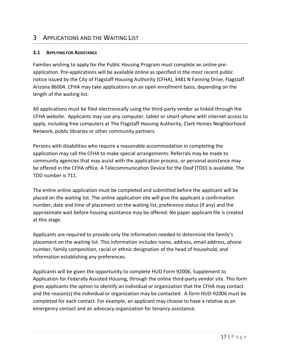# <span id="page-25-0"></span>3 APPLICATIONS AND THE WAITING LIST

#### <span id="page-25-1"></span>**3.1 APPLYING FOR ASSISTANCE**

Families wishing to apply for the Public Housing Program must complete an online preapplication. Pre-applications will be available online as specified in the most recent public notice issued by the City of Flagstaff Housing Authority (CFHA), 3481 N Fanning Drive, Flagstaff Arizona 86004. CFHA may take applications on an open enrollment basis, depending on the length of the waiting list.

All applications must be filed electronically using the third-party vendor as linked through the CFHA website.Applicants may use any computer, tablet or smart-phone with internet access to apply, including free computers at The Flagstaff Housing Authority, Clark Homes Neighborhood Network, public libraries or other community partners.

Persons with disabilities who require a reasonable accommodation in completing the application may call the CFHA to make special arrangements. Referrals may be made to community agencies that may assist with the application process, or personal assistance may be offered in the CFHA office. A Telecommunication Device for the Deaf (TDD) is available. The TDD number is 711.

The entire online application must be completed and submitted before the applicant will be placed on the waiting list. The online application site will give the applicant a confirmation number, date and time of placement on the waiting list, preference status (if any) and the approximate wait before housing assistance may be offered. No paper applicant file is created at this stage.

Applicants are required to provide only the information needed to determine the family's placement on the waiting list. This information includes name, address, email address, phone number, family composition, racial or ethnic designation of the head of household, and information establishing any preferences.

Applicants will be given the opportunity to complete HUD Form 92006, Supplement to Application for Federally Assisted Housing, through the online third-party vendor site. This form gives applicants the option to identify an individual or organization that the CFHA may contact and the reason(s) the individual or organization may be contacted. A form HUD-92006 must be completed for each contact. For example, an applicant may choose to have a relative as an emergency contact and an advocacy organization for tenancy assistance.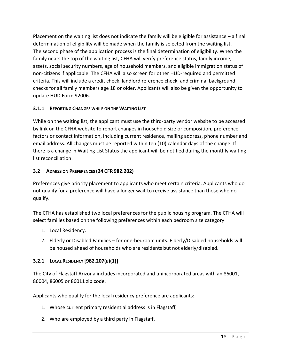Placement on the waiting list does not indicate the family will be eligible for assistance – a final determination of eligibility will be made when the family is selected from the waiting list. The second phase of the application process is the final determination of eligibility. When the family nears the top of the waiting list, CFHA will verify preference status, family income, assets, social security numbers, age of household members, and eligible immigration status of non-citizens if applicable. The CFHA will also screen for other HUD-required and permitted criteria. This will include a credit check, landlord reference check, and criminal background checks for all family members age 18 or older. Applicants will also be given the opportunity to update HUD Form 92006.

# <span id="page-26-0"></span>**3.1.1 REPORTING CHANGES WHILE ON THE WAITING LIST**

While on the waiting list, the applicant must use the third-party vendor website to be accessed by link on the CFHA website to report changes in household size or composition, preference factors or contact information, including current residence, mailing address, phone number and email address. All changes must be reported within ten (10) calendar days of the change. If there is a change in Waiting List Status the applicant will be notified during the monthly waiting list reconciliation.

# <span id="page-26-1"></span>**3.2 ADMISSION PREFERENCES (24 CFR 982.202)**

Preferences give priority placement to applicants who meet certain criteria. Applicants who do not qualify for a preference will have a longer wait to receive assistance than those who do qualify.

The CFHA has established two local preferences for the public housing program. The CFHA will select families based on the following preferences within each bedroom size category:

- 1. Local Residency.
- 2. Elderly or Disabled Families for one-bedroom units. Elderly/Disabled households will be housed ahead of households who are residents but not elderly/disabled.

# <span id="page-26-2"></span>**3.2.1 LOCAL RESIDENCY [982.207(B)(1)]**

The City of Flagstaff Arizona includes incorporated and unincorporated areas with an 86001, 86004, 86005 or 86011 zip code.

Applicants who qualify for the local residency preference are applicants:

- 1. Whose current primary residential address is in Flagstaff,
- 2. Who are employed by a third party in Flagstaff,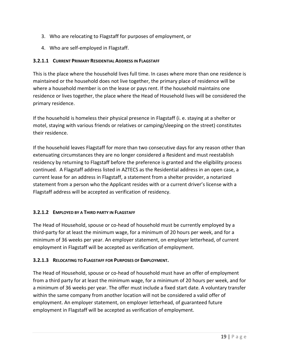- 3. Who are relocating to Flagstaff for purposes of employment, or
- 4. Who are self-employed in Flagstaff.

# <span id="page-27-0"></span>**3.2.1.1 CURRENT PRIMARY RESIDENTIAL ADDRESS IN FLAGSTAFF**

This is the place where the household lives full time. In cases where more than one residence is maintained or the household does not live together, the primary place of residence will be where a household member is on the lease or pays rent. If the household maintains one residence or lives together, the place where the Head of Household lives will be considered the primary residence.

If the household is homeless their physical presence in Flagstaff (i. e. staying at a shelter or motel, staying with various friends or relatives or camping/sleeping on the street) constitutes their residence.

If the household leaves Flagstaff for more than two consecutive days for any reason other than extenuating circumstances they are no longer considered a Resident and must reestablish residency by returning to Flagstaff before the preference is granted and the eligibility process continued. A Flagstaff address listed in AZTECS as the Residential address in an open case, a current lease for an address in Flagstaff, a statement from a shelter provider, a notarized statement from a person who the Applicant resides with or a current driver's license with a Flagstaff address will be accepted as verification of residency.

# <span id="page-27-1"></span>**3.2.1.2 EMPLOYED BY A THIRD PARTY IN FLAGSTAFF**

The Head of Household, spouse or co-head of household must be currently employed by a third-party for at least the minimum wage, for a minimum of 20 hours per week, and for a minimum of 36 weeks per year. An employer statement, on employer letterhead, of current employment in Flagstaff will be accepted as verification of employment.

#### <span id="page-27-2"></span>**3.2.1.3 RELOCATING TO FLAGSTAFF FOR PURPOSES OF EMPLOYMENT.**

The Head of Household, spouse or co-head of household must have an offer of employment from a third party for at least the minimum wage, for a minimum of 20 hours per week, and for a minimum of 36 weeks per year. The offer must include a fixed start date. A voluntary transfer within the same company from another location will not be considered a valid offer of employment. An employer statement, on employer letterhead, of guaranteed future employment in Flagstaff will be accepted as verification of employment.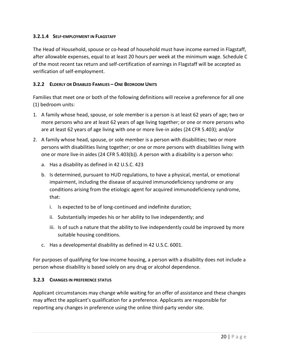#### <span id="page-28-0"></span>**3.2.1.4 SELF-EMPLOYMENT IN FLAGSTAFF**

The Head of Household, spouse or co-head of household must have income earned in Flagstaff, after allowable expenses, equal to at least 20 hours per week at the minimum wage. Schedule C of the most recent tax return and self-certification of earnings in Flagstaff will be accepted as verification of self-employment.

#### <span id="page-28-1"></span>**3.2.2 ELDERLY OR DISABLED FAMILIES – ONE BEDROOM UNITS**

Families that meet one or both of the following definitions will receive a preference for all one (1) bedroom units:

- 1. A family whose head, spouse, or sole member is a person is at least 62 years of age; two or more persons who are at least 62 years of age living together; or one or more persons who are at least 62 years of age living with one or more live-in aides (24 CFR 5.403); and/or
- 2. A family whose head, spouse, or sole member is a person with disabilities; two or more persons with disabilities living together; or one or more persons with disabilities living with one or more live-in aides (24 CFR 5.403(b)). A person with a disability is a person who:
	- a. Has a disability as defined in 42 U.S.C. 423
	- b. Is determined, pursuant to HUD regulations, to have a physical, mental, or emotional impairment, including the disease of acquired immunodeficiency syndrome or any conditions arising from the etiologic agent for acquired immunodeficiency syndrome, that:
		- i. Is expected to be of long-continued and indefinite duration;
		- ii. Substantially impedes his or her ability to live independently; and
		- iii. Is of such a nature that the ability to live independently could be improved by more suitable housing conditions.
	- c. Has a developmental disability as defined in 42 U.S.C. 6001.

For purposes of qualifying for low-income housing, a person with a disability does not include a person whose disability is based solely on any drug or alcohol dependence.

#### <span id="page-28-2"></span>**3.2.3 CHANGES IN PREFERENCE STATUS**

Applicant circumstances may change while waiting for an offer of assistance and these changes may affect the applicant's qualification for a preference. Applicants are responsible for reporting any changes in preference using the online third-party vendor site.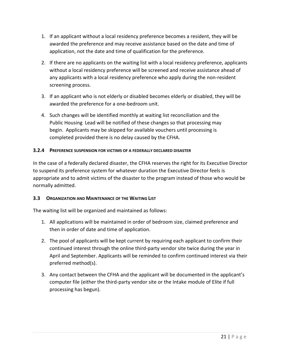- 1. If an applicant without a local residency preference becomes a resident, they will be awarded the preference and may receive assistance based on the date and time of application, not the date and time of qualification for the preference.
- 2. If there are no applicants on the waiting list with a local residency preference, applicants without a local residency preference will be screened and receive assistance ahead of any applicants with a local residency preference who apply during the non-resident screening process.
- 3. If an applicant who is not elderly or disabled becomes elderly or disabled, they will be awarded the preference for a one-bedroom unit.
- 4. Such changes will be identified monthly at waiting list reconciliation and the Public Housing Lead will be notified of these changes so that processing may begin. Applicants may be skipped for available vouchers until processing is completed provided there is no delay caused by the CFHA.

#### <span id="page-29-0"></span>**3.2.4 PREFERENCE SUSPENSION FOR VICTIMS OF A FEDERALLY DECLARED DISASTER**

In the case of a federally declared disaster, the CFHA reserves the right for its Executive Director to suspend its preference system for whatever duration the Executive Director feels is appropriate and to admit victims of the disaster to the program instead of those who would be normally admitted.

#### <span id="page-29-1"></span>**3.3 ORGANIZATION AND MAINTENANCE OF THE WAITING LIST**

The waiting list will be organized and maintained as follows:

- 1. All applications will be maintained in order of bedroom size, claimed preference and then in order of date and time of application.
- 2. The pool of applicants will be kept current by requiring each applicant to confirm their continued interest through the online third-party vendor site twice during the year in April and September. Applicants will be reminded to confirm continued interest via their preferred method(s).
- 3. Any contact between the CFHA and the applicant will be documented in the applicant's computer file (either the third-party vendor site or the Intake module of Elite if full processing has begun).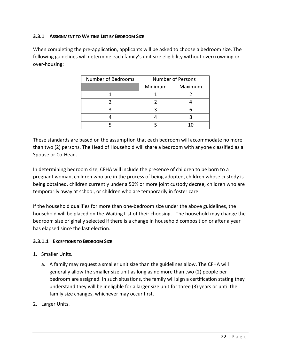#### <span id="page-30-0"></span>**3.3.1 ASSIGNMENT TO WAITING LIST BY BEDROOM SIZE**

When completing the pre-application, applicants will be asked to choose a bedroom size. The following guidelines will determine each family's unit size eligibility without overcrowding or over-housing:

| Number of Bedrooms | <b>Number of Persons</b> |         |  |
|--------------------|--------------------------|---------|--|
|                    | Minimum                  | Maximum |  |
|                    |                          |         |  |
|                    |                          |         |  |
|                    |                          |         |  |
|                    |                          |         |  |
|                    |                          |         |  |

These standards are based on the assumption that each bedroom will accommodate no more than two (2) persons. The Head of Household will share a bedroom with anyone classified as a Spouse or Co-Head.

In determining bedroom size, CFHA will include the presence of children to be born to a pregnant woman, children who are in the process of being adopted, children whose custody is being obtained, children currently under a 50% or more joint custody decree, children who are temporarily away at school, or children who are temporarily in foster care.

If the household qualifies for more than one-bedroom size under the above guidelines, the household will be placed on the Waiting List of their choosing. The household may change the bedroom size originally selected if there is a change in household composition or after a year has elapsed since the last election.

#### <span id="page-30-1"></span>**3.3.1.1 EXCEPTIONS TO BEDROOM SIZE**

- 1. Smaller Units.
	- a. A family may request a smaller unit size than the guidelines allow. The CFHA will generally allow the smaller size unit as long as no more than two (2) people per bedroom are assigned. In such situations, the family will sign a certification stating they understand they will be ineligible for a larger size unit for three (3) years or until the family size changes, whichever may occur first.
- 2. Larger Units.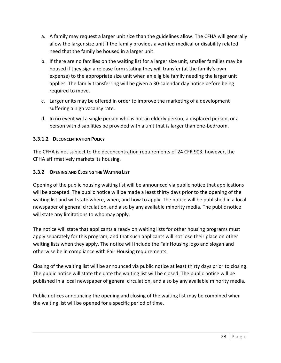- a. A family may request a larger unit size than the guidelines allow. The CFHA will generally allow the larger size unit if the family provides a verified medical or disability related need that the family be housed in a larger unit.
- b. If there are no families on the waiting list for a larger size unit, smaller families may be housed if they sign a release form stating they will transfer (at the family's own expense) to the appropriate size unit when an eligible family needing the larger unit applies. The family transferring will be given a 30-calendar day notice before being required to move.
- c. Larger units may be offered in order to improve the marketing of a development suffering a high vacancy rate.
- d. In no event will a single person who is not an elderly person, a displaced person, or a person with disabilities be provided with a unit that is larger than one-bedroom.

# <span id="page-31-0"></span>**3.3.1.2 DECONCENTRATION POLICY**

The CFHA is not subject to the deconcentration requirements of 24 CFR 903; however, the CFHA affirmatively markets its housing.

#### <span id="page-31-1"></span>**3.3.2 OPENING AND CLOSING THE WAITING LIST**

Opening of the public housing waiting list will be announced via public notice that applications will be accepted. The public notice will be made a least thirty days prior to the opening of the waiting list and will state where, when, and how to apply. The notice will be published in a local newspaper of general circulation, and also by any available minority media. The public notice will state any limitations to who may apply.

The notice will state that applicants already on waiting lists for other housing programs must apply separately for this program, and that such applicants will not lose their place on other waiting lists when they apply. The notice will include the Fair Housing logo and slogan and otherwise be in compliance with Fair Housing requirements.

Closing of the waiting list will be announced via public notice at least thirty days prior to closing. The public notice will state the date the waiting list will be closed. The public notice will be published in a local newspaper of general circulation, and also by any available minority media.

Public notices announcing the opening and closing of the waiting list may be combined when the waiting list will be opened for a specific period of time.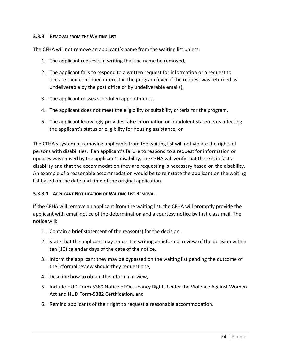#### <span id="page-32-0"></span>**3.3.3 REMOVAL FROM THE WAITING LIST**

The CFHA will not remove an applicant's name from the waiting list unless:

- 1. The applicant requests in writing that the name be removed,
- 2. The applicant fails to respond to a written request for information or a request to declare their continued interest in the program (even if the request was returned as undeliverable by the post office or by undeliverable emails),
- 3. The applicant misses scheduled appointments,
- 4. The applicant does not meet the eligibility or suitability criteria for the program,
- 5. The applicant knowingly provides false information or fraudulent statements affecting the applicant's status or eligibility for housing assistance, or

The CFHA's system of removing applicants from the waiting list will not violate the rights of persons with disabilities. If an applicant's failure to respond to a request for information or updates was caused by the applicant's disability, the CFHA will verify that there is in fact a disability and that the accommodation they are requesting is necessary based on the disability. An example of a reasonable accommodation would be to reinstate the applicant on the waiting list based on the date and time of the original application.

#### <span id="page-32-1"></span>**3.3.3.1 APPLICANT NOTIFICATION OF WAITING LIST REMOVAL**

If the CFHA will remove an applicant from the waiting list, the CFHA will promptly provide the applicant with email notice of the determination and a courtesy notice by first class mail. The notice will:

- 1. Contain a brief statement of the reason(s) for the decision,
- 2. State that the applicant may request in writing an informal review of the decision within ten (10) calendar days of the date of the notice,
- 3. Inform the applicant they may be bypassed on the waiting list pending the outcome of the informal review should they request one,
- 4. Describe how to obtain the informal review,
- 5. Include HUD-Form 5380 Notice of Occupancy Rights Under the Violence Against Women Act and HUD Form-5382 Certification, and
- 6. Remind applicants of their right to request a reasonable accommodation.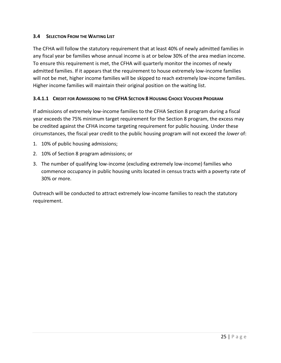#### <span id="page-33-0"></span>**3.4 SELECTION FROM THE WAITING LIST**

The CFHA will follow the statutory requirement that at least 40% of newly admitted families in any fiscal year be families whose annual income is at or below 30% of the area median income. To ensure this requirement is met, the CFHA will quarterly monitor the incomes of newly admitted families. If it appears that the requirement to house extremely low-income families will not be met, higher income families will be skipped to reach extremely low-income families. Higher income families will maintain their original position on the waiting list.

#### <span id="page-33-1"></span>**3.4.1.1 CREDIT FOR ADMISSIONS TO THE CFHA SECTION 8 HOUSING CHOICE VOUCHER PROGRAM**

If admissions of extremely low-income families to the CFHA Section 8 program during a fiscal year exceeds the 75% minimum target requirement for the Section 8 program, the excess may be credited against the CFHA income targeting requirement for public housing. Under these circumstances, the fiscal year credit to the public housing program will not exceed the *lower* of:

- 1. 10% of public housing admissions;
- 2. 10% of Section 8 program admissions; or
- 3. The number of qualifying low-income (excluding extremely low-income) families who commence occupancy in public housing units located in census tracts with a poverty rate of 30% or more.

Outreach will be conducted to attract extremely low-income families to reach the statutory requirement.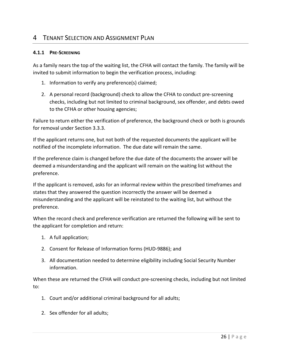# <span id="page-34-0"></span>4 TENANT SELECTION AND ASSIGNMENT PLAN

#### <span id="page-34-1"></span>**4.1.1 PRE-SCREENING**

As a family nears the top of the waiting list, the CFHA will contact the family. The family will be invited to submit information to begin the verification process, including:

- 1. Information to verify any preference(s) claimed;
- 2. A personal record (background) check to allow the CFHA to conduct pre-screening checks, including but not limited to criminal background, sex offender, and debts owed to the CFHA or other housing agencies;

Failure to return either the verification of preference, the background check or both is grounds for removal under Section 3.3.3.

If the applicant returns one, but not both of the requested documents the applicant will be notified of the incomplete information. The due date will remain the same.

If the preference claim is changed before the due date of the documents the answer will be deemed a misunderstanding and the applicant will remain on the waiting list without the preference.

If the applicant is removed, asks for an informal review within the prescribed timeframes and states that they answered the question incorrectly the answer will be deemed a misunderstanding and the applicant will be reinstated to the waiting list, but without the preference.

When the record check and preference verification are returned the following will be sent to the applicant for completion and return:

- 1. A full application;
- 2. Consent for Release of Information forms (HUD-9886); and
- 3. All documentation needed to determine eligibility including Social Security Number information.

When these are returned the CFHA will conduct pre-screening checks, including but not limited to:

- 1. Court and/or additional criminal background for all adults;
- 2. Sex offender for all adults;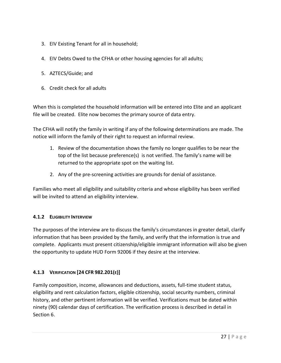- 3. EIV Existing Tenant for all in household;
- 4. EIV Debts Owed to the CFHA or other housing agencies for all adults;
- 5. AZTECS/Guide; and
- 6. Credit check for all adults

When this is completed the household information will be entered into Elite and an applicant file will be created. Elite now becomes the primary source of data entry.

The CFHA will notify the family in writing if any of the following determinations are made. The notice will inform the family of their right to request an informal review.

- 1. Review of the documentation shows the family no longer qualifies to be near the top of the list because preference(s) is not verified. The family's name will be returned to the appropriate spot on the waiting list.
- 2. Any of the pre-screening activities are grounds for denial of assistance.

Families who meet all eligibility and suitability criteria and whose eligibility has been verified will be invited to attend an eligibility interview.

# <span id="page-35-0"></span>**4.1.2 ELIGIBILITY INTERVIEW**

The purposes of the interview are to discuss the family's circumstances in greater detail, clarify information that has been provided by the family, and verify that the information is true and complete. Applicants must present citizenship/eligible immigrant information will also be given the opportunity to update HUD Form 92006 if they desire at the interview.

# <span id="page-35-1"></span>**4.1.3 VERIFICATION [24 CFR 982.201(E)]**

Family composition, income, allowances and deductions, assets, full-time student status, eligibility and rent calculation factors, eligible citizenship, social security numbers, criminal history, and other pertinent information will be verified. Verifications must be dated within ninety (90) calendar days of certification. The verification process is described in detail in Section 6.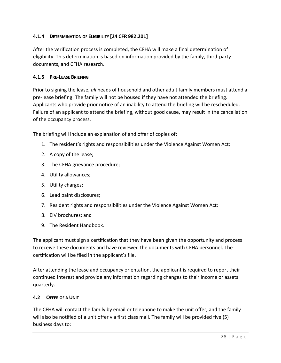### **4.1.4 DETERMINATION OF ELIGIBILITY [24 CFR 982.201]**

After the verification process is completed, the CFHA will make a final determination of eligibility. This determination is based on information provided by the family, third-party documents, and CFHA research.

#### **4.1.5 PRE-LEASE BRIEFING**

Prior to signing the lease, *all* heads of household and other adult family members must attend a pre-lease briefing. The family will not be housed if they have not attended the briefing. Applicants who provide prior notice of an inability to attend the briefing will be rescheduled. Failure of an applicant to attend the briefing, without good cause, may result in the cancellation of the occupancy process.

The briefing will include an explanation of and offer of copies of:

- 1. The resident's rights and responsibilities under the Violence Against Women Act;
- 2. A copy of the lease;
- 3. The CFHA grievance procedure;
- 4. Utility allowances;
- 5. Utility charges;
- 6. Lead paint disclosures;
- 7. Resident rights and responsibilities under the Violence Against Women Act;
- 8. EIV brochures; and
- 9. The Resident Handbook.

The applicant must sign a certification that they have been given the opportunity and process to receive these documents and have reviewed the documents with CFHA personnel. The certification will be filed in the applicant's file.

After attending the lease and occupancy orientation, the applicant is required to report their continued interest and provide any information regarding changes to their income or assets quarterly.

#### **4.2 OFFER OF A UNIT**

The CFHA will contact the family by email or telephone to make the unit offer, and the family will also be notified of a unit offer via first class mail. The family will be provided five (5) business days to: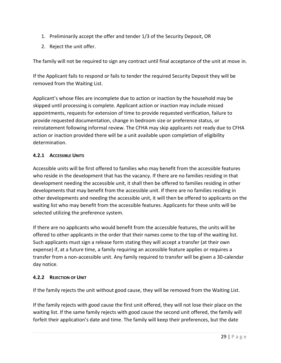- 1. Preliminarily accept the offer and tender 1/3 of the Security Deposit, OR
- 2. Reject the unit offer.

The family will not be required to sign any contract until final acceptance of the unit at move in.

If the Applicant fails to respond or fails to tender the required Security Deposit they will be removed from the Waiting List.

Applicant's whose files are incomplete due to action or inaction by the household may be skipped until processing is complete. Applicant action or inaction may include missed appointments, requests for extension of time to provide requested verification, failure to provide requested documentation, change in bedroom size or preference status, or reinstatement following informal review. The CFHA may skip applicants not ready due to CFHA action or inaction provided there will be a unit available upon completion of eligibility determination.

# **4.2.1 ACCESSIBLE UNITS**

Accessible units will be first offered to families who may benefit from the accessible features who reside in the development that has the vacancy. If there are no families residing in that development needing the accessible unit, it shall then be offered to families residing in other developments that may benefit from the accessible unit. If there are no families residing in other developments and needing the accessible unit, it will then be offered to applicants on the waiting list who may benefit from the accessible features. Applicants for these units will be selected utilizing the preference system.

If there are no applicants who would benefit from the accessible features, the units will be offered to other applicants in the order that their names come to the top of the waiting list. Such applicants must sign a release form stating they will accept a transfer (at their own expense) if, at a future time, a family requiring an accessible feature applies or requires a transfer from a non-accessible unit. Any family required to transfer will be given a 30-calendar day notice.

# **4.2.2 REJECTION OF UNIT**

If the family rejects the unit without good cause, they will be removed from the Waiting List.

If the family rejects with good cause the first unit offered, they will not lose their place on the waiting list. If the same family rejects with good cause the second unit offered, the family will forfeit their application's date and time. The family will keep their preferences, but the date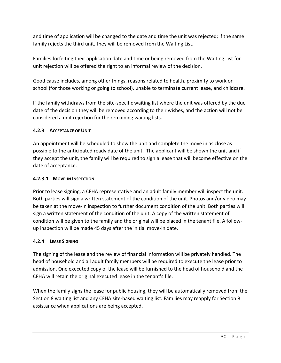and time of application will be changed to the date and time the unit was rejected; if the same family rejects the third unit, they will be removed from the Waiting List.

Families forfeiting their application date and time or being removed from the Waiting List for unit rejection will be offered the right to an informal review of the decision.

Good cause includes, among other things, reasons related to health, proximity to work or school (for those working or going to school), unable to terminate current lease, and childcare.

If the family withdraws from the site-specific waiting list where the unit was offered by the due date of the decision they will be removed according to their wishes, and the action will not be considered a unit rejection for the remaining waiting lists.

### **4.2.3 ACCEPTANCE OF UNIT**

An appointment will be scheduled to show the unit and complete the move in as close as possible to the anticipated ready date of the unit. The applicant will be shown the unit and if they accept the unit, the family will be required to sign a lease that will become effective on the date of acceptance.

### **4.2.3.1 MOVE-IN INSPECTION**

Prior to lease signing, a CFHA representative and an adult family member will inspect the unit. Both parties will sign a written statement of the condition of the unit. Photos and/or video may be taken at the move-in inspection to further document condition of the unit. Both parties will sign a written statement of the condition of the unit. A copy of the written statement of condition will be given to the family and the original will be placed in the tenant file. A followup inspection will be made 45 days after the initial move-in date.

# **4.2.4 LEASE SIGNING**

The signing of the lease and the review of financial information will be privately handled. The head of household and all adult family members will be required to execute the lease prior to admission. One executed copy of the lease will be furnished to the head of household and the CFHA will retain the original executed lease in the tenant's file.

When the family signs the lease for public housing, they will be automatically removed from the Section 8 waiting list and any CFHA site-based waiting list. Families may reapply for Section 8 assistance when applications are being accepted.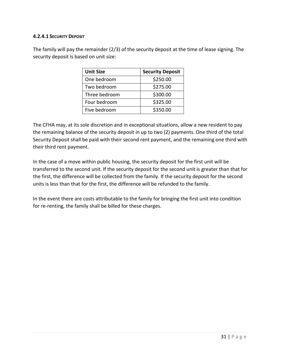#### **4.2.4.1 SECURITY DEPOSIT**

The family will pay the remainder (2/3) of the security deposit at the time of lease signing. The security deposit is based on unit size:

| <b>Unit Size</b> | <b>Security Deposit</b> |
|------------------|-------------------------|
| One bedroom      | \$250.00                |
| Two bedroom      | \$275.00                |
| Three bedroom    | \$300.00                |
| Four bedroom     | \$325.00                |
| Five bedroom     | \$350.00                |

The CFHA may, at its sole discretion and in exceptional situations, allow a new resident to pay the remaining balance of the security deposit in up to two (2) payments. One third of the total Security Deposit shall be paid with their second rent payment, and the remaining one third with their third rent payment.

In the case of a move within public housing, the security deposit for the first unit will be transferred to the second unit. If the security deposit for the second unit is greater than that for the first, the difference will be collected from the family. If the security deposit for the second units is less than that for the first, the difference will be refunded to the family.

In the event there are costs attributable to the family for bringing the first unit into condition for re-renting, the family shall be billed for these charges.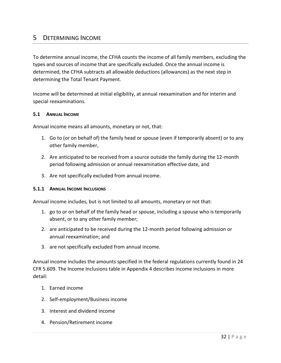# 5 DETERMINING INCOME

To determine annual income, the CFHA counts the income of all family members, excluding the types and sources of income that are specifically excluded. Once the annual income is determined, the CFHA subtracts all allowable deductions (allowances) as the next step in determining the Total Tenant Payment.

Income will be determined at initial eligibility, at annual reexamination and for interim and special reexaminations.

#### **5.1 ANNUAL INCOME**

Annual income means all amounts, monetary or not, that:

- 1. Go to (or on behalf of) the family head or spouse (even if temporarily absent) or to any other family member,
- 2. Are anticipated to be received from a source outside the family during the 12-month period following admission or annual reexamination effective date, and
- 3. Are not specifically excluded from annual income.

#### **5.1.1 ANNUAL INCOME INCLUSIONS**

Annual income includes, but is not limited to all amounts, monetary or not that:

- 1. go to or on behalf of the family head or spouse, including a spouse who is temporarily absent, or to any other family member;
- 2. are anticipated to be received during the 12-month period following admission or annual reexamination; and
- 3. are not specifically excluded from annual income.

Annual income includes the amounts specified in the federal regulations currently found in 24 CFR 5.609. The Income Inclusions table in Appendix 4 describes income inclusions in more detail:

- 1. Earned income
- 2. Self-employment/Business income
- 3. Interest and dividend income
- 4. Pension/Retirement income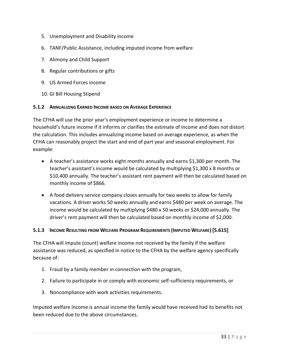- 5. Unemployment and Disability income
- 6. TANF/Public Assistance, including imputed income from welfare
- 7. Alimony and Child Support
- 8. Regular contributions or gifts
- 9. US Armed Forces income
- 10. GI Bill Housing Stipend

#### **5.1.2 ANNUALIZING EARNED INCOME BASED ON AVERAGE EXPERIENCE**

The CFHA will use the prior year's employment experience or income to determine a household's future income if it informs or clarifies the estimate of income and does not distort the calculation. This includes annualizing income based on average experience, as when the CFHA can reasonably project the start and end of part year and seasonal employment. For example:

- A teacher's assistance works eight months annually and earns \$1,300 per month. The teacher's assistant's income would be calculated by multiplying \$1,300 x 8 months or \$10,400 annually. The teacher's assistant rent payment will then be calculated based on monthly income of \$866.
- A food delivery service company closes annually for two weeks to allow for family vacations. A driver works 50 weeks annually and earns \$480 per week on average. The income would be calculated by multiplying \$480 x 50 weeks or \$24,000 annually. The driver's rent payment will then be calculated based on monthly income of \$2,000.

### **5.1.3 INCOME RESULTING FROM WELFARE PROGRAM REQUIREMENTS (IMPUTED WELFARE) [5.615]**

The CFHA will impute (count) welfare income not received by the family if the welfare assistance was reduced, as specified in notice to the CFHA by the welfare agency specifically because of:

- 1. Fraud by a family member in connection with the program,
- 2. Failure to participate in or comply with economic self-sufficiency requirements, or
- 3. Noncompliance with work activities requirements.

Imputed welfare income is annual income the family would have received had its benefits not been reduced due to the above circumstances.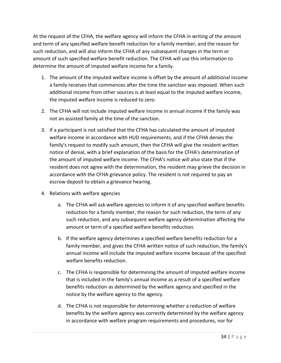At the request of the CFHA, the welfare agency will inform the CFHA in writing of the amount and term of any specified welfare benefit reduction for a family member, and the reason for such reduction, and will also inform the CFHA of any subsequent changes in the term or amount of such specified welfare benefit reduction. The CFHA will use this information to determine the amount of imputed welfare income for a family.

- 1. The amount of the imputed welfare income is offset by the amount of additional income a family receives that commences after the time the sanction was imposed. When such additional income from other sources is at least equal to the imputed welfare income, the imputed welfare income is reduced to zero.
- 2. The CFHA will not include imputed welfare income in annual income if the family was not an assisted family at the time of the sanction.
- 3. If a participant is not satisfied that the CFHA has calculated the amount of imputed welfare income in accordance with HUD requirements, and if the CFHA denies the family's request to modify such amount, then the CFHA will give the resident written notice of denial, with a brief explanation of the basis for the CFHA's determination of the amount of imputed welfare income. The CFHA's notice will also state that if the resident does not agree with the determination, the resident may grieve the decision in accordance with the CFHA grievance policy. The resident is not required to pay an escrow deposit to obtain a grievance hearing.
- 4. Relations with welfare agencies
	- a. The CFHA will ask welfare agencies to inform it of any specified welfare benefits reduction for a family member, the reason for such reduction, the term of any such reduction, and any subsequent welfare agency determination affecting the amount or term of a specified welfare benefits reduction.
	- b. If the welfare agency determines a specified welfare benefits reduction for a family member, and gives the CFHA written notice of such reduction, the family's annual income will include the imputed welfare income because of the specified welfare benefits reduction.
	- c. The CFHA is responsible for determining the amount of imputed welfare income that is included in the family's annual income as a result of a specified welfare benefits reduction as determined by the welfare agency and specified in the notice by the welfare agency to the agency.
	- d. The CFHA is not responsible for determining whether a reduction of welfare benefits by the welfare agency was correctly determined by the welfare agency in accordance with welfare program requirements and procedures, nor for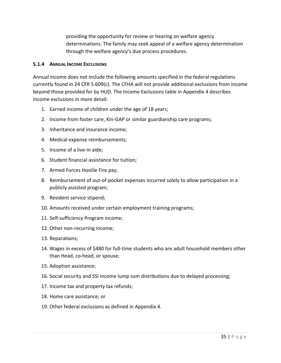providing the opportunity for review or hearing on welfare agency determinations. The family may seek appeal of a welfare agency determination through the welfare agency's due process procedures.

#### **5.1.4 ANNUAL INCOME EXCLUSIONS**

Annual income does not include the following amounts specified in the federal regulations currently found in 24 CFR 5.609(c). The CFHA will not provide additional exclusions from income beyond those provided for by HUD. The Income Exclusions table in Appendix 4 describes income exclusions in more detail:

- 1. Earned income of children under the age of 18 years;
- 2. Income from foster care, Kin-GAP or similar guardianship care programs;
- 3. Inheritance and insurance income;
- 4. Medical expense reimbursements;
- 5. Income of a live-in aide;
- 6. Student financial assistance for tuition;
- 7. Armed Forces Hostile Fire pay;
- 8. Reimbursement of out-of-pocket expenses incurred solely to allow participation in a publicly assisted program;
- 9. Resident service stipend;
- 10. Amounts received under certain employment training programs;
- 11. Self-sufficiency Program income;
- 12. Other non-recurring income;
- 13. Reparations;
- 14. Wages in excess of \$480 for full-time students who are adult household members other than Head, co-head, or spouse;
- 15. Adoption assistance;
- 16. Social security and SSI income lump sum distributions due to delayed processing;
- 17. Income tax and property tax refunds;
- 18. Home care assistance; or
- 19. Other federal exclusions as defined in Appendix 4.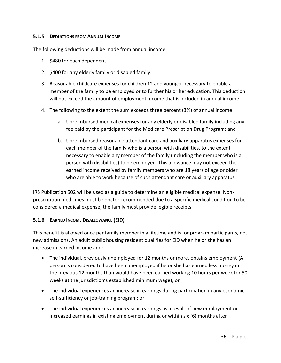#### **5.1.5 DEDUCTIONS FROM ANNUAL INCOME**

The following deductions will be made from annual income:

- 1. \$480 for each dependent.
- 2. \$400 for any elderly family or disabled family.
- 3. Reasonable childcare expenses for children 12 and younger necessary to enable a member of the family to be employed or to further his or her education. This deduction will not exceed the amount of employment income that is included in annual income.
- 4. The following to the extent the sum exceeds three percent (3%) of annual income:
	- a. Unreimbursed medical expenses for any elderly or disabled family including any fee paid by the participant for the Medicare Prescription Drug Program; and
	- b. Unreimbursed reasonable attendant care and auxiliary apparatus expenses for each member of the family who is a person with disabilities, to the extent necessary to enable any member of the family (including the member who is a person with disabilities) to be employed. This allowance may not exceed the earned income received by family members who are 18 years of age or older who are able to work because of such attendant care or auxiliary apparatus.

IRS Publication 502 will be used as a guide to determine an eligible medical expense. Nonprescription medicines must be doctor-recommended due to a specific medical condition to be considered a medical expense; the family must provide legible receipts.

### **5.1.6 EARNED INCOME DISALLOWANCE (EID)**

This benefit is allowed once per family member in a lifetime and is for program participants, not new admissions. An adult public housing resident qualifies for EID when he or she has an increase in earned income and:

- The individual, previously unemployed for 12 months or more, obtains employment (A person is considered to have been unemployed if he or she has earned less money in the previous 12 months than would have been earned working 10 hours per week for 50 weeks at the jurisdiction's established minimum wage); or
- The individual experiences an increase in earnings during participation in any economic self-sufficiency or job-training program; or
- The individual experiences an increase in earnings as a result of new employment or increased earnings in existing employment during or within six (6) months after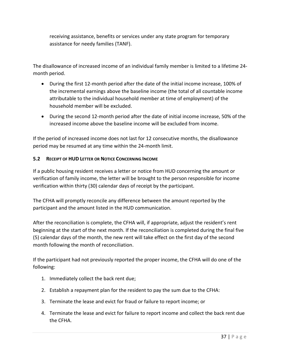receiving assistance, benefits or services under any state program for temporary assistance for needy families (TANF).

The disallowance of increased income of an individual family member is limited to a lifetime 24 month period.

- During the first 12-month period after the date of the initial income increase, 100% of the incremental earnings above the baseline income (the total of all countable income attributable to the individual household member at time of employment) of the household member will be excluded.
- During the second 12-month period after the date of initial income increase, 50% of the increased income above the baseline income will be excluded from income.

If the period of increased income does not last for 12 consecutive months, the disallowance period may be resumed at any time within the 24-month limit.

### **5.2 RECEIPT OF HUD LETTER OR NOTICE CONCERNING INCOME**

If a public housing resident receives a letter or notice from HUD concerning the amount or verification of family income, the letter will be brought to the person responsible for income verification within thirty (30) calendar days of receipt by the participant.

The CFHA will promptly reconcile any difference between the amount reported by the participant and the amount listed in the HUD communication.

After the reconciliation is complete, the CFHA will, if appropriate, adjust the resident's rent beginning at the start of the next month. If the reconciliation is completed during the final five (5) calendar days of the month, the new rent will take effect on the first day of the second month following the month of reconciliation.

If the participant had not previously reported the proper income, the CFHA will do one of the following:

- 1. Immediately collect the back rent due;
- 2. Establish a repayment plan for the resident to pay the sum due to the CFHA:
- 3. Terminate the lease and evict for fraud or failure to report income; or
- 4. Terminate the lease and evict for failure to report income and collect the back rent due the CFHA.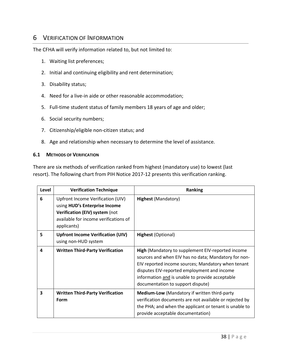# 6 VERIFICATION OF INFORMATION

The CFHA will verify information related to, but not limited to:

- 1. Waiting list preferences;
- 2. Initial and continuing eligibility and rent determination;
- 3. Disability status;
- 4. Need for a live-in aide or other reasonable accommodation;
- 5. Full-time student status of family members 18 years of age and older;
- 6. Social security numbers;
- 7. Citizenship/eligible non-citizen status; and
- 8. Age and relationship when necessary to determine the level of assistance.

#### **6.1 METHODS OF VERIFICATION**

There are six methods of verification ranked from highest (mandatory use) to lowest (last resort). The following chart from PIH Notice 2017-12 presents this verification ranking.

| Level | <b>Verification Technique</b>                                                                                                                                | <b>Ranking</b>                                                                                                                                                                                                                                                                                         |
|-------|--------------------------------------------------------------------------------------------------------------------------------------------------------------|--------------------------------------------------------------------------------------------------------------------------------------------------------------------------------------------------------------------------------------------------------------------------------------------------------|
| 6     | Upfront Income Verification (UIV)<br>using HUD's Enterprise Income<br>Verification (EIV) system (not<br>available for income verifications of<br>applicants) | <b>Highest (Mandatory)</b>                                                                                                                                                                                                                                                                             |
| 5     | <b>Upfront Income Verification (UIV)</b><br>using non-HUD system                                                                                             | <b>Highest (Optional)</b>                                                                                                                                                                                                                                                                              |
| 4     | <b>Written Third-Party Verification</b>                                                                                                                      | High (Mandatory to supplement EIV-reported income<br>sources and when EIV has no data; Mandatory for non-<br>EIV reported income sources; Mandatory when tenant<br>disputes EIV-reported employment and income<br>information and is unable to provide acceptable<br>documentation to support dispute) |
| 3     | <b>Written Third-Party Verification</b><br>Form                                                                                                              | <b>Medium-Low</b> (Mandatory if written third-party<br>verification documents are not available or rejected by<br>the PHA; and when the applicant or tenant is unable to<br>provide acceptable documentation)                                                                                          |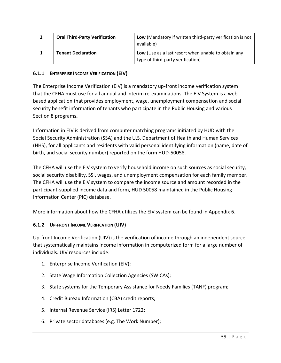| <b>Oral Third-Party Verification</b> | Low (Mandatory if written third-party verification is not<br>available)                  |
|--------------------------------------|------------------------------------------------------------------------------------------|
| <b>Tenant Declaration</b>            | Low (Use as a last resort when unable to obtain any<br>type of third-party verification) |

### **6.1.1 ENTERPRISE INCOME VERIFICATION (EIV)**

The Enterprise Income Verification (EIV) is a mandatory up-front income verification system that the CFHA must use for all annual and interim re-examinations. The EIV System is a webbased application that provides employment, wage, unemployment compensation and social security benefit information of tenants who participate in the Public Housing and various Section 8 programs**.** 

Information in EIV is derived from computer matching programs initiated by HUD with the Social Security Administration (SSA) and the U.S. Department of Health and Human Services (HHS), for all applicants and residents with valid personal identifying information (name, date of birth, and social security number) reported on the form HUD-50058.

The CFHA will use the EIV system to verify household income on such sources as social security, social security disability, SSI, wages, and unemployment compensation for each family member. The CFHA will use the EIV system to compare the income source and amount recorded in the participant-supplied income data and form, HUD 50058 maintained in the Public Housing Information Center (PIC) database.

More information about how the CFHA utilizes the EIV system can be found in Appendix 6.

### **6.1.2 UP-FRONT INCOME VERIFICATION (UIV)**

Up-front Income Verification (UIV) is the verification of income through an independent source that systematically maintains income information in computerized form for a large number of individuals. UIV resources include:

- 1. Enterprise Income Verification (EIV);
- 2. State Wage Information Collection Agencies (SWICAs);
- 3. State systems for the Temporary Assistance for Needy Families (TANF) program;
- 4. Credit Bureau Information (CBA) credit reports;
- 5. Internal Revenue Service (IRS) Letter 1722;
- 6. Private sector databases (e.g. The Work Number);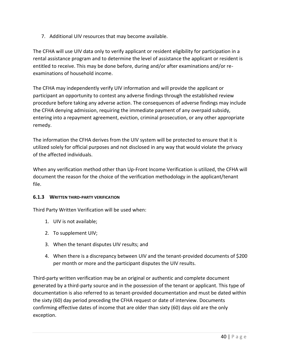7. Additional UIV resources that may become available.

The CFHA will use UIV data only to verify applicant or resident eligibility for participation in a rental assistance program and to determine the level of assistance the applicant or resident is entitled to receive. This may be done before, during and/or after examinations and/or reexaminations of household income.

The CFHA may independently verify UIV information and will provide the applicant or participant an opportunity to contest any adverse findings through the established review procedure before taking any adverse action. The consequences of adverse findings may include the CFHA denying admission, requiring the immediate payment of any overpaid subsidy, entering into a repayment agreement, eviction, criminal prosecution, or any other appropriate remedy.

The information the CFHA derives from the UIV system will be protected to ensure that it is utilized solely for official purposes and not disclosed in any way that would violate the privacy of the affected individuals.

When any verification method other than Up-Front Income Verification is utilized, the CFHA will document the reason for the choice of the verification methodology in the applicant/tenant file.

# **6.1.3 WRITTEN THIRD-PARTY VERIFICATION**

Third Party Written Verification will be used when:

- 1. UIV is not available;
- 2. To supplement UIV;
- 3. When the tenant disputes UIV results; and
- 4. When there is a discrepancy between UIV and the tenant-provided documents of \$200 per month or more and the participant disputes the UIV results.

Third-party written verification may be an original or authentic and complete document generated by a third-party source and in the possession of the tenant or applicant. This type of documentation is also referred to as tenant-provided documentation and must be dated within the sixty (60) day period preceding the CFHA request or date of interview. Documents confirming effective dates of income that are older than sixty (60) days old are the only exception.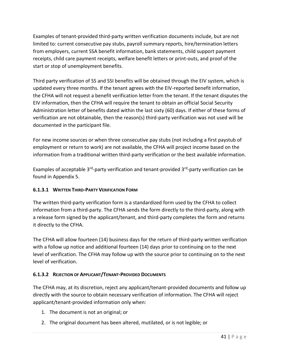Examples of tenant-provided third-party written verification documents include, but are not limited to: current consecutive pay stubs, payroll summary reports, hire/termination letters from employers, current SSA benefit information, bank statements, child support payment receipts, child care payment receipts, welfare benefit letters or print-outs, and proof of the start or stop of unemployment benefits.

Third party verification of SS and SSI benefits will be obtained through the EIV system, which is updated every three months. If the tenant agrees with the EIV-reported benefit information, the CFHA will not request a benefit verification letter from the tenant. If the tenant disputes the EIV information, then the CFHA will require the tenant to obtain an official Social Security Administration letter of benefits dated within the last sixty (60) days. If either of these forms of verification are not obtainable, then the reason(s) third-party verification was not used will be documented in the participant file.

For new income sources or when three consecutive pay stubs (not including a first paystub of employment or return to work) are not available, the CFHA will project income based on the information from a traditional written third-party verification or the best available information.

Examples of acceptable 3<sup>rd</sup>-party verification and tenant-provided 3<sup>rd</sup>-party verification can be found in Appendix 5.

# **6.1.3.1 WRITTEN THIRD-PARTY VERIFICATION FORM**

The written third-party verification form is a standardized form used by the CFHA to collect information from a third-party. The CFHA sends the form directly to the third-party, along with a release form signed by the applicant/tenant, and third-party completes the form and returns it directly to the CFHA.

The CFHA will allow fourteen (14) business days for the return of third-party written verification with a follow up notice and additional fourteen (14) days prior to continuing on to the next level of verification. The CFHA may follow up with the source prior to continuing on to the next level of verification.

# **6.1.3.2 REJECTION OF APPLICANT/TENANT-PROVIDED DOCUMENTS**

The CFHA may, at its discretion, reject any applicant/tenant-provided documents and follow up directly with the source to obtain necessary verification of information. The CFHA will reject applicant/tenant-provided information only when:

- 1. The document is not an original; or
- 2. The original document has been altered, mutilated, or is not legible; or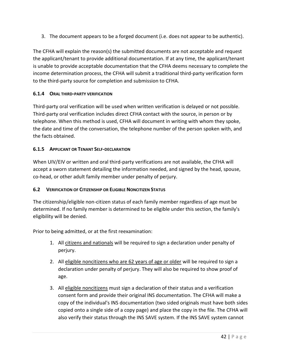3. The document appears to be a forged document (i.e. does not appear to be authentic).

The CFHA will explain the reason(s) the submitted documents are not acceptable and request the applicant/tenant to provide additional documentation. If at any time, the applicant/tenant is unable to provide acceptable documentation that the CFHA deems necessary to complete the income determination process, the CFHA will submit a traditional third-party verification form to the third-party source for completion and submission to CFHA.

### **6.1.4 ORAL THIRD-PARTY VERIFICATION**

Third-party oral verification will be used when written verification is delayed or not possible. Third-party oral verification includes direct CFHA contact with the source, in person or by telephone. When this method is used, CFHA will document in writing with whom they spoke, the date and time of the conversation, the telephone number of the person spoken with, and the facts obtained.

### **6.1.5 APPLICANT OR TENANT SELF-DECLARATION**

When UIV/EIV or written and oral third-party verifications are not available, the CFHA will accept a sworn statement detailing the information needed, and signed by the head, spouse, co-head, or other adult family member under penalty of perjury.

### **6.2 VERIFICATION OF CITIZENSHIP OR ELIGIBLE NONCITIZEN STATUS**

The citizenship/eligible non-citizen status of each family member regardless of age must be determined. If no family member is determined to be eligible under this section, the family's eligibility will be denied.

Prior to being admitted, or at the first reexamination:

- 1. All citizens and nationals will be required to sign a declaration under penalty of perjury.
- 2. All eligible noncitizens who are 62 years of age or older will be required to sign a declaration under penalty of perjury. They will also be required to show proof of age.
- 3. All eligible noncitizens must sign a declaration of their status and a verification consent form and provide their original INS documentation. The CFHA will make a copy of the individual's INS documentation (two sided originals must have both sides copied onto a single side of a copy page) and place the copy in the file. The CFHA will also verify their status through the INS SAVE system. If the INS SAVE system cannot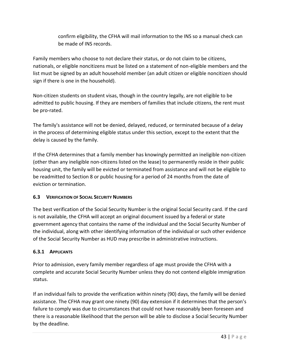confirm eligibility, the CFHA will mail information to the INS so a manual check can be made of INS records.

Family members who choose to not declare their status, or do not claim to be citizens, nationals, or eligible noncitizens must be listed on a statement of non-eligible members and the list must be signed by an adult household member (an adult citizen or eligible noncitizen should sign if there is one in the household).

Non-citizen students on student visas, though in the country legally, are not eligible to be admitted to public housing. If they are members of families that include citizens, the rent must be pro-rated.

The family's assistance will not be denied, delayed, reduced, or terminated because of a delay in the process of determining eligible status under this section, except to the extent that the delay is caused by the family.

If the CFHA determines that a family member has knowingly permitted an ineligible non-citizen (other than any ineligible non-citizens listed on the lease) to permanently reside in their public housing unit, the family will be evicted or terminated from assistance and will not be eligible to be readmitted to Section 8 or public housing for a period of 24 months from the date of eviction or termination.

# **6.3 VERIFICATION OF SOCIAL SECURITY NUMBERS**

The best verification of the Social Security Number is the original Social Security card. If the card is not available, the CFHA will accept an original document issued by a federal or state government agency that contains the name of the individual and the Social Security Number of the individual, along with other identifying information of the individual or such other evidence of the Social Security Number as HUD may prescribe in administrative instructions.

# **6.3.1 APPLICANTS**

Prior to admission, every family member regardless of age must provide the CFHA with a complete and accurate Social Security Number unless they do not contend eligible immigration status.

If an individual fails to provide the verification within ninety (90) days, the family will be denied assistance. The CFHA may grant one ninety (90) day extension if it determines that the person's failure to comply was due to circumstances that could not have reasonably been foreseen and there is a reasonable likelihood that the person will be able to disclose a Social Security Number by the deadline.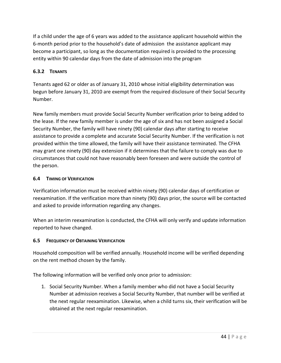If a child under the age of 6 years was added to the assistance applicant household within the 6-month period prior to the household's date of admission the assistance applicant may become a participant, so long as the documentation required is provided to the processing entity within 90 calendar days from the date of admission into the program

# **6.3.2 TENANTS**

Tenants aged 62 or older as of January 31, 2010 whose initial eligibility determination was begun before January 31, 2010 are exempt from the required disclosure of their Social Security Number.

New family members must provide Social Security Number verification prior to being added to the lease. If the new family member is under the age of six and has not been assigned a Social Security Number, the family will have ninety (90) calendar days after starting to receive assistance to provide a complete and accurate Social Security Number. If the verification is not provided within the time allowed, the family will have their assistance terminated. The CFHA may grant one ninety (90) day extension if it determines that the failure to comply was due to circumstances that could not have reasonably been foreseen and were outside the control of the person.

### **6.4 TIMING OF VERIFICATION**

Verification information must be received within ninety (90) calendar days of certification or reexamination. If the verification more than ninety (90) days prior, the source will be contacted and asked to provide information regarding any changes.

When an interim reexamination is conducted, the CFHA will only verify and update information reported to have changed.

### **6.5 FREQUENCY OF OBTAINING VERIFICATION**

Household composition will be verified annually. Household income will be verified depending on the rent method chosen by the family.

The following information will be verified only once prior to admission:

1. Social Security Number. When a family member who did not have a Social Security Number at admission receives a Social Security Number, that number will be verified at the next regular reexamination. Likewise, when a child turns six, their verification will be obtained at the next regular reexamination.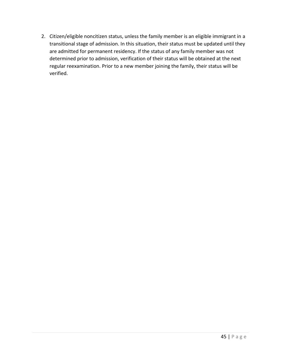2. Citizen/eligible noncitizen status, unless the family member is an eligible immigrant in a transitional stage of admission. In this situation, their status must be updated until they are admitted for permanent residency. If the status of any family member was not determined prior to admission, verification of their status will be obtained at the next regular reexamination. Prior to a new member joining the family, their status will be verified.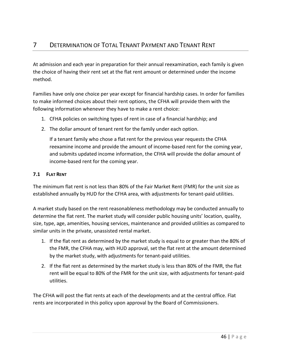At admission and each year in preparation for their annual reexamination, each family is given the choice of having their rent set at the flat rent amount or determined under the income method.

Families have only one choice per year except for financial hardship cases. In order for families to make informed choices about their rent options, the CFHA will provide them with the following information whenever they have to make a rent choice:

- 1. CFHA policies on switching types of rent in case of a financial hardship; and
- 2. The dollar amount of tenant rent for the family under each option.

If a tenant family who chose a flat rent for the previous year requests the CFHA reexamine income and provide the amount of income-based rent for the coming year, and submits updated income information, the CFHA will provide the dollar amount of income-based rent for the coming year.

# **7.1 FLAT RENT**

The minimum flat rent is not less than 80% of the Fair Market Rent (FMR) for the unit size as established annually by HUD for the CFHA area, with adjustments for tenant-paid utilities.

A market study based on the rent reasonableness methodology may be conducted annually to determine the flat rent. The market study will consider public housing units' location, quality, size, type, age, amenities, housing services, maintenance and provided utilities as compared to similar units in the private, unassisted rental market.

- 1. If the flat rent as determined by the market study is equal to or greater than the 80% of the FMR, the CFHA may, with HUD approval, set the flat rent at the amount determined by the market study, with adjustments for tenant-paid utilities.
- 2. If the flat rent as determined by the market study is less than 80% of the FMR, the flat rent will be equal to 80% of the FMR for the unit size, with adjustments for tenant-paid utilities.

The CFHA will post the flat rents at each of the developments and at the central office. Flat rents are incorporated in this policy upon approval by the Board of Commissioners.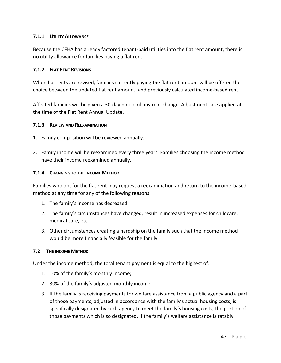### **7.1.1 UTILITY ALLOWANCE**

Because the CFHA has already factored tenant-paid utilities into the flat rent amount, there is no utility allowance for families paying a flat rent.

### **7.1.2 FLAT RENT REVISIONS**

When flat rents are revised, families currently paying the flat rent amount will be offered the choice between the updated flat rent amount, and previously calculated income-based rent.

Affected families will be given a 30-day notice of any rent change. Adjustments are applied at the time of the Flat Rent Annual Update.

#### **7.1.3 REVIEW AND REEXAMINATION**

- 1. Family composition will be reviewed annually.
- 2. Family income will be reexamined every three years. Families choosing the income method have their income reexamined annually.

#### **7.1.4 CHANGING TO THE INCOME METHOD**

Families who opt for the flat rent may request a reexamination and return to the income-based method at any time for any of the following reasons:

- 1. The family's income has decreased.
- 2. The family's circumstances have changed, result in increased expenses for childcare, medical care, etc.
- 3. Other circumstances creating a hardship on the family such that the income method would be more financially feasible for the family.

### **7.2 THE INCOME METHOD**

Under the income method, the total tenant payment is equal to the highest of:

- 1. 10% of the family's monthly income;
- 2. 30% of the family's adjusted monthly income;
- 3. If the family is receiving payments for welfare assistance from a public agency and a part of those payments, adjusted in accordance with the family's actual housing costs, is specifically designated by such agency to meet the family's housing costs, the portion of those payments which is so designated. If the family's welfare assistance is ratably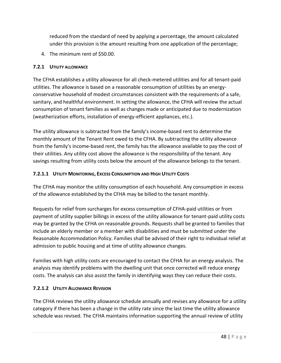reduced from the standard of need by applying a percentage, the amount calculated under this provision is the amount resulting from one application of the percentage;

4. The minimum rent of \$50.00.

# **7.2.1 UTILITY ALLOWANCE**

The CFHA establishes a utility allowance for all check-metered utilities and for all tenant-paid utilities. The allowance is based on a reasonable consumption of utilities by an energyconservative household of modest circumstances consistent with the requirements of a safe, sanitary, and healthful environment. In setting the allowance, the CFHA will review the actual consumption of tenant families as well as changes made or anticipated due to modernization (weatherization efforts, installation of energy-efficient appliances, etc.).

The utility allowance is subtracted from the family's income-based rent to determine the monthly amount of the Tenant Rent owed to the CFHA. By subtracting the utility allowance from the family's income-based rent, the family has the allowance available to pay the cost of their utilities. Any utility cost above the allowance is the responsibility of the tenant. Any savings resulting from utility costs below the amount of the allowance belongs to the tenant.

# **7.2.1.1 UTILITY MONITORING, EXCESS CONSUMPTION AND HIGH UTILITY COSTS**

The CFHA may monitor the utility consumption of each household. Any consumption in excess of the allowance established by the CFHA may be billed to the tenant monthly.

Requests for relief from surcharges for excess consumption of CFHA-paid utilities or from payment of utility supplier billings in excess of the utility allowance for tenant-paid utility costs may be granted by the CFHA on reasonable grounds. Requests shall be granted to families that include an elderly member or a member with disabilities and must be submitted under the Reasonable Accommodation Policy. Families shall be advised of their right to individual relief at admission to public housing and at time of utility allowance changes.

Families with high utility costs are encouraged to contact the CFHA for an energy analysis. The analysis may identify problems with the dwelling unit that once corrected will reduce energy costs. The analysis can also assist the family in identifying ways they can reduce their costs.

# **7.2.1.2 UTILITY ALLOWANCE REVISION**

The CFHA reviews the utility allowance schedule annually and revises any allowance for a utility category if there has been a change in the utility rate since the last time the utility allowance schedule was revised. The CFHA maintains information supporting the annual review of utility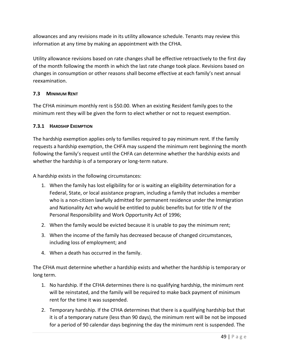allowances and any revisions made in its utility allowance schedule. Tenants may review this information at any time by making an appointment with the CFHA.

Utility allowance revisions based on rate changes shall be effective retroactively to the first day of the month following the month in which the last rate change took place. Revisions based on changes in consumption or other reasons shall become effective at each family's next annual reexamination.

# **7.3 MINIMUM RENT**

The CFHA minimum monthly rent is \$50.00. When an existing Resident family goes to the minimum rent they will be given the form to elect whether or not to request exemption.

# **7.3.1 HARDSHIP EXEMPTION**

The hardship exemption applies only to families required to pay minimum rent. If the family requests a hardship exemption, the CHFA may suspend the minimum rent beginning the month following the family's request until the CHFA can determine whether the hardship exists and whether the hardship is of a temporary or long-term nature.

A hardship exists in the following circumstances:

- 1. When the family has lost eligibility for or is waiting an eligibility determination for a Federal, State, or local assistance program, including a family that includes a member who is a non-citizen lawfully admitted for permanent residence under the Immigration and Nationality Act who would be entitled to public benefits but for title IV of the Personal Responsibility and Work Opportunity Act of 1996;
- 2. When the family would be evicted because it is unable to pay the minimum rent;
- 3. When the income of the family has decreased because of changed circumstances, including loss of employment; and
- 4. When a death has occurred in the family.

The CFHA must determine whether a hardship exists and whether the hardship is temporary or long term.

- 1. No hardship. If the CFHA determines there is no qualifying hardship, the minimum rent will be reinstated, and the family will be required to make back payment of minimum rent for the time it was suspended.
- 2. Temporary hardship. If the CFHA determines that there is a qualifying hardship but that it is of a temporary nature (less than 90 days), the minimum rent will be not be imposed for a period of 90 calendar days beginning the day the minimum rent is suspended. The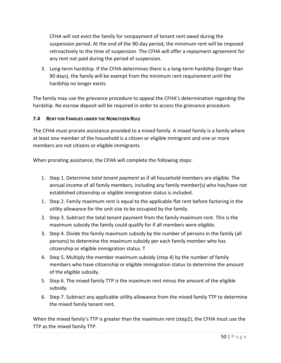CFHA will not evict the family for nonpayment of tenant rent owed during the suspension period. At the end of the 90-day period, the minimum rent will be imposed retroactively to the time of suspension. The CFHA will offer a repayment agreement for any rent not paid during the period of suspension.

3. Long-term hardship. If the CFHA determines there is a long-term hardship (longer than 90 days), the family will be exempt from the minimum rent requirement until the hardship no longer exists.

The family may use the grievance procedure to appeal the CFHA's determination regarding the hardship. No escrow deposit will be required in order to access the grievance procedure.

# **7.4 RENT FOR FAMILIES UNDER THE NONCITIZEN RULE**

The CFHA must prorate assistance provided to a mixed family. A mixed family is a family where at least one member of the household is a citizen or eligible immigrant and one or more members are not citizens or eligible immigrants.

When prorating assistance, the CFHA will complete the following steps:

- 1. Step 1. Determine *total tenant payment* as if all household members are eligible. The annual income of all family members, including any family member(s) who has/have not established citizenship or eligible immigration status is included.
- 1. Step 2. Family maximum rent is equal to the applicable flat rent before factoring in the utility allowance for the unit size to be occupied by the family.
- 2. Step 3. Subtract the total tenant payment from the family maximum rent. This is the maximum subsidy the family could qualify for if all members were eligible.
- 3. Step 4. Divide the family maximum subsidy by the number of persons in the family (all persons) to determine the maximum subsidy per each family member who has citizenship or eligible immigration status. T
- 4. Step 5. Multiply the member maximum subsidy (step 4) by the number of family members who have citizenship or eligible immigration status to determine the amount of the eligible subsidy.
- 5. Step 6. The mixed family TTP is the maximum rent minus the amount of the eligible subsidy.
- 6. Step 7. Subtract any applicable utility allowance from the mixed family TTP to determine the mixed family tenant rent.

When the mixed family's TTP is greater than the maximum rent (step2), the CFHA must use the TTP as the mixed family TTP.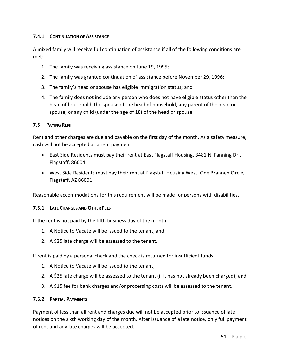### **7.4.1 CONTINUATION OF ASSISTANCE**

A mixed family will receive full continuation of assistance if all of the following conditions are met:

- 1. The family was receiving assistance on June 19, 1995;
- 2. The family was granted continuation of assistance before November 29, 1996;
- 3. The family's head or spouse has eligible immigration status; and
- 4. The family does not include any person who does not have eligible status other than the head of household, the spouse of the head of household, any parent of the head or spouse, or any child (under the age of 18) of the head or spouse.

#### **7.5 PAYING RENT**

Rent and other charges are due and payable on the first day of the month. As a safety measure, cash will not be accepted as a rent payment.

- East Side Residents must pay their rent at East Flagstaff Housing, 3481 N. Fanning Dr., Flagstaff, 86004.
- West Side Residents must pay their rent at Flagstaff Housing West, One Brannen Circle, Flagstaff, AZ 86001.

Reasonable accommodations for this requirement will be made for persons with disabilities.

#### **7.5.1 LATE CHARGES AND OTHER FEES**

If the rent is not paid by the fifth business day of the month:

- 1. A Notice to Vacate will be issued to the tenant; and
- 2. A \$25 late charge will be assessed to the tenant.

If rent is paid by a personal check and the check is returned for insufficient funds:

- 1. A Notice to Vacate will be issued to the tenant;
- 2. A \$25 late charge will be assessed to the tenant (if it has not already been charged); and
- 3. A \$15 fee for bank charges and/or processing costs will be assessed to the tenant.

#### **7.5.2 PARTIAL PAYMENTS**

Payment of less than all rent and charges due will not be accepted prior to issuance of late notices on the sixth working day of the month. After issuance of a late notice, only full payment of rent and any late charges will be accepted.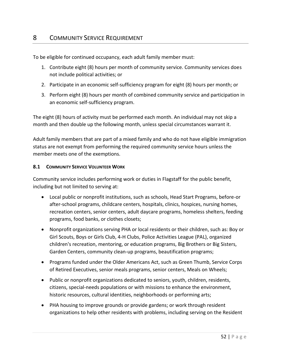# 8 COMMUNITY SERVICE REQUIREMENT

To be eligible for continued occupancy, each adult family member must:

- 1. Contribute eight (8) hours per month of community service. Community services does not include political activities; or
- 2. Participate in an economic self-sufficiency program for eight (8) hours per month; or
- 3. Perform eight (8) hours per month of combined community service and participation in an economic self-sufficiency program.

The eight (8) hours of activity must be performed each month. An individual may not skip a month and then double up the following month, unless special circumstances warrant it.

Adult family members that are part of a mixed family and who do not have eligible immigration status are not exempt from performing the required community service hours unless the member meets one of the exemptions.

#### **8.1 COMMUNITY SERVICE VOLUNTEER WORK**

Community service includes performing work or duties in Flagstaff for the public benefit, including but not limited to serving at:

- Local public or nonprofit institutions, such as schools, Head Start Programs, before-or after-school programs, childcare centers, hospitals, clinics, hospices, nursing homes, recreation centers, senior centers, adult daycare programs, homeless shelters, feeding programs, food banks, or clothes closets;
- Nonprofit organizations serving PHA or local residents or their children, such as: Boy or Girl Scouts, Boys or Girls Club, 4-H Clubs, Police Activities League (PAL), organized children's recreation, mentoring, or education programs, Big Brothers or Big Sisters, Garden Centers, community clean-up programs, beautification programs;
- Programs funded under the Older Americans Act, such as Green Thumb, Service Corps of Retired Executives, senior meals programs, senior centers, Meals on Wheels;
- Public or nonprofit organizations dedicated to seniors, youth, children, residents, citizens, special-needs populations or with missions to enhance the environment, historic resources, cultural identities, neighborhoods or performing arts;
- PHA housing to improve grounds or provide gardens; or work through resident organizations to help other residents with problems, including serving on the Resident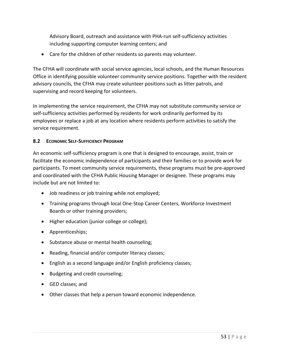Advisory Board, outreach and assistance with PHA-run self-sufficiency activities including supporting computer learning centers; and

• Care for the children of other residents so parents may volunteer.

The CFHA will coordinate with social service agencies, local schools, and the Human Resources Office in identifying possible volunteer community service positions. Together with the resident advisory councils, the CFHA may create volunteer positions such as litter patrols, and supervising and record keeping for volunteers.

In implementing the service requirement, the CFHA may not substitute community service or self-sufficiency activities performed by residents for work ordinarily performed by its employees or replace a job at any location where residents perform activities to satisfy the service requirement.

### **8.2 ECONOMIC SELF-SUFFICIENCY PROGRAM**

An economic self-sufficiency program is one that is designed to encourage, assist, train or facilitate the economic independence of participants and their families or to provide work for participants. To meet community service requirements, these programs must be pre-approved and coordinated with the CFHA Public Housing Manager or designee. These programs may include but are not limited to:

- Job readiness or job training while not employed;
- Training programs through local One-Stop Career Centers, Workforce Investment Boards or other training providers;
- Higher education (junior college or college);
- Apprenticeships;
- Substance abuse or mental health counseling;
- Reading, financial and/or computer literacy classes;
- English as a second language and/or English proficiency classes;
- Budgeting and credit counseling;
- GED classes; and
- Other classes that help a person toward economic independence.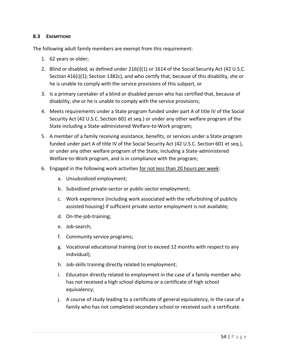#### **8.3 EXEMPTIONS**

The following adult family members are exempt from this requirement:

- 1. 62 years or older;
- 2. Blind or disabled, as defined under 216(i)(1) or 1614 of the Social Security Act (42 U.S.C. Section 416(i)(1); Section 1382c), and who certify that, because of this disability, she or he is unable to comply with the service provisions of this subpart, or
- 3. Is a primary caretaker of a blind or disabled person who has certified that, because of disability, she or he is unable to comply with the service provisions;
- 4. Meets requirements under a State program funded under part A of title IV of the Social Security Act (42 U.S.C. Section 601 et seq.) or under any other welfare program of the State including a State-administered Welfare-to-Work program;
- 5. A member of a family receiving assistance, benefits, or services under a State program funded under part A of title IV of the Social Security Act (42 U.S.C. Section 601 et seq.), or under any other welfare program of the State, including a State-administered Welfare-to-Work program, and is in compliance with the program;
- 6. Engaged in the following work activities for not less than 20 hours per week:
	- a. Unsubsidized employment;
	- b. Subsidized private-sector or public-sector employment;
	- c. Work experience (including work associated with the refurbishing of publicly assisted housing) if sufficient private sector employment is not available;
	- d. On-the-job-training;
	- e. Job-search;
	- f. Community service programs;
	- g. Vocational educational training (not to exceed 12 months with respect to any individual);
	- h. Job-skills training directly related to employment;
	- i. Education directly related to employment in the case of a family member who has not received a high school diploma or a certificate of high school equivalency;
	- j. A course of study leading to a certificate of general equivalency, in the case of a family who has not completed secondary school or received such a certificate.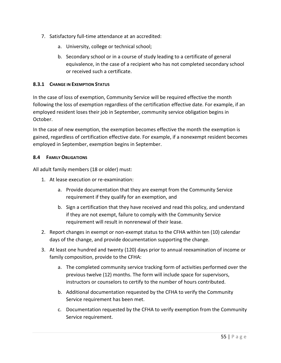- 7. Satisfactory full-time attendance at an accredited:
	- a. University, college or technical school;
	- b. Secondary school or in a course of study leading to a certificate of general equivalence, in the case of a recipient who has not completed secondary school or received such a certificate.

### **8.3.1 CHANGE IN EXEMPTION STATUS**

In the case of loss of exemption, Community Service will be required effective the month following the loss of exemption regardless of the certification effective date. For example, if an employed resident loses their job in September, community service obligation begins in October.

In the case of new exemption, the exemption becomes effective the month the exemption is gained, regardless of certification effective date. For example, if a nonexempt resident becomes employed in September, exemption begins in September.

### **8.4 FAMILY OBLIGATIONS**

All adult family members (18 or older) must:

- 1. At lease execution or re-examination:
	- a. Provide documentation that they are exempt from the Community Service requirement if they qualify for an exemption, and
	- b. Sign a certification that they have received and read this policy, and understand if they are not exempt, failure to comply with the Community Service requirement will result in nonrenewal of their lease.
- 2. Report changes in exempt or non-exempt status to the CFHA within ten (10) calendar days of the change, and provide documentation supporting the change.
- 3. At least one hundred and twenty (120) days prior to annual reexamination of income or family composition, provide to the CFHA:
	- a. The completed community service tracking form of activities performed over the previous twelve (12) months. The form will include space for supervisors, instructors or counselors to certify to the number of hours contributed.
	- b. Additional documentation requested by the CFHA to verify the Community Service requirement has been met.
	- c. Documentation requested by the CFHA to verify exemption from the Community Service requirement.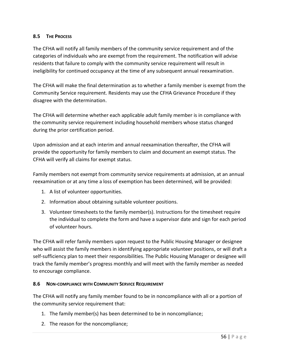### **8.5 THE PROCESS**

The CFHA will notify all family members of the community service requirement and of the categories of individuals who are exempt from the requirement. The notification will advise residents that failure to comply with the community service requirement will result in ineligibility for continued occupancy at the time of any subsequent annual reexamination.

The CFHA will make the final determination as to whether a family member is exempt from the Community Service requirement. Residents may use the CFHA Grievance Procedure if they disagree with the determination.

The CFHA will determine whether each applicable adult family member is in compliance with the community service requirement including household members whose status changed during the prior certification period.

Upon admission and at each interim and annual reexamination thereafter, the CFHA will provide the opportunity for family members to claim and document an exempt status. The CFHA will verify all claims for exempt status.

Family members not exempt from community service requirements at admission, at an annual reexamination or at any time a loss of exemption has been determined, will be provided:

- 1. A list of volunteer opportunities.
- 2. Information about obtaining suitable volunteer positions.
- 3. Volunteer timesheets to the family member(s). Instructions for the timesheet require the individual to complete the form and have a supervisor date and sign for each period of volunteer hours.

The CFHA will refer family members upon request to the Public Housing Manager or designee who will assist the family members in identifying appropriate volunteer positions, or will draft a self-sufficiency plan to meet their responsibilities. The Public Housing Manager or designee will track the family member's progress monthly and will meet with the family member as needed to encourage compliance.

### **8.6 NON-COMPLIANCE WITH COMMUNITY SERVICE REQUIREMENT**

The CFHA will notify any family member found to be in noncompliance with all or a portion of the community service requirement that:

- 1. The family member(s) has been determined to be in noncompliance;
- 2. The reason for the noncompliance;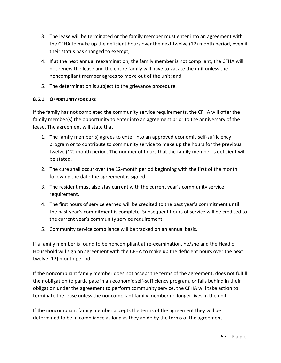- 3. The lease will be terminated or the family member must enter into an agreement with the CFHA to make up the deficient hours over the next twelve (12) month period, even if their status has changed to exempt;
- 4. If at the next annual reexamination, the family member is not compliant, the CFHA will not renew the lease and the entire family will have to vacate the unit unless the noncompliant member agrees to move out of the unit; and
- 5. The determination is subject to the grievance procedure.

### **8.6.1 OPPORTUNITY FOR CURE**

If the family has not completed the community service requirements, the CFHA will offer the family member(s) the opportunity to enter into an agreement prior to the anniversary of the lease. The agreement will state that:

- 1. The family member(s) agrees to enter into an approved economic self-sufficiency program or to contribute to community service to make up the hours for the previous twelve (12) month period. The number of hours that the family member is deficient will be stated.
- 2. The cure shall occur over the 12-month period beginning with the first of the month following the date the agreement is signed.
- 3. The resident must also stay current with the current year's community service requirement.
- 4. The first hours of service earned will be credited to the past year's commitment until the past year's commitment is complete. Subsequent hours of service will be credited to the current year's community service requirement.
- 5. Community service compliance will be tracked on an annual basis.

If a family member is found to be noncompliant at re-examination, he/she and the Head of Household will sign an agreement with the CFHA to make up the deficient hours over the next twelve (12) month period.

If the noncompliant family member does not accept the terms of the agreement, does not fulfill their obligation to participate in an economic self-sufficiency program, or falls behind in their obligation under the agreement to perform community service, the CFHA will take action to terminate the lease unless the noncompliant family member no longer lives in the unit.

If the noncompliant family member accepts the terms of the agreement they will be determined to be in compliance as long as they abide by the terms of the agreement.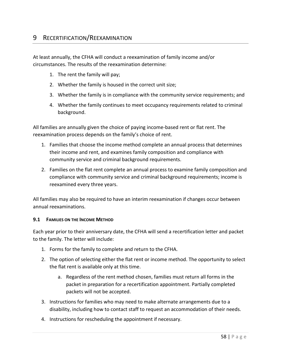# 9 RECERTIFICATION/REEXAMINATION

At least annually, the CFHA will conduct a reexamination of family income and/or circumstances. The results of the reexamination determine:

- 1. The rent the family will pay;
- 2. Whether the family is housed in the correct unit size;
- 3. Whether the family is in compliance with the community service requirements; and
- 4. Whether the family continues to meet occupancy requirements related to criminal background.

All families are annually given the choice of paying income-based rent or flat rent. The reexamination process depends on the family's choice of rent.

- 1. Families that choose the income method complete an annual process that determines their income and rent, and examines family composition and compliance with community service and criminal background requirements.
- 2. Families on the flat rent complete an annual process to examine family composition and compliance with community service and criminal background requirements; income is reexamined every three years.

All families may also be required to have an interim reexamination if changes occur between annual reexaminations.

#### **9.1 FAMILIES ON THE INCOME METHOD**

Each year prior to their anniversary date, the CFHA will send a recertification letter and packet to the family. The letter will include:

- 1. Forms for the family to complete and return to the CFHA.
- 2. The option of selecting either the flat rent or income method. The opportunity to select the flat rent is available only at this time.
	- a. Regardless of the rent method chosen, families must return all forms in the packet in preparation for a recertification appointment. Partially completed packets will not be accepted.
- 3. Instructions for families who may need to make alternate arrangements due to a disability, including how to contact staff to request an accommodation of their needs.
- 4. Instructions for rescheduling the appointment if necessary.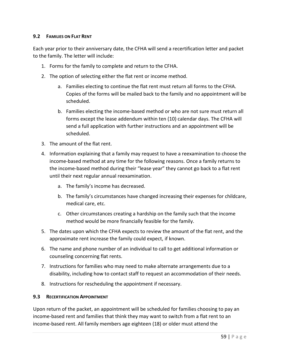### **9.2 FAMILIES ON FLAT RENT**

Each year prior to their anniversary date, the CFHA will send a recertification letter and packet to the family. The letter will include:

- 1. Forms for the family to complete and return to the CFHA.
- 2. The option of selecting either the flat rent or income method.
	- a. Families electing to continue the flat rent must return all forms to the CFHA. Copies of the forms will be mailed back to the family and no appointment will be scheduled.
	- b. Families electing the income-based method or who are not sure must return all forms except the lease addendum within ten (10) calendar days. The CFHA will send a full application with further instructions and an appointment will be scheduled.
- 3. The amount of the flat rent.
- 4. Information explaining that a family may request to have a reexamination to choose the income-based method at any time for the following reasons. Once a family returns to the income-based method during their "lease year" they cannot go back to a flat rent until their next regular annual reexamination.
	- a. The family's income has decreased.
	- b. The family's circumstances have changed increasing their expenses for childcare, medical care, etc.
	- c. Other circumstances creating a hardship on the family such that the income method would be more financially feasible for the family.
- 5. The dates upon which the CFHA expects to review the amount of the flat rent, and the approximate rent increase the family could expect, if known.
- 6. The name and phone number of an individual to call to get additional information or counseling concerning flat rents.
- 7. Instructions for families who may need to make alternate arrangements due to a disability, including how to contact staff to request an accommodation of their needs.
- 8. Instructions for rescheduling the appointment if necessary.

#### **9.3 RECERTIFICATION APPOINTMENT**

Upon return of the packet, an appointment will be scheduled for families choosing to pay an income-based rent and families that think they may want to switch from a flat rent to an income-based rent. All family members age eighteen (18) or older must attend the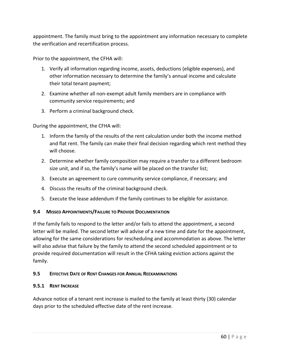appointment. The family must bring to the appointment any information necessary to complete the verification and recertification process.

Prior to the appointment, the CFHA will:

- 1. Verify all information regarding income, assets, deductions (eligible expenses), and other information necessary to determine the family's annual income and calculate their total tenant payment;
- 2. Examine whether all non-exempt adult family members are in compliance with community service requirements; and
- 3. Perform a criminal background check.

During the appointment, the CFHA will:

- 1. Inform the family of the results of the rent calculation under both the income method and flat rent. The family can make their final decision regarding which rent method they will choose.
- 2. Determine whether family composition may require a transfer to a different bedroom size unit, and if so, the family's name will be placed on the transfer list;
- 3. Execute an agreement to cure community service compliance, if necessary; and
- 4. Discuss the results of the criminal background check.
- 5. Execute the lease addendum if the family continues to be eligible for assistance.

# **9.4 MISSED APPOINTMENTS/FAILURE TO PROVIDE DOCUMENTATION**

If the family fails to respond to the letter and/or fails to attend the appointment, a second letter will be mailed. The second letter will advise of a new time and date for the appointment, allowing for the same considerations for rescheduling and accommodation as above. The letter will also advise that failure by the family to attend the second scheduled appointment or to provide required documentation will result in the CFHA taking eviction actions against the family.

# **9.5 EFFECTIVE DATE OF RENT CHANGES FOR ANNUAL REEXAMINATIONS**

### **9.5.1 RENT INCREASE**

Advance notice of a tenant rent increase is mailed to the family at least thirty (30) calendar days prior to the scheduled effective date of the rent increase.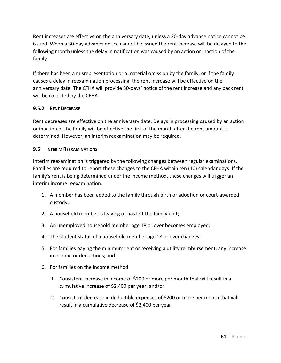Rent increases are effective on the anniversary date, unless a 30-day advance notice cannot be issued. When a 30-day advance notice cannot be issued the rent increase will be delayed to the following month unless the delay in notification was caused by an action or inaction of the family.

If there has been a misrepresentation or a material omission by the family, or if the family causes a delay in reexamination processing, the rent increase will be effective on the anniversary date. The CFHA will provide 30-days' notice of the rent increase and any back rent will be collected by the CFHA.

# **9.5.2 RENT DECREASE**

Rent decreases are effective on the anniversary date. Delays in processing caused by an action or inaction of the family will be effective the first of the month after the rent amount is determined. However, an interim reexamination may be required.

### **9.6 INTERIM REEXAMINATIONS**

Interim reexamination is triggered by the following changes between regular examinations. Families are required to report these changes to the CFHA within ten (10) calendar days. If the family's rent is being determined under the income method, these changes will trigger an interim income reexamination.

- 1. A member has been added to the family through birth or adoption or court-awarded custody;
- 2. A household member is leaving or has left the family unit;
- 3. An unemployed household member age 18 or over becomes employed;
- 4. The student status of a household member age 18 or over changes;
- 5. For families paying the minimum rent or receiving a utility reimbursement, any increase in income or deductions; and
- 6. For families on the income method:
	- 1. Consistent increase in income of \$200 or more per month that will result in a cumulative increase of \$2,400 per year; and/or
	- 2. Consistent decrease in deductible expenses of \$200 or more per month that will result in a cumulative decrease of \$2,400 per year.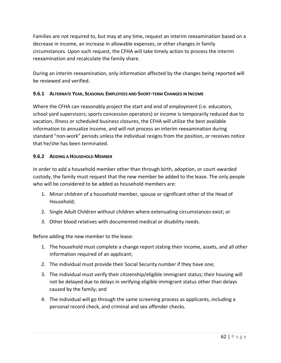Families are not required to, but may at any time, request an interim reexamination based on a decrease in income, an increase in allowable expenses, or other changes in family circumstances. Upon such request, the CFHA will take timely action to process the interim reexamination and recalculate the family share.

During an interim reexamination, only information affected by the changes being reported will be reviewed and verified.

# **9.6.1 ALTERNATE YEAR, SEASONAL EMPLOYEES AND SHORT-TERM CHANGES IN INCOME**

Where the CFHA can reasonably project the start and end of employment (i.e. educators, school yard supervisors; sports concession operators) or income is temporarily reduced due to vacation, illness or scheduled business closures, the CFHA will utilize the best available information to annualize income, and will not process an interim reexamination during standard "non-work" periods unless the individual resigns from the position, or receives notice that he/she has been terminated.

# **9.6.2 ADDING A HOUSEHOLD MEMBER**

In order to add a household member other than through birth, adoption, or court-awarded custody, the family must request that the new member be added to the lease. The only people who will be considered to be added as household members are:

- 1. Minor children of a household member, spouse or significant other of the Head of Household;
- 2. Single Adult Children without children where extenuating circumstances exist; or
- 3. Other blood relatives with documented medical or disability needs.

Before adding the new member to the lease:

- 1. The household must complete a change report stating their income, assets, and all other information required of an applicant;
- 2. The individual must provide their Social Security number if they have one;
- 3. The individual must verify their citizenship/eligible immigrant status; their housing will not be delayed due to delays in verifying eligible immigrant status other than delays caused by the family; and
- 4. The individual will go through the same screening process as applicants, including a personal record check, and criminal and sex offender checks.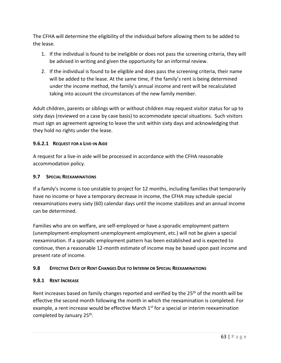The CFHA will determine the eligibility of the individual before allowing them to be added to the lease.

- 1. If the individual is found to be ineligible or does not pass the screening criteria, they will be advised in writing and given the opportunity for an informal review.
- 2. If the individual is found to be eligible and does pass the screening criteria, their name will be added to the lease. At the same time, if the family's rent is being determined under the income method, the family's annual income and rent will be recalculated taking into account the circumstances of the new family member.

Adult children, parents or siblings with or without children may request visitor status for up to sixty days (reviewed on a case by case basis) to accommodate special situations. Such visitors must sign an agreement agreeing to leave the unit within sixty days and acknowledging that they hold no rights under the lease.

# **9.6.2.1 REQUEST FOR A LIVE-IN AIDE**

A request for a live-in aide will be processed in accordance with the CFHA reasonable accommodation policy.

### **9.7 SPECIAL REEXAMINATIONS**

If a family's income is too unstable to project for 12 months, including families that temporarily have no income or have a temporary decrease in income, the CFHA may schedule special reexaminations every sixty (60) calendar days until the income stabilizes and an annual income can be determined.

Families who are on welfare, are self-employed or have a sporadic employment pattern (unemployment-employment-unemployment-employment, etc.) will not be given a special reexamination. If a sporadic employment pattern has been established and is expected to continue, then a reasonable 12-month estimate of income may be based upon past income and present rate of income.

# **9.8 EFFECTIVE DATE OF RENT CHANGES DUE TO INTERIM OR SPECIAL REEXAMINATIONS**

### **9.8.1 RENT INCREASE**

Rent increases based on family changes reported and verified by the 25<sup>th</sup> of the month will be effective the second month following the month in which the reexamination is completed. For example, a rent increase would be effective March  $1<sup>st</sup>$  for a special or interim reexamination completed by January 25<sup>th</sup>.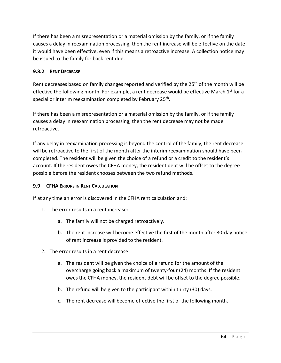If there has been a misrepresentation or a material omission by the family, or if the family causes a delay in reexamination processing, then the rent increase will be effective on the date it would have been effective, even if this means a retroactive increase. A collection notice may be issued to the family for back rent due.

# **9.8.2 RENT DECREASE**

Rent decreases based on family changes reported and verified by the 25<sup>th</sup> of the month will be effective the following month. For example, a rent decrease would be effective March  $1<sup>st</sup>$  for a special or interim reexamination completed by February 25<sup>th</sup>.

If there has been a misrepresentation or a material omission by the family, or if the family causes a delay in reexamination processing, then the rent decrease may not be made retroactive.

If any delay in reexamination processing is beyond the control of the family, the rent decrease will be retroactive to the first of the month after the interim reexamination should have been completed. The resident will be given the choice of a refund or a credit to the resident's account. If the resident owes the CFHA money, the resident debt will be offset to the degree possible before the resident chooses between the two refund methods.

# **9.9 CFHA ERRORS IN RENT CALCULATION**

If at any time an error is discovered in the CFHA rent calculation and:

- 1. The error results in a rent increase:
	- a. The family will not be charged retroactively.
	- b. The rent increase will become effective the first of the month after 30-day notice of rent increase is provided to the resident.
- 2. The error results in a rent decrease:
	- a. The resident will be given the choice of a refund for the amount of the overcharge going back a maximum of twenty-four (24) months. If the resident owes the CFHA money, the resident debt will be offset to the degree possible.
	- b. The refund will be given to the participant within thirty (30) days.
	- c. The rent decrease will become effective the first of the following month.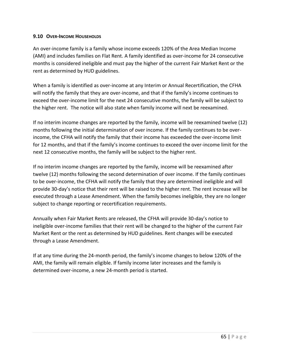### **9.10 OVER-INCOME HOUSEHOLDS**

An over-income family is a family whose income exceeds 120% of the Area Median Income (AMI) and includes families on Flat Rent. A family identified as over-income for 24 consecutive months is considered ineligible and must pay the higher of the current Fair Market Rent or the rent as determined by HUD guidelines.

When a family is identified as over-income at any Interim or Annual Recertification, the CFHA will notify the family that they are over-income, and that if the family's income continues to exceed the over-income limit for the next 24 consecutive months, the family will be subject to the higher rent. The notice will also state when family income will next be reexamined.

If no interim income changes are reported by the family, income will be reexamined twelve (12) months following the initial determination of over income. If the family continues to be overincome, the CFHA will notify the family that their income has exceeded the over-income limit for 12 months, and that if the family's income continues to exceed the over-income limit for the next 12 consecutive months, the family will be subject to the higher rent.

If no interim income changes are reported by the family, income will be reexamined after twelve (12) months following the second determination of over income. If the family continues to be over-income, the CFHA will notify the family that they are determined ineligible and will provide 30-day's notice that their rent will be raised to the higher rent. The rent increase will be executed through a Lease Amendment. When the family becomes ineligible, they are no longer subject to change reporting or recertification requirements.

Annually when Fair Market Rents are released, the CFHA will provide 30-day's notice to ineligible over-income families that their rent will be changed to the higher of the current Fair Market Rent or the rent as determined by HUD guidelines. Rent changes will be executed through a Lease Amendment.

If at any time during the 24-month period, the family's income changes to below 120% of the AMI, the family will remain eligible. If family income later increases and the family is determined over-income, a new 24-month period is started.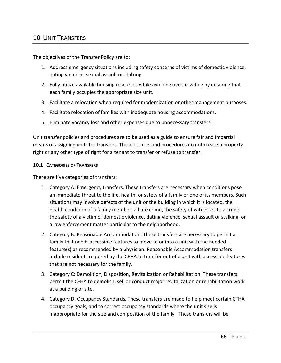The objectives of the Transfer Policy are to:

- 1. Address emergency situations including safety concerns of victims of domestic violence, dating violence, sexual assault or stalking.
- 2. Fully utilize available housing resources while avoiding overcrowding by ensuring that each family occupies the appropriate size unit.
- 3. Facilitate a relocation when required for modernization or other management purposes.
- 4. Facilitate relocation of families with inadequate housing accommodations.
- 5. Eliminate vacancy loss and other expenses due to unnecessary transfers.

Unit transfer policies and procedures are to be used as a guide to ensure fair and impartial means of assigning units for transfers. These policies and procedures do not create a property right or any other type of right for a tenant to transfer or refuse to transfer.

### **10.1 CATEGORIES OF TRANSFERS**

There are five categories of transfers:

- 1. Category A: Emergency transfers. These transfers are necessary when conditions pose an immediate threat to the life, health, or safety of a family or one of its members. Such situations may involve defects of the unit or the building in which it is located, the health condition of a family member, a hate crime, the safety of witnesses to a crime, the safety of a victim of domestic violence, dating violence, sexual assault or stalking, or a law enforcement matter particular to the neighborhood.
- 2. Category B: Reasonable Accommodation. These transfers are necessary to permit a family that needs accessible features to move to or into a unit with the needed feature(s) as recommended by a physician. Reasonable Accommodation transfers include residents required by the CFHA to transfer out of a unit with accessible features that are not necessary for the family.
- 3. Category C: Demolition, Disposition, Revitalization or Rehabilitation. These transfers permit the CFHA to demolish, sell or conduct major revitalization or rehabilitation work at a building or site.
- 4. Category D: Occupancy Standards. These transfers are made to help meet certain CFHA occupancy goals, and to correct occupancy standards where the unit size is inappropriate for the size and composition of the family. These transfers will be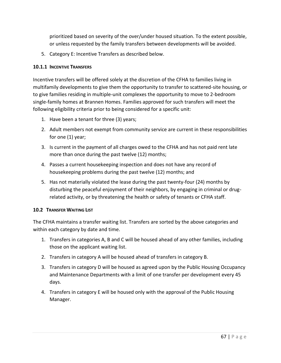prioritized based on severity of the over/under housed situation. To the extent possible, or unless requested by the family transfers between developments will be avoided.

5. Category E: Incentive Transfers as described below.

### **10.1.1 INCENTIVE TRANSFERS**

Incentive transfers will be offered solely at the discretion of the CFHA to families living in multifamily developments to give them the opportunity to transfer to scattered-site housing, or to give families residing in multiple-unit complexes the opportunity to move to 2-bedroom single-family homes at Brannen Homes. Families approved for such transfers will meet the following eligibility criteria prior to being considered for a specific unit:

- 1. Have been a tenant for three (3) years;
- 2. Adult members not exempt from community service are current in these responsibilities for one (1) year;
- 3. Is current in the payment of all charges owed to the CFHA and has not paid rent late more than once during the past twelve (12) months;
- 4. Passes a current housekeeping inspection and does not have any record of housekeeping problems during the past twelve (12) months; and
- 5. Has not materially violated the lease during the past twenty-four (24) months by disturbing the peaceful enjoyment of their neighbors, by engaging in criminal or drugrelated activity, or by threatening the health or safety of tenants or CFHA staff.

#### **10.2 TRANSFER WAITING LIST**

The CFHA maintains a transfer waiting list. Transfers are sorted by the above categories and within each category by date and time.

- 1. Transfers in categories A, B and C will be housed ahead of any other families, including those on the applicant waiting list.
- 2. Transfers in category A will be housed ahead of transfers in category B.
- 3. Transfers in category D will be housed as agreed upon by the Public Housing Occupancy and Maintenance Departments with a limit of one transfer per development every 45 days.
- 4. Transfers in category E will be housed only with the approval of the Public Housing Manager.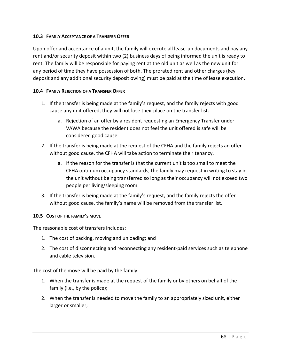### **10.3 FAMILY ACCEPTANCE OF A TRANSFER OFFER**

Upon offer and acceptance of a unit, the family will execute all lease-up documents and pay any rent and/or security deposit within two (2) business days of being informed the unit is ready to rent. The family will be responsible for paying rent at the old unit as well as the new unit for any period of time they have possession of both. The prorated rent and other charges (key deposit and any additional security deposit owing) must be paid at the time of lease execution.

### **10.4 FAMILY REJECTION OF A TRANSFER OFFER**

- 1. If the transfer is being made at the family's request, and the family rejects with good cause any unit offered, they will not lose their place on the transfer list.
	- a. Rejection of an offer by a resident requesting an Emergency Transfer under VAWA because the resident does not feel the unit offered is safe will be considered good cause.
- 2. If the transfer is being made at the request of the CFHA and the family rejects an offer without good cause, the CFHA will take action to terminate their tenancy.
	- a. If the reason for the transfer is that the current unit is too small to meet the CFHA optimum occupancy standards, the family may request in writing to stay in the unit without being transferred so long as their occupancy will not exceed two people per living/sleeping room.
- 3. If the transfer is being made at the family's request, and the family rejects the offer without good cause, the family's name will be removed from the transfer list.

#### **10.5 COST OF THE FAMILY'S MOVE**

The reasonable cost of transfers includes:

- 1. The cost of packing, moving and unloading; and
- 2. The cost of disconnecting and reconnecting any resident-paid services such as telephone and cable television.

The cost of the move will be paid by the family:

- 1. When the transfer is made at the request of the family or by others on behalf of the family (i.e., by the police);
- 2. When the transfer is needed to move the family to an appropriately sized unit, either larger or smaller;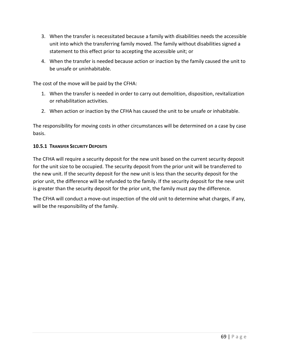- 3. When the transfer is necessitated because a family with disabilities needs the accessible unit into which the transferring family moved. The family without disabilities signed a statement to this effect prior to accepting the accessible unit; or
- 4. When the transfer is needed because action or inaction by the family caused the unit to be unsafe or uninhabitable.

The cost of the move will be paid by the CFHA:

- 1. When the transfer is needed in order to carry out demolition, disposition, revitalization or rehabilitation activities.
- 2. When action or inaction by the CFHA has caused the unit to be unsafe or inhabitable.

The responsibility for moving costs in other circumstances will be determined on a case by case basis.

# **10.5.1 TRANSFER SECURITY DEPOSITS**

The CFHA will require a security deposit for the new unit based on the current security deposit for the unit size to be occupied. The security deposit from the prior unit will be transferred to the new unit. If the security deposit for the new unit is less than the security deposit for the prior unit, the difference will be refunded to the family. If the security deposit for the new unit is greater than the security deposit for the prior unit, the family must pay the difference.

The CFHA will conduct a move-out inspection of the old unit to determine what charges, if any, will be the responsibility of the family.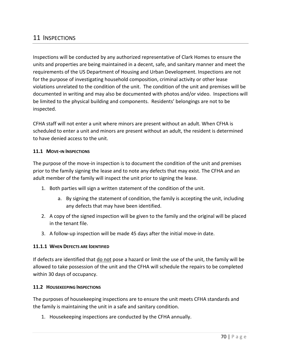# 11 INSPECTIONS

Inspections will be conducted by any authorized representative of Clark Homes to ensure the units and properties are being maintained in a decent, safe, and sanitary manner and meet the requirements of the US Department of Housing and Urban Development. Inspections are not for the purpose of investigating household composition, criminal activity or other lease violations unrelated to the condition of the unit. The condition of the unit and premises will be documented in writing and may also be documented with photos and/or video. Inspections will be limited to the physical building and components. Residents' belongings are not to be inspected.

CFHA staff will not enter a unit where minors are present without an adult. When CFHA is scheduled to enter a unit and minors are present without an adult, the resident is determined to have denied access to the unit.

### **11.1 MOVE-IN INSPECTIONS**

The purpose of the move-in inspection is to document the condition of the unit and premises prior to the family signing the lease and to note any defects that may exist. The CFHA and an adult member of the family will inspect the unit prior to signing the lease.

- 1. Both parties will sign a written statement of the condition of the unit.
	- a. By signing the statement of condition, the family is accepting the unit, including any defects that may have been identified.
- 2. A copy of the signed inspection will be given to the family and the original will be placed in the tenant file.
- 3. A follow-up inspection will be made 45 days after the initial move-in date.

#### **11.1.1 WHEN DEFECTS ARE IDENTIFIED**

If defects are identified that do not pose a hazard or limit the use of the unit, the family will be allowed to take possession of the unit and the CFHA will schedule the repairs to be completed within 30 days of occupancy.

#### **11.2 HOUSEKEEPING INSPECTIONS**

The purposes of housekeeping inspections are to ensure the unit meets CFHA standards and the family is maintaining the unit in a safe and sanitary condition.

1. Housekeeping inspections are conducted by the CFHA annually.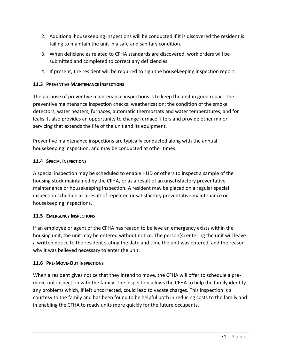- 2. Additional housekeeping inspections will be conducted if it is discovered the resident is failing to maintain the unit in a safe and sanitary condition.
- 3. When deficiencies related to CFHA standards are discovered, work orders will be submitted and completed to correct any deficiencies.
- 4. If present, the resident will be required to sign the housekeeping inspection report.

# **11.3 PREVENTIVE MAINTENANCE INSPECTIONS**

The purpose of preventive maintenance inspections is to keep the unit in good repair. The preventive maintenance inspection checks: weatherization; the condition of the smoke detectors, water heaters, furnaces, automatic thermostats and water temperatures; and for leaks. It also provides an opportunity to change furnace filters and provide other minor servicing that extends the life of the unit and its equipment.

Preventive maintenance inspections are typically conducted along with the annual housekeeping inspection, and may be conducted at other times.

# **11.4 SPECIAL INSPECTIONS**

A special inspection may be scheduled to enable HUD or others to inspect a sample of the housing stock maintained by the CFHA, or as a result of an unsatisfactory preventative maintenance or housekeeping inspection. A resident may be placed on a regular special inspection schedule as a result of repeated unsatisfactory preventative maintenance or housekeeping inspections.

# **11.5 EMERGENCY INSPECTIONS**

If an employee or agent of the CFHA has reason to believe an emergency exists within the housing unit, the unit may be entered without notice. The person(s) entering the unit will leave a written notice to the resident stating the date and time the unit was entered, and the reason why it was believed necessary to enter the unit.

# **11.6 PRE-MOVE-OUT INSPECTIONS**

When a resident gives notice that they intend to move, the CFHA will offer to schedule a premove-out inspection with the family. The inspection allows the CFHA to help the family identify any problems which, if left uncorrected, could lead to vacate charges. This inspection is a courtesy to the family and has been found to be helpful both in reducing costs to the family and in enabling the CFHA to ready units more quickly for the future occupants.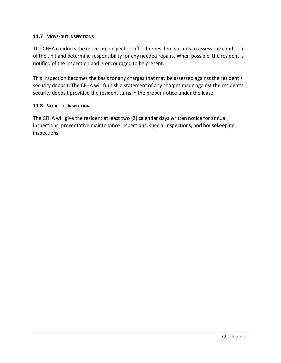### **11.7 MOVE-OUT INSPECTIONS**

The CFHA conducts the move-out inspection after the resident vacates to assess the condition of the unit and determine responsibility for any needed repairs. When possible, the resident is notified of the inspection and is encouraged to be present.

This inspection becomes the basis for any charges that may be assessed against the resident's security deposit. The CFHA will furnish a statement of any charges made against the resident's security deposit provided the resident turns in the proper notice under the lease.

### **11.8 NOTICE OF INSPECTION**

The CFHA will give the resident at least two (2) calendar days written notice for annual inspections, preventative maintenance inspections, special inspections, and housekeeping inspections.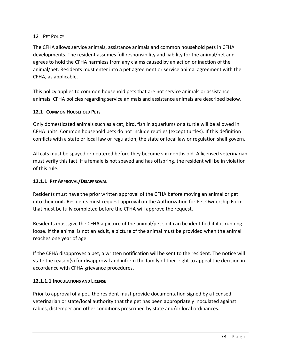### 12 PFT POLICY

The CFHA allows service animals, assistance animals and common household pets in CFHA developments. The resident assumes full responsibility and liability for the animal/pet and agrees to hold the CFHA harmless from any claims caused by an action or inaction of the animal/pet. Residents must enter into a pet agreement or service animal agreement with the CFHA, as applicable.

This policy applies to common household pets that are not service animals or assistance animals. CFHA policies regarding service animals and assistance animals are described below.

# **12.1 COMMON HOUSEHOLD PETS**

Only domesticated animals such as a cat, bird, fish in aquariums or a turtle will be allowed in CFHA units. Common household pets do not include reptiles (except turtles). If this definition conflicts with a state or local law or regulation, the state or local law or regulation shall govern.

All cats must be spayed or neutered before they become six months old. A licensed veterinarian must verify this fact. If a female is not spayed and has offspring, the resident will be in violation of this rule.

### **12.1.1 PET APPROVAL/DISAPPROVAL**

Residents must have the prior written approval of the CFHA before moving an animal or pet into their unit. Residents must request approval on the Authorization for Pet Ownership Form that must be fully completed before the CFHA will approve the request.

Residents must give the CFHA a picture of the animal/pet so it can be identified if it is running loose. If the animal is not an adult, a picture of the animal must be provided when the animal reaches one year of age.

If the CFHA disapproves a pet, a written notification will be sent to the resident. The notice will state the reason(s) for disapproval and inform the family of their right to appeal the decision in accordance with CFHA grievance procedures.

#### **12.1.1.1 INOCULATIONS AND LICENSE**

Prior to approval of a pet, the resident must provide documentation signed by a licensed veterinarian or state/local authority that the pet has been appropriately inoculated against rabies, distemper and other conditions prescribed by state and/or local ordinances.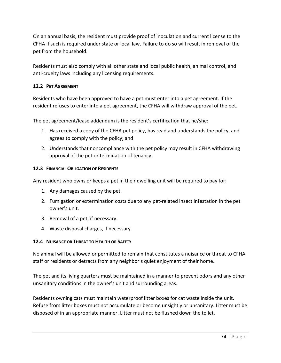On an annual basis, the resident must provide proof of inoculation and current license to the CFHA if such is required under state or local law. Failure to do so will result in removal of the pet from the household.

Residents must also comply with all other state and local public health, animal control, and anti-cruelty laws including any licensing requirements.

# **12.2 PET AGREEMENT**

Residents who have been approved to have a pet must enter into a pet agreement. If the resident refuses to enter into a pet agreement, the CFHA will withdraw approval of the pet.

The pet agreement/lease addendum is the resident's certification that he/she:

- 1. Has received a copy of the CFHA pet policy, has read and understands the policy, and agrees to comply with the policy; and
- 2. Understands that noncompliance with the pet policy may result in CFHA withdrawing approval of the pet or termination of tenancy.

# **12.3 FINANCIAL OBLIGATION OF RESIDENTS**

Any resident who owns or keeps a pet in their dwelling unit will be required to pay for:

- 1. Any damages caused by the pet.
- 2. Fumigation or extermination costs due to any pet-related insect infestation in the pet owner's unit.
- 3. Removal of a pet, if necessary.
- 4. Waste disposal charges, if necessary.

# **12.4 NUISANCE OR THREAT TO HEALTH OR SAFETY**

No animal will be allowed or permitted to remain that constitutes a nuisance or threat to CFHA staff or residents or detracts from any neighbor's quiet enjoyment of their home.

The pet and its living quarters must be maintained in a manner to prevent odors and any other unsanitary conditions in the owner's unit and surrounding areas.

Residents owning cats must maintain waterproof litter boxes for cat waste inside the unit. Refuse from litter boxes must not accumulate or become unsightly or unsanitary. Litter must be disposed of in an appropriate manner. Litter must not be flushed down the toilet.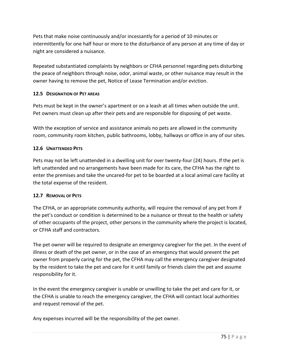Pets that make noise continuously and/or incessantly for a period of 10 minutes or intermittently for one half hour or more to the disturbance of any person at any time of day or night are considered a nuisance.

Repeated substantiated complaints by neighbors or CFHA personnel regarding pets disturbing the peace of neighbors through noise, odor, animal waste, or other nuisance may result in the owner having to remove the pet, Notice of Lease Termination and/or eviction.

# **12.5 DESIGNATION OF PET AREAS**

Pets must be kept in the owner's apartment or on a leash at all times when outside the unit. Pet owners must clean up after their pets and are responsible for disposing of pet waste.

With the exception of service and assistance animals no pets are allowed in the community room, community room kitchen, public bathrooms, lobby, hallways or office in any of our sites.

# **12.6 UNATTENDED PETS**

Pets may not be left unattended in a dwelling unit for over twenty-four (24) hours. If the pet is left unattended and no arrangements have been made for its care, the CFHA has the right to enter the premises and take the uncared-for pet to be boarded at a local animal care facility at the total expense of the resident.

# **12.7 REMOVAL OF PETS**

The CFHA, or an appropriate community authority, will require the removal of any pet from if the pet's conduct or condition is determined to be a nuisance or threat to the health or safety of other occupants of the project, other persons in the community where the project is located, or CFHA staff and contractors.

The pet owner will be required to designate an emergency caregiver for the pet. In the event of illness or death of the pet owner, or in the case of an emergency that would prevent the pet owner from properly caring for the pet, the CFHA may call the emergency caregiver designated by the resident to take the pet and care for it until family or friends claim the pet and assume responsibility for it.

In the event the emergency caregiver is unable or unwilling to take the pet and care for it, or the CFHA is unable to reach the emergency caregiver, the CFHA will contact local authorities and request removal of the pet.

Any expenses incurred will be the responsibility of the pet owner.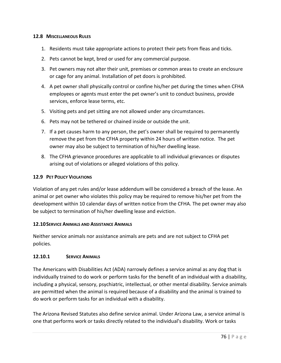### **12.8 MISCELLANEOUS RULES**

- 1. Residents must take appropriate actions to protect their pets from fleas and ticks.
- 2. Pets cannot be kept, bred or used for any commercial purpose.
- 3. Pet owners may not alter their unit, premises or common areas to create an enclosure or cage for any animal. Installation of pet doors is prohibited.
- 4. A pet owner shall physically control or confine his/her pet during the times when CFHA employees or agents must enter the pet owner's unit to conduct business, provide services, enforce lease terms, etc.
- 5. Visiting pets and pet sitting are not allowed under any circumstances.
- 6. Pets may not be tethered or chained inside or outside the unit.
- 7. If a pet causes harm to any person, the pet's owner shall be required to permanently remove the pet from the CFHA property within 24 hours of written notice. The pet owner may also be subject to termination of his/her dwelling lease.
- 8. The CFHA grievance procedures are applicable to all individual grievances or disputes arising out of violations or alleged violations of this policy.

#### **12.9 PET POLICY VIOLATIONS**

Violation of any pet rules and/or lease addendum will be considered a breach of the lease. An animal or pet owner who violates this policy may be required to remove his/her pet from the development within 10 calendar days of written notice from the CFHA. The pet owner may also be subject to termination of his/her dwelling lease and eviction.

#### **12.10SERVICE ANIMALS AND ASSISTANCE ANIMALS**

Neither service animals nor assistance animals are pets and are not subject to CFHA pet policies.

#### **12.10.1 SERVICE ANIMALS**

The Americans with Disabilities Act (ADA) narrowly defines a service animal as any dog that is individually trained to do work or perform tasks for the benefit of an individual with a disability, including a physical, sensory, psychiatric, intellectual, or other mental disability. Service animals are permitted when the animal is required because of a disability and the animal is trained to do work or perform tasks for an individual with a disability.

The Arizona Revised Statutes also define service animal. Under Arizona Law, a service animal is one that performs work or tasks directly related to the individual's disability. Work or tasks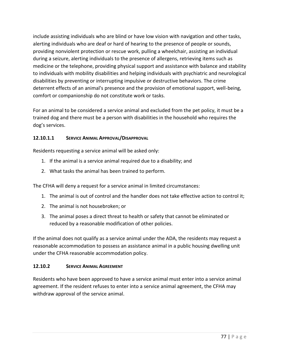include assisting individuals who are blind or have low vision with navigation and other tasks, alerting individuals who are deaf or hard of hearing to the presence of people or sounds, providing nonviolent protection or rescue work, pulling a wheelchair, assisting an individual during a seizure, alerting individuals to the presence of allergens, retrieving items such as medicine or the telephone, providing physical support and assistance with balance and stability to individuals with mobility disabilities and helping individuals with psychiatric and neurological disabilities by preventing or interrupting impulsive or destructive behaviors. The crime deterrent effects of an animal's presence and the provision of emotional support, well-being, comfort or companionship do not constitute work or tasks.

For an animal to be considered a service animal and excluded from the pet policy, it must be a trained dog and there must be a person with disabilities in the household who requires the dog's services.

# **12.10.1.1 SERVICE ANIMAL APPROVAL/DISAPPROVAL**

Residents requesting a service animal will be asked only:

- 1. If the animal is a service animal required due to a disability; and
- 2. What tasks the animal has been trained to perform.

The CFHA will deny a request for a service animal in limited circumstances:

- 1. The animal is out of control and the handler does not take effective action to control it;
- 2. The animal is not housebroken; or
- 3. The animal poses a direct threat to health or safety that cannot be eliminated or reduced by a reasonable modification of other policies.

If the animal does not qualify as a service animal under the ADA, the residents may request a reasonable accommodation to possess an assistance animal in a public housing dwelling unit under the CFHA reasonable accommodation policy.

# **12.10.2 SERVICE ANIMAL AGREEMENT**

Residents who have been approved to have a service animal must enter into a service animal agreement. If the resident refuses to enter into a service animal agreement, the CFHA may withdraw approval of the service animal.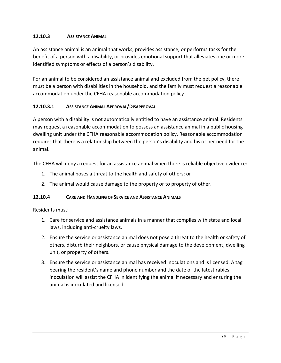# **12.10.3 ASSISTANCE ANIMAL**

An assistance animal is an animal that works, provides assistance, or performs tasks for the benefit of a person with a disability, or provides emotional support that alleviates one or more identified symptoms or effects of a person's disability.

For an animal to be considered an assistance animal and excluded from the pet policy, there must be a person with disabilities in the household, and the family must request a reasonable accommodation under the CFHA reasonable accommodation policy.

# **12.10.3.1 ASSISTANCE ANIMAL APPROVAL/DISAPPROVAL**

A person with a disability is not automatically entitled to have an assistance animal. Residents may request a reasonable accommodation to possess an assistance animal in a public housing dwelling unit under the CFHA reasonable accommodation policy. Reasonable accommodation requires that there is a relationship between the person's disability and his or her need for the animal.

The CFHA will deny a request for an assistance animal when there is reliable objective evidence:

- 1. The animal poses a threat to the health and safety of others; or
- 2. The animal would cause damage to the property or to property of other.

# **12.10.4 CARE AND HANDLING OF SERVICE AND ASSISTANCE ANIMALS**

Residents must:

- 1. Care for service and assistance animals in a manner that complies with state and local laws, including anti-cruelty laws.
- 2. Ensure the service or assistance animal does not pose a threat to the health or safety of others, disturb their neighbors, or cause physical damage to the development, dwelling unit, or property of others.
- 3. Ensure the service or assistance animal has received inoculations and is licensed. A tag bearing the resident's name and phone number and the date of the latest rabies inoculation will assist the CFHA in identifying the animal if necessary and ensuring the animal is inoculated and licensed.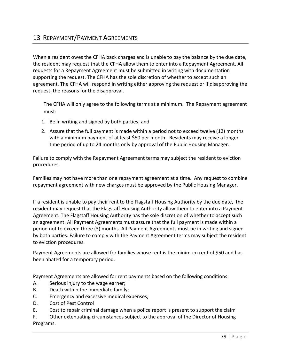When a resident owes the CFHA back charges and is unable to pay the balance by the due date, the resident may request that the CFHA allow them to enter into a Repayment Agreement. All requests for a Repayment Agreement must be submitted in writing with documentation supporting the request. The CFHA has the sole discretion of whether to accept such an agreement. The CFHA will respond in writing either approving the request or if disapproving the request, the reasons for the disapproval.

The CFHA will only agree to the following terms at a minimum. The Repayment agreement must:

- 1. Be in writing and signed by both parties; and
- 2. Assure that the full payment is made within a period not to exceed twelve (12) months with a minimum payment of at least \$50 per month. Residents may receive a longer time period of up to 24 months only by approval of the Public Housing Manager.

Failure to comply with the Repayment Agreement terms may subject the resident to eviction procedures.

Families may not have more than one repayment agreement at a time. Any request to combine repayment agreement with new charges must be approved by the Public Housing Manager.

If a resident is unable to pay their rent to the Flagstaff Housing Authority by the due date, the resident may request that the Flagstaff Housing Authority allow them to enter into a Payment Agreement. The Flagstaff Housing Authority has the sole discretion of whether to accept such an agreement. All Payment Agreements must assure that the full payment is made within a period not to exceed three (3) months. All Payment Agreements must be in writing and signed by both parties. Failure to comply with the Payment Agreement terms may subject the resident to eviction procedures.

Payment Agreements are allowed for families whose rent is the minimum rent of \$50 and has been abated for a temporary period.

Payment Agreements are allowed for rent payments based on the following conditions:

- A. Serious injury to the wage earner;
- B. Death within the immediate family;
- C. Emergency and excessive medical expenses;
- D. Cost of Pest Control
- E. Cost to repair criminal damage when a police report is present to support the claim

F. Other extenuating circumstances subject to the approval of the Director of Housing Programs.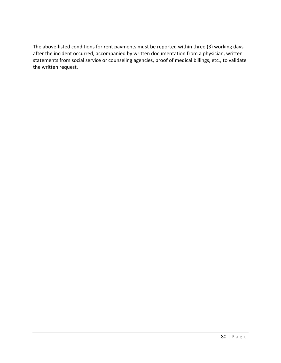The above-listed conditions for rent payments must be reported within three (3) working days after the incident occurred, accompanied by written documentation from a physician, written statements from social service or counseling agencies, proof of medical billings, etc., to validate the written request.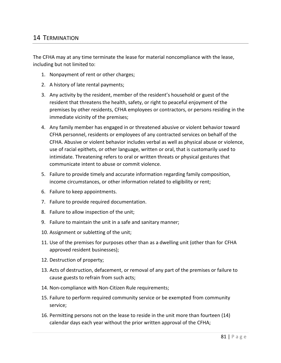# 14 TERMINATION

The CFHA may at any time terminate the lease for material noncompliance with the lease, including but not limited to:

- 1. Nonpayment of rent or other charges;
- 2. A history of late rental payments;
- 3. Any activity by the resident, member of the resident's household or guest of the resident that threatens the health, safety, or right to peaceful enjoyment of the premises by other residents, CFHA employees or contractors, or persons residing in the immediate vicinity of the premises;
- 4. Any family member has engaged in or threatened abusive or violent behavior toward CFHA personnel, residents or employees of any contracted services on behalf of the CFHA. Abusive or violent behavior includes verbal as well as physical abuse or violence, use of racial epithets, or other language, written or oral, that is customarily used to intimidate. Threatening refers to oral or written threats or physical gestures that communicate intent to abuse or commit violence.
- 5. Failure to provide timely and accurate information regarding family composition, income circumstances, or other information related to eligibility or rent;
- 6. Failure to keep appointments.
- 7. Failure to provide required documentation.
- 8. Failure to allow inspection of the unit;
- 9. Failure to maintain the unit in a safe and sanitary manner;
- 10. Assignment or subletting of the unit;
- 11. Use of the premises for purposes other than as a dwelling unit (other than for CFHA approved resident businesses);
- 12. Destruction of property;
- 13. Acts of destruction, defacement, or removal of any part of the premises or failure to cause guests to refrain from such acts;
- 14. Non-compliance with Non-Citizen Rule requirements;
- 15. Failure to perform required community service or be exempted from community service;
- 16. Permitting persons not on the lease to reside in the unit more than fourteen (14) calendar days each year without the prior written approval of the CFHA;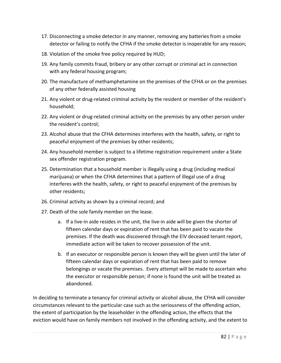- 17. Disconnecting a smoke detector in any manner, removing any batteries from a smoke detector or failing to notify the CFHA if the smoke detector is inoperable for any reason;
- 18. Violation of the smoke free policy required by HUD;
- 19. Any family commits fraud, bribery or any other corrupt or criminal act in connection with any federal housing program;
- 20. The manufacture of methamphetamine on the premises of the CFHA or on the premises of any other federally assisted housing
- 21. Any violent or drug-related criminal activity by the resident or member of the resident's household;
- 22. Any violent or drug-related criminal activity on the premises by any other person under the resident's control;
- 23. Alcohol abuse that the CFHA determines interferes with the health, safety, or right to peaceful enjoyment of the premises by other residents;
- 24. Any household member is subject to a lifetime registration requirement under a State sex offender registration program.
- 25. Determination that a household member is illegally using a drug (including medical marijuana) or when the CFHA determines that a pattern of illegal use of a drug interferes with the health, safety, or right to peaceful enjoyment of the premises by other residents;
- 26. Criminal activity as shown by a criminal record; and
- 27. Death of the sole family member on the lease.
	- a. If a live-in aide resides in the unit, the live-in aide will be given the shorter of fifteen calendar days or expiration of rent that has been paid to vacate the premises. If the death was discovered through the EIV deceased tenant report, immediate action will be taken to recover possession of the unit.
	- b. If an executor or responsible person is known they will be given until the later of fifteen calendar days or expiration of rent that has been paid to remove belongings or vacate the premises. Every attempt will be made to ascertain who the executor or responsible person; if none is found the unit will be treated as abandoned.

In deciding to terminate a tenancy for criminal activity or alcohol abuse, the CFHA will consider circumstances relevant to the particular case such as the seriousness of the offending action, the extent of participation by the leaseholder in the offending action, the effects that the eviction would have on family members not involved in the offending activity, and the extent to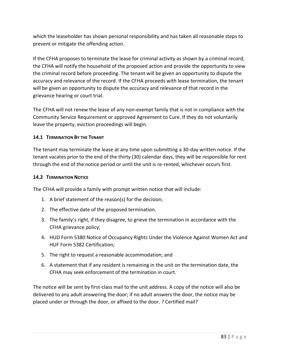which the leaseholder has shown personal responsibility and has taken all reasonable steps to prevent or mitigate the offending action.

If the CFHA proposes to terminate the lease for criminal activity as shown by a criminal record, the CFHA will notify the household of the proposed action and provide the opportunity to view the criminal record before proceeding. The tenant will be given an opportunity to dispute the accuracy and relevance of the record. If the CFHA proceeds with lease termination, the tenant will be given an opportunity to dispute the accuracy and relevance of that record in the grievance hearing or court trial.

The CFHA will not renew the lease of any non-exempt family that is not in compliance with the Community Service Requirement or approved Agreement to Cure. If they do not voluntarily leave the property, eviction proceedings will begin.

# **14.1 TERMINATION BY THE TENANT**

The tenant may terminate the lease at any time upon submitting a 30-day written notice. If the tenant vacates prior to the end of the thirty (30) calendar days, they will be responsible for rent through the end of the notice period or until the unit is re-rented, whichever occurs first.

# **14.2 TERMINATION NOTICE**

The CFHA will provide a family with prompt written notice that will include:

- 1. A brief statement of the reason(s) for the decision;
- 2. The effective date of the proposed termination.
- 3. The family's right, if they disagree, to grieve the termination in accordance with the CFHA grievance policy;
- 4. HUD Form 5380 Notice of Occupancy Rights Under the Violence Against Women Act and HUF Form 5382 Certification;
- 5. The right to request a reasonable accommodation; and
- 6. A statement that if any resident is remaining in the unit on the termination date, the CFHA may seek enforcement of the termination in court.

The notice will be sent by first-class mail to the unit address. A copy of the notice will also be delivered to any adult answering the door; if no adult answers the door, the notice may be placed under or through the door, or affixed to the door. ? Certified mail?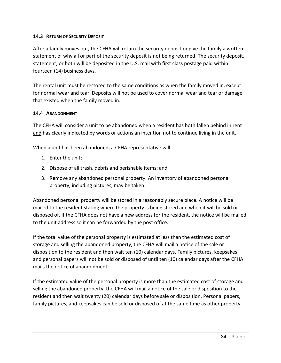### **14.3 RETURN OF SECURITY DEPOSIT**

After a family moves out, the CFHA will return the security deposit or give the family a written statement of why all or part of the security deposit is not being returned. The security deposit, statement, or both will be deposited in the U.S. mail with first class postage paid within fourteen (14) business days.

The rental unit must be restored to the same conditions as when the family moved in, except for normal wear and tear. Deposits will not be used to cover normal wear and tear or damage that existed when the family moved in.

### **14.4 ABANDONMENT**

The CFHA will consider a unit to be abandoned when a resident has both fallen behind in rent and has clearly indicated by words or actions an intention not to continue living in the unit.

When a unit has been abandoned, a CFHA representative will:

- 1. Enter the unit;
- 2. Dispose of all trash, debris and perishable items; and
- 3. Remove any abandoned personal property. An inventory of abandoned personal property, including pictures, may be taken.

Abandoned personal property will be stored in a reasonably secure place. A notice will be mailed to the resident stating where the property is being stored and when it will be sold or disposed of. If the CFHA does not have a new address for the resident, the notice will be mailed to the unit address so it can be forwarded by the post office.

If the total value of the personal property is estimated at less than the estimated cost of storage and selling the abandoned property, the CFHA will mail a notice of the sale or disposition to the resident and then wait ten (10) calendar days. Family pictures, keepsakes, and personal papers will not be sold or disposed of until ten (10) calendar days after the CFHA mails the notice of abandonment.

If the estimated value of the personal property is more than the estimated cost of storage and selling the abandoned property, the CFHA will mail a notice of the sale or disposition to the resident and then wait twenty (20) calendar days before sale or disposition. Personal papers, family pictures, and keepsakes can be sold or disposed of at the same time as other property.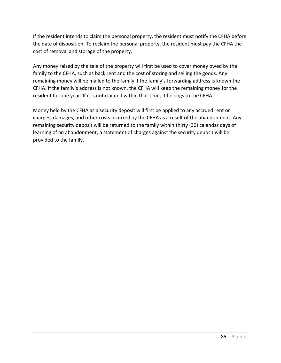If the resident intends to claim the personal property, the resident must notify the CFHA before the date of disposition. To reclaim the personal property, the resident must pay the CFHA the cost of removal and storage of the property.

Any money raised by the sale of the property will first be used to cover money owed by the family to the CFHA, such as back rent and the cost of storing and selling the goods. Any remaining money will be mailed to the family if the family's forwarding address is known the CFHA. If the family's address is not known, the CFHA will keep the remaining money for the resident for one year. If it is not claimed within that time, it belongs to the CFHA.

Money held by the CFHA as a security deposit will first be applied to any accrued rent or charges, damages, and other costs incurred by the CFHA as a result of the abandonment. Any remaining security deposit will be returned to the family within thirty (30) calendar days of learning of an abandonment; a statement of charges against the security deposit will be provided to the family.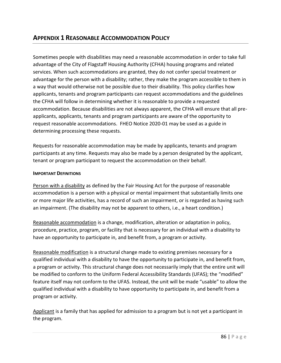Sometimes people with disabilities may need a reasonable accommodation in order to take full advantage of the City of Flagstaff Housing Authority (CFHA) housing programs and related services. When such accommodations are granted, they do not confer special treatment or advantage for the person with a disability; rather, they make the program accessible to them in a way that would otherwise not be possible due to their disability. This policy clarifies how applicants, tenants and program participants can request accommodations and the guidelines the CFHA will follow in determining whether it is reasonable to provide a requested accommodation. Because disabilities are not always apparent, the CFHA will ensure that all preapplicants, applicants, tenants and program participants are aware of the opportunity to request reasonable accommodations. FHEO Notice 2020-01 may be used as a guide in determining processing these requests.

Requests for reasonable accommodation may be made by applicants, tenants and program participants at any time. Requests may also be made by a person designated by the applicant, tenant or program participant to request the accommodation on their behalf.

# **IMPORTANT DEFINITIONS**

Person with a disability as defined by the Fair Housing Act for the purpose of reasonable accommodation is a person with a physical or mental impairment that substantially limits one or more major life activities, has a record of such an impairment, or is regarded as having such an impairment. (The disability may not be apparent to others, i.e., a heart condition.)

Reasonable accommodation is a change, modification, alteration or adaptation in policy, procedure, practice, program, or facility that is necessary for an individual with a disability to have an opportunity to participate in, and benefit from, a program or activity.

Reasonable modification is a structural change made to existing premises necessary for a qualified individual with a disability to have the opportunity to participate in, and benefit from, a program or activity. This structural change does not necessarily imply that the entire unit will be modified to conform to the Uniform Federal Accessibility Standards (UFAS); the "modified" feature itself may not conform to the UFAS. Instead, the unit will be made "usable" to allow the qualified individual with a disability to have opportunity to participate in, and benefit from a program or activity.

Applicant is a family that has applied for admission to a program but is not yet a participant in the program.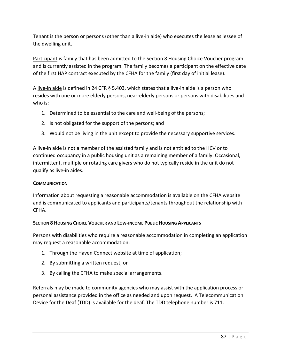Tenant is the person or persons (other than a live-in aide) who executes the lease as lessee of the dwelling unit.

Participant is family that has been admitted to the Section 8 Housing Choice Voucher program and is currently assisted in the program. The family becomes a participant on the effective date of the first HAP contract executed by the CFHA for the family (first day of initial lease).

A live-in aide is defined in 24 CFR § 5.403, which states that a live-in aide is a person who resides with one or more elderly persons, near-elderly persons or persons with disabilities and who is:

- 1. Determined to be essential to the care and well-being of the persons;
- 2. Is not obligated for the support of the persons; and
- 3. Would not be living in the unit except to provide the necessary supportive services.

A live-in aide is not a member of the assisted family and is not entitled to the HCV or to continued occupancy in a public housing unit as a remaining member of a family. Occasional, intermittent, multiple or rotating care givers who do not typically reside in the unit do not qualify as live-in aides.

### **COMMUNICATION**

Information about requesting a reasonable accommodation is available on the CFHA website and is communicated to applicants and participants/tenants throughout the relationship with CFHA.

# **SECTION 8 HOUSING CHOICE VOUCHER AND LOW-INCOME PUBLIC HOUSING APPLICANTS**

Persons with disabilities who require a reasonable accommodation in completing an application may request a reasonable accommodation:

- 1. Through the Haven Connect website at time of application;
- 2. By submitting a written request; or
- 3. By calling the CFHA to make special arrangements.

Referrals may be made to community agencies who may assist with the application process or personal assistance provided in the office as needed and upon request. A Telecommunication Device for the Deaf (TDD) is available for the deaf. The TDD telephone number is 711.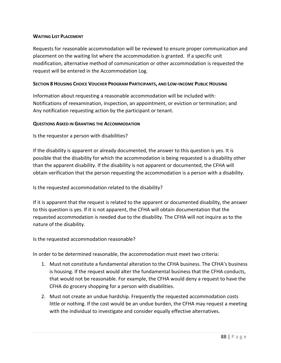### **WAITING LIST PLACEMENT**

Requests for reasonable accommodation will be reviewed to ensure proper communication and placement on the waiting list where the accommodation is granted. If a specific unit modification, alternative method of communication or other accommodation is requested the request will be entered in the Accommodation Log.

### SECTION 8 HOUSING CHOICE VOUCHER PROGRAM PARTICIPANTS, AND LOW-INCOME PUBLIC HOUSING

Information about requesting a reasonable accommodation will be included with: Notifications of reexamination, inspection, an appointment, or eviction or termination; and Any notification requesting action by the participant or tenant.

### **QUESTIONS ASKED IN GRANTING THE ACCOMMODATION**

Is the requestor a person with disabilities?

If the disability is apparent or already documented, the answer to this question is yes. It is possible that the disability for which the accommodation is being requested is a disability other than the apparent disability. If the disability is not apparent or documented, the CFHA will obtain verification that the person requesting the accommodation is a person with a disability.

Is the requested accommodation related to the disability?

If it is apparent that the request is related to the apparent or documented disability, the answer to this question is yes. If it is not apparent, the CFHA will obtain documentation that the requested accommodation is needed due to the disability. The CFHA will not inquire as to the nature of the disability.

Is the requested accommodation reasonable?

In order to be determined reasonable, the accommodation must meet two criteria:

- 1. Must not constitute a fundamental alteration to the CFHA business. The CFHA's business is housing. If the request would alter the fundamental business that the CFHA conducts, that would not be reasonable. For example, the CFHA would deny a request to have the CFHA do grocery shopping for a person with disabilities.
- 2. Must not create an undue hardship. Frequently the requested accommodation costs little or nothing. If the cost would be an undue burden, the CFHA may request a meeting with the individual to investigate and consider equally effective alternatives.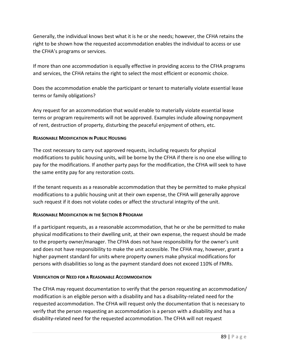Generally, the individual knows best what it is he or she needs; however, the CFHA retains the right to be shown how the requested accommodation enables the individual to access or use the CFHA's programs or services.

If more than one accommodation is equally effective in providing access to the CFHA programs and services, the CFHA retains the right to select the most efficient or economic choice.

Does the accommodation enable the participant or tenant to materially violate essential lease terms or family obligations?

Any request for an accommodation that would enable to materially violate essential lease terms or program requirements will not be approved. Examples include allowing nonpayment of rent, destruction of property, disturbing the peaceful enjoyment of others, etc.

# **REASONABLE MODIFICATION IN PUBLIC HOUSING**

The cost necessary to carry out approved requests, including requests for physical modifications to public housing units, will be borne by the CFHA if there is no one else willing to pay for the modifications. If another party pays for the modification, the CFHA will seek to have the same entity pay for any restoration costs.

If the tenant requests as a reasonable accommodation that they be permitted to make physical modifications to a public housing unit at their own expense, the CFHA will generally approve such request if it does not violate codes or affect the structural integrity of the unit.

# **REASONABLE MODIFICATION IN THE SECTION 8 PROGRAM**

If a participant requests, as a reasonable accommodation, that he or she be permitted to make physical modifications to their dwelling unit, at their own expense, the request should be made to the property owner/manager. The CFHA does not have responsibility for the owner's unit and does not have responsibility to make the unit accessible. The CFHA may, however, grant a higher payment standard for units where property owners make physical modifications for persons with disabilities so long as the payment standard does not exceed 110% of FMRs.

# **VERIFICATION OF NEED FOR A REASONABLE ACCOMMODATION**

The CFHA may request documentation to verify that the person requesting an accommodation/ modification is an eligible person with a disability and has a disability-related need for the requested accommodation. The CFHA will request only the documentation that is necessary to verify that the person requesting an accommodation is a person with a disability and has a disability-related need for the requested accommodation. The CFHA will not request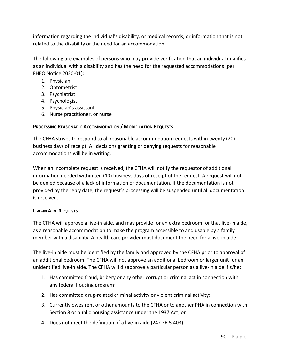information regarding the individual's disability, or medical records, or information that is not related to the disability or the need for an accommodation.

The following are examples of persons who may provide verification that an individual qualifies as an individual with a disability and has the need for the requested accommodations (per FHEO Notice 2020-01):

- 1. Physician
- 2. Optometrist
- 3. Psychiatrist
- 4. Psychologist
- 5. Physician's assistant
- 6. Nurse practitioner, or nurse

# **PROCESSING REASONABLE ACCOMMODATION / MODIFICATION REQUESTS**

The CFHA strives to respond to all reasonable accommodation requests within twenty (20) business days of receipt. All decisions granting or denying requests for reasonable accommodations will be in writing.

When an incomplete request is received, the CFHA will notify the requestor of additional information needed within ten (10) business days of receipt of the request. A request will not be denied because of a lack of information or documentation. If the documentation is not provided by the reply date, the request's processing will be suspended until all documentation is received.

# **LIVE-IN AIDE REQUESTS**

The CFHA will approve a live-in aide, and may provide for an extra bedroom for that live-in aide, as a reasonable accommodation to make the program accessible to and usable by a family member with a disability. A health care provider must document the need for a live-in aide.

The live-in aide must be identified by the family and approved by the CFHA prior to approval of an additional bedroom. The CFHA will not approve an additional bedroom or larger unit for an unidentified live-in aide. The CFHA will disapprove a particular person as a live-in aide if s/he:

- 1. Has committed fraud, bribery or any other corrupt or criminal act in connection with any federal housing program;
- 2. Has committed drug-related criminal activity or violent criminal activity;
- 3. Currently owes rent or other amounts to the CFHA or to another PHA in connection with Section 8 or public housing assistance under the 1937 Act; or
- 4. Does not meet the definition of a live-in aide (24 CFR 5.403).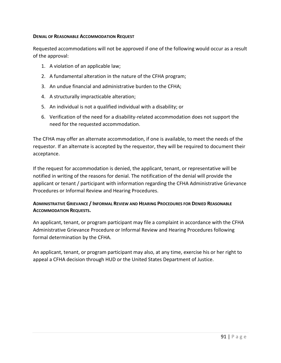#### **DENIAL OF REASONABLE ACCOMMODATION REQUEST**

Requested accommodations will not be approved if one of the following would occur as a result of the approval:

- 1. A violation of an applicable law;
- 2. A fundamental alteration in the nature of the CFHA program;
- 3. An undue financial and administrative burden to the CFHA;
- 4. A structurally impracticable alteration;
- 5. An individual is not a qualified individual with a disability; or
- 6. Verification of the need for a disability-related accommodation does not support the need for the requested accommodation.

The CFHA may offer an alternate accommodation, if one is available, to meet the needs of the requestor. If an alternate is accepted by the requestor, they will be required to document their acceptance.

If the request for accommodation is denied, the applicant, tenant, or representative will be notified in writing of the reasons for denial. The notification of the denial will provide the applicant or tenant / participant with information regarding the CFHA Administrative Grievance Procedures or Informal Review and Hearing Procedures.

# **ADMINISTRATIVE GRIEVANCE / INFORMAL REVIEW AND HEARING PROCEDURES FOR DENIED REASONABLE ACCOMMODATION REQUESTS.**

An applicant, tenant, or program participant may file a complaint in accordance with the CFHA Administrative Grievance Procedure or Informal Review and Hearing Procedures following formal determination by the CFHA.

An applicant, tenant, or program participant may also, at any time, exercise his or her right to appeal a CFHA decision through HUD or the United States Department of Justice.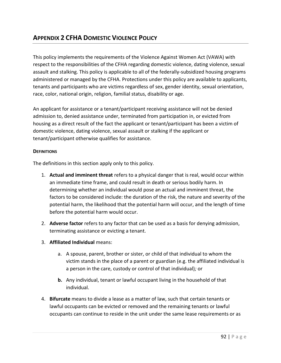# **APPENDIX 2 CFHA DOMESTIC VIOLENCE POLICY**

This policy implements the requirements of the Violence Against Women Act (VAWA) with respect to the responsibilities of the CFHA regarding domestic violence, dating violence, sexual assault and stalking. This policy is applicable to all of the federally-subsidized housing programs administered or managed by the CFHA. Protections under this policy are available to applicants, tenants and participants who are victims regardless of sex, gender identity, sexual orientation, race, color, national origin, religion, familial status, disability or age.

An applicant for assistance or a tenant/participant receiving assistance will not be denied admission to, denied assistance under, terminated from participation in, or evicted from housing as a direct result of the fact the applicant or tenant/participant has been a victim of domestic violence, dating violence, sexual assault or stalking if the applicant or tenant/participant otherwise qualifies for assistance.

### **DEFINITIONS**

The definitions in this section apply only to this policy.

- 1. **Actual and imminent threat** refers to a physical danger that is real, would occur within an immediate time frame, and could result in death or serious bodily harm. In determining whether an individual would pose an actual and imminent threat, the factors to be considered include: the duration of the risk, the nature and severity of the potential harm, the likelihood that the potential harm will occur, and the length of time before the potential harm would occur.
- 2. **Adverse factor** refers to any factor that can be used as a basis for denying admission, terminating assistance or evicting a tenant.
- 3. **Affiliated Individual** means:
	- a. A spouse, parent, brother or sister, or child of that individual to whom the victim stands in the place of a parent or guardian (e.g. the affiliated individual is a person in the care, custody or control of that individual)*;* or
	- **b.** Any individual, tenant or lawful occupant living in the household of that individual.
- 4. **Bifurcate** means to divide a lease as a matter of law, such that certain tenants or lawful occupants can be evicted or removed and the remaining tenants or lawful occupants can continue to reside in the unit under the same lease requirements or as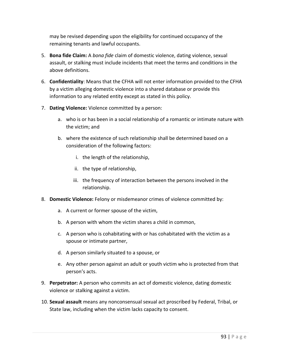may be revised depending upon the eligibility for continued occupancy of the remaining tenants and lawful occupants.

- 5. **Bona fide Claim:** A *bona fide* claim of domestic violence, dating violence, sexual assault, or stalking must include incidents that meet the terms and conditions in the above definitions.
- 6. **Confidentiality**: Means that the CFHA will not enter information provided to the CFHA by a victim alleging domestic violence into a shared database or provide this information to any related entity except as stated in this policy.
- 7. **Dating Violence:** Violence committed by a person:
	- a. who is or has been in a social relationship of a romantic or intimate nature with the victim; and
	- b. where the existence of such relationship shall be determined based on a consideration of the following factors:
		- i. the length of the relationship,
		- ii. the type of relationship,
		- iii. the frequency of interaction between the persons involved in the relationship.
- 8. **Domestic Violence:** Felony or misdemeanor crimes of violence committed by:
	- a. A current or former spouse of the victim,
	- b. A person with whom the victim shares a child in common,
	- c. A person who is cohabitating with or has cohabitated with the victim as a spouse or intimate partner,
	- d. A person similarly situated to a spouse, or
	- e. Any other person against an adult or youth victim who is protected from that person's acts.
- 9. **Perpetrator:** A person who commits an act of domestic violence, dating domestic violence or stalking against a victim.
- 10. **Sexual assault** means any nonconsensual sexual act proscribed by Federal, Tribal, or State law, including when the victim lacks capacity to consent.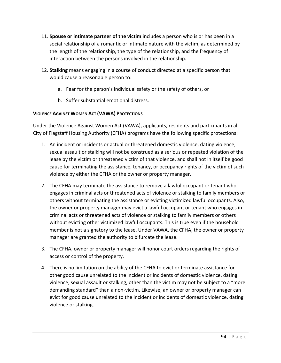- 11. **Spouse or intimate partner of the victim** includes a person who is or has been in a social relationship of a romantic or intimate nature with the victim, as determined by the length of the relationship, the type of the relationship, and the frequency of interaction between the persons involved in the relationship.
- 12. **Stalking** means engaging in a course of conduct directed at a specific person that would cause a reasonable person to:
	- a. Fear for the person's individual safety or the safety of others, or
	- b. Suffer substantial emotional distress.

# **VIOLENCE AGAINST WOMEN ACT (VAWA) PROTECTIONS**

Under the Violence Against Women Act (VAWA), applicants, residents and participants in all City of Flagstaff Housing Authority (CFHA) programs have the following specific protections:

- 1. An incident or incidents or actual or threatened domestic violence, dating violence, sexual assault or stalking will not be construed as a serious or repeated violation of the lease by the victim or threatened victim of that violence, and shall not in itself be good cause for terminating the assistance, tenancy, or occupancy rights of the victim of such violence by either the CFHA or the owner or property manager.
- 2. The CFHA may terminate the assistance to remove a lawful occupant or tenant who engages in criminal acts or threatened acts of violence or stalking to family members or others without terminating the assistance or evicting victimized lawful occupants. Also, the owner or property manager may evict a lawful occupant or tenant who engages in criminal acts or threatened acts of violence or stalking to family members or others without evicting other victimized lawful occupants. This is true even if the household member is not a signatory to the lease. Under VAWA, the CFHA, the owner or property manager are granted the authority to bifurcate the lease.
- 3. The CFHA, owner or property manager will honor court orders regarding the rights of access or control of the property.
- 4. There is no limitation on the ability of the CFHA to evict or terminate assistance for other good cause unrelated to the incident or incidents of domestic violence, dating violence, sexual assault or stalking, other than the victim may not be subject to a "more demanding standard" than a non-victim. Likewise, an owner or property manager can evict for good cause unrelated to the incident or incidents of domestic violence, dating violence or stalking.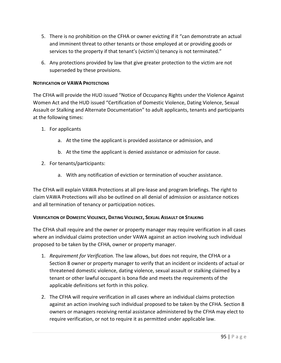- 5. There is no prohibition on the CFHA or owner evicting if it "can demonstrate an actual and imminent threat to other tenants or those employed at or providing goods or services to the property if that tenant's (victim's) tenancy is not terminated."
- 6. Any protections provided by law that give greater protection to the victim are not superseded by these provisions.

### **NOTIFICATION OF VAWA PROTECTIONS**

The CFHA will provide the HUD issued "Notice of Occupancy Rights under the Violence Against Women Act and the HUD issued "Certification of Domestic Violence, Dating Violence, Sexual Assault or Stalking and Alternate Documentation" to adult applicants, tenants and participants at the following times:

- 1. For applicants
	- a. At the time the applicant is provided assistance or admission, and
	- b. At the time the applicant is denied assistance or admission for cause.
- 2. For tenants/participants:
	- a. With any notification of eviction or termination of voucher assistance.

The CFHA will explain VAWA Protections at all pre-lease and program briefings. The right to claim VAWA Protections will also be outlined on all denial of admission or assistance notices and all termination of tenancy or participation notices.

#### **VERIFICATION OF DOMESTIC VIOLENCE, DATING VIOLENCE, SEXUAL ASSAULT OR STALKING**

The CFHA shall require and the owner or property manager may require verification in all cases where an individual claims protection under VAWA against an action involving such individual proposed to be taken by the CFHA, owner or property manager.

- 1. *Requirement for Verification.* The law allows, but does not require, the CFHA or a Section 8 owner or property manager to verify that an incident or incidents of actual or threatened domestic violence, dating violence, sexual assault or stalking claimed by a tenant or other lawful occupant is bona fide and meets the requirements of the applicable definitions set forth in this policy.
- 2. The CFHA will require verification in all cases where an individual claims protection against an action involving such individual proposed to be taken by the CFHA. Section 8 owners or managers receiving rental assistance administered by the CFHA may elect to require verification, or not to require it as permitted under applicable law.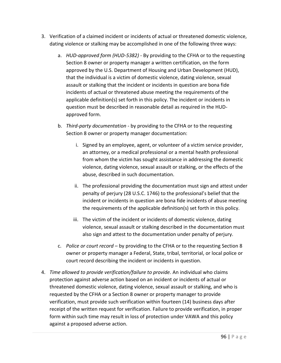- 3. Verification of a claimed incident or incidents of actual or threatened domestic violence, dating violence or stalking may be accomplished in one of the following three ways:
	- a. *HUD-approved form (HUD-5382) -* By providing to the CFHA or to the requesting Section 8 owner or property manager a written certification, on the form approved by the U.S. Department of Housing and Urban Development (HUD), that the individual is a victim of domestic violence, dating violence, sexual assault or stalking that the incident or incidents in question are bona fide incidents of actual or threatened abuse meeting the requirements of the applicable definition(s) set forth in this policy. The incident or incidents in question must be described in reasonable detail as required in the HUDapproved form.
	- b. *Third-party documentation -* by providing to the CFHA or to the requesting Section 8 owner or property manager documentation:
		- i. Signed by an employee, agent, or volunteer of a victim service provider, an attorney, or a medical professional or a mental health professional from whom the victim has sought assistance in addressing the domestic violence, dating violence, sexual assault or stalking, or the effects of the abuse, described in such documentation.
		- ii. The professional providing the documentation must sign and attest under penalty of perjury (28 U.S.C. 1746) to the professional's belief that the incident or incidents in question are bona fide incidents of abuse meeting the requirements of the applicable definition(s) set forth in this policy.
		- iii. The victim of the incident or incidents of domestic violence, dating violence, sexual assault or stalking described in the documentation must also sign and attest to the documentation under penalty of perjury.
	- c. *Police or court record* by providing to the CFHA or to the requesting Section 8 owner or property manager a Federal, State, tribal, territorial, or local police or court record describing the incident or incidents in question.
- 4. *Time allowed to provide verification/failure to provide.* An individual who claims protection against adverse action based on an incident or incidents of actual or threatened domestic violence, dating violence, sexual assault or stalking, and who is requested by the CFHA or a Section 8 owner or property manager to provide verification, must provide such verification within fourteen (14) business days after receipt of the written request for verification. Failure to provide verification, in proper form within such time may result in loss of protection under VAWA and this policy against a proposed adverse action.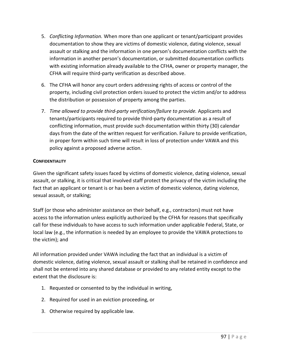- 5. *Conflicting Information.* When more than one applicant or tenant/participant provides documentation to show they are victims of domestic violence, dating violence, sexual assault or stalking and the information in one person's documentation conflicts with the information in another person's documentation, or submitted documentation conflicts with existing information already available to the CFHA, owner or property manager, the CFHA will require third-party verification as described above.
- 6. The CFHA will honor any court orders addressing rights of access or control of the property, including civil protection orders issued to protect the victim and/or to address the distribution or possession of property among the parties.
- 7. *Time allowed to provide third-party verification/failure to provide.* Applicants and tenants/participants required to provide third-party documentation as a result of conflicting information, must provide such documentation within thirty (30) calendar days from the date of the written request for verification. Failure to provide verification, in proper form within such time will result in loss of protection under VAWA and this policy against a proposed adverse action.

# **CONFIDENTIALITY**

Given the significant safety issues faced by victims of domestic violence, dating violence, sexual assault, or stalking, it is critical that involved staff protect the privacy of the victim including the fact that an applicant or tenant is or has been a victim of domestic violence, dating violence, sexual assault, or stalking;

Staff (or those who administer assistance on their behalf, e.g., contractors) must not have access to the information unless explicitly authorized by the CFHA for reasons that specifically call for these individuals to have access to such information under applicable Federal, State, or local law (e.g., the information is needed by an employee to provide the VAWA protections to the victim); and

All information provided under VAWA including the fact that an individual is a victim of domestic violence, dating violence, sexual assault or stalking shall be retained in confidence and shall not be entered into any shared database or provided to any related entity except to the extent that the disclosure is:

- 1. Requested or consented to by the individual in writing,
- 2. Required for used in an eviction proceeding, or
- 3. Otherwise required by applicable law.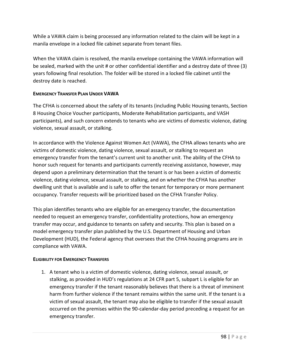While a VAWA claim is being processed any information related to the claim will be kept in a manila envelope in a locked file cabinet separate from tenant files.

When the VAWA claim is resolved, the manila envelope containing the VAWA information will be sealed, marked with the unit # or other confidential identifier and a destroy date of three (3) years following final resolution. The folder will be stored in a locked file cabinet until the destroy date is reached.

# **EMERGENCY TRANSFER PLAN UNDER VAWA**

The CFHA is concerned about the safety of its tenants (including Public Housing tenants, Section 8 Housing Choice Voucher participants, Moderate Rehabilitation participants, and VASH participants), and such concern extends to tenants who are victims of domestic violence, dating violence, sexual assault, or stalking.

In accordance with the Violence Against Women Act (VAWA), the CFHA allows tenants who are victims of domestic violence, dating violence, sexual assault, or stalking to request an emergency transfer from the tenant's current unit to another unit. The ability of the CFHA to honor such request for tenants and participants currently receiving assistance, however, may depend upon a preliminary determination that the tenant is or has been a victim of domestic violence, dating violence, sexual assault, or stalking, and on whether the CFHA has another dwelling unit that is available and is safe to offer the tenant for temporary or more permanent occupancy. Transfer requests will be prioritized based on the CFHA Transfer Policy.

This plan identifies tenants who are eligible for an emergency transfer, the documentation needed to request an emergency transfer, confidentiality protections, how an emergency transfer may occur, and guidance to tenants on safety and security. This plan is based on a model emergency transfer plan published by the U.S. Department of Housing and Urban Development (HUD), the Federal agency that oversees that the CFHA housing programs are in compliance with VAWA.

#### **ELIGIBILITY FOR EMERGENCY TRANSFERS**

1. A tenant who is a victim of domestic violence, dating violence, sexual assault, or stalking, as provided in HUD's regulations at 24 CFR part 5, subpart L is eligible for an emergency transfer if the tenant reasonably believes that there is a threat of imminent harm from further violence if the tenant remains within the same unit. If the tenant is a victim of sexual assault, the tenant may also be eligible to transfer if the sexual assault occurred on the premises within the 90-calendar-day period preceding a request for an emergency transfer.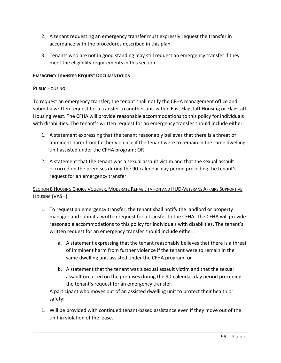- 2. A tenant requesting an emergency transfer must expressly request the transfer in accordance with the procedures described in this plan.
- 3. Tenants who are not in good standing may still request an emergency transfer if they meet the eligibility requirements in this section.

### **EMERGENCY TRANSFER REQUEST DOCUMENTATION**

### PUBLIC HOUSING

To request an emergency transfer, the tenant shall notify the CFHA management office and submit a written request for a transfer to another unit within East Flagstaff Housing or Flagstaff Housing West. The CFHA will provide reasonable accommodations to this policy for individuals with disabilities. The tenant's written request for an emergency transfer should include either:

- 1. A statement expressing that the tenant reasonably believes that there is a threat of imminent harm from further violence if the tenant were to remain in the same dwelling unit assisted under the CFHA program; OR
- 2. A statement that the tenant was a sexual assault victim and that the sexual assault occurred on the premises during the 90-calendar-day period preceding the tenant's request for an emergency transfer.

# SECTION 8 HOUSING CHOICE VOUCHER, MODERATE REHABILITATION AND HUD-VETERANS AFFAIRS SUPPORTIVE HOUSING (VASH).

- 1. To request an emergency transfer, the tenant shall notify the landlord or property manager and submit a written request for a transfer to the CFHA. The CFHA will provide reasonable accommodations to this policy for individuals with disabilities. The tenant's written request for an emergency transfer should include either:
	- a. A statement expressing that the tenant reasonably believes that there is a threat of imminent harm from further violence if the tenant were to remain in the same dwelling unit assisted under the CFHA program; or
	- b. A statement that the tenant was a sexual assault victim and that the sexual assault occurred on the premises during the 90-calendar-day period preceding the tenant's request for an emergency transfer.

A participant who moves out of an assisted dwelling unit to protect their health or safety:

1. Will be provided with continued tenant-based assistance even if they move out of the unit in violation of the lease.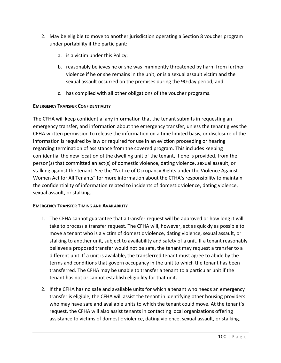- 2. May be eligible to move to another jurisdiction operating a Section 8 voucher program under portability if the participant:
	- a. is a victim under this Policy;
	- b. reasonably believes he or she was imminently threatened by harm from further violence if he or she remains in the unit, or is a sexual assault victim and the sexual assault occurred on the premises during the 90-day period; and
	- c. has complied with all other obligations of the voucher programs.

#### **EMERGENCY TRANSFER CONFIDENTIALITY**

The CFHA will keep confidential any information that the tenant submits in requesting an emergency transfer, and information about the emergency transfer, unless the tenant gives the CFHA written permission to release the information on a time limited basis, or disclosure of the information is required by law or required for use in an eviction proceeding or hearing regarding termination of assistance from the covered program. This includes keeping confidential the new location of the dwelling unit of the tenant, if one is provided, from the person(s) that committed an act(s) of domestic violence, dating violence, sexual assault, or stalking against the tenant. See the "Notice of Occupancy Rights under the Violence Against Women Act for All Tenants" for more information about the CFHA's responsibility to maintain the confidentiality of information related to incidents of domestic violence, dating violence, sexual assault, or stalking.

#### **EMERGENCY TRANSFER TIMING AND AVAILABILITY**

- 1. The CFHA cannot guarantee that a transfer request will be approved or how long it will take to process a transfer request. The CFHA will, however, act as quickly as possible to move a tenant who is a victim of domestic violence, dating violence, sexual assault, or stalking to another unit, subject to availability and safety of a unit. If a tenant reasonably believes a proposed transfer would not be safe, the tenant may request a transfer to a different unit. If a unit is available, the transferred tenant must agree to abide by the terms and conditions that govern occupancy in the unit to which the tenant has been transferred. The CFHA may be unable to transfer a tenant to a particular unit if the tenant has not or cannot establish eligibility for that unit.
- 2. If the CFHA has no safe and available units for which a tenant who needs an emergency transfer is eligible, the CFHA will assist the tenant in identifying other housing providers who may have safe and available units to which the tenant could move. At the tenant's request, the CFHA will also assist tenants in contacting local organizations offering assistance to victims of domestic violence, dating violence, sexual assault, or stalking.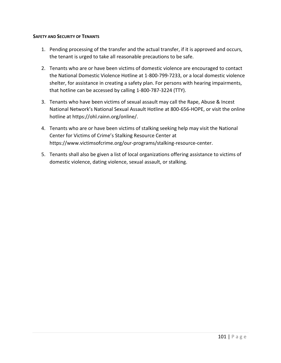#### **SAFETY AND SECURITY OF TENANTS**

- 1. Pending processing of the transfer and the actual transfer, if it is approved and occurs, the tenant is urged to take all reasonable precautions to be safe.
- 2. Tenants who are or have been victims of domestic violence are encouraged to contact the National Domestic Violence Hotline at 1-800-799-7233, or a local domestic violence shelter, for assistance in creating a safety plan. For persons with hearing impairments, that hotline can be accessed by calling 1-800-787-3224 (TTY).
- 3. Tenants who have been victims of sexual assault may call the Rape, Abuse & Incest National Network's National Sexual Assault Hotline at 800-656-HOPE, or visit the online hotline at https://ohl.rainn.org/online/.
- 4. Tenants who are or have been victims of stalking seeking help may visit the National Center for Victims of Crime's Stalking Resource Center at https://www.victimsofcrime.org/our-programs/stalking-resource-center.
- 5. Tenants shall also be given a list of local organizations offering assistance to victims of domestic violence, dating violence, sexual assault, or stalking.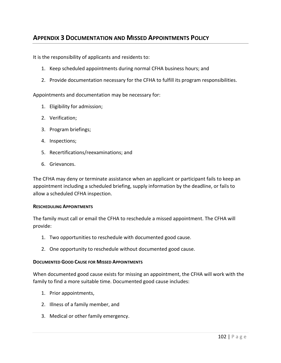# **APPENDIX 3 DOCUMENTATION AND MISSED APPOINTMENTS POLICY**

It is the responsibility of applicants and residents to:

- 1. Keep scheduled appointments during normal CFHA business hours; and
- 2. Provide documentation necessary for the CFHA to fulfill its program responsibilities.

Appointments and documentation may be necessary for:

- 1. Eligibility for admission;
- 2. Verification;
- 3. Program briefings;
- 4. Inspections;
- 5. Recertifications/reexaminations; and
- 6. Grievances.

The CFHA may deny or terminate assistance when an applicant or participant fails to keep an appointment including a scheduled briefing, supply information by the deadline, or fails to allow a scheduled CFHA inspection.

#### **RESCHEDULING APPOINTMENTS**

The family must call or email the CFHA to reschedule a missed appointment. The CFHA will provide:

- 1. Two opportunities to reschedule with documented good cause.
- 2. One opportunity to reschedule without documented good cause.

#### **DOCUMENTED GOOD CAUSE FOR MISSED APPOINTMENTS**

When documented good cause exists for missing an appointment, the CFHA will work with the family to find a more suitable time. Documented good cause includes:

- 1. Prior appointments,
- 2. Illness of a family member, and
- 3. Medical or other family emergency.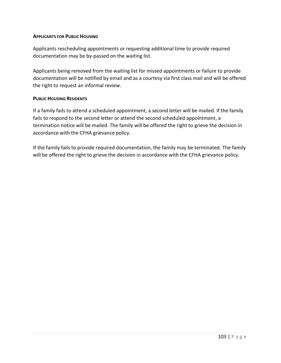#### **APPLICANTS FOR PUBLIC HOUSING**

Applicants rescheduling appointments or requesting additional time to provide required documentation may be by-passed on the waiting list.

Applicants being removed from the waiting list for missed appointments or failure to provide documentation will be notified by email and as a courtesy via first class mail and will be offered the right to request an informal review.

#### **PUBLIC HOUSING RESIDENTS**

If a family fails to attend a scheduled appointment, a second letter will be mailed. If the family fails to respond to the second letter or attend the second scheduled appointment, a termination notice will be mailed. The family will be offered the right to grieve the decision in accordance with the CFHA grievance policy.

If the family fails to provide required documentation, the family may be terminated. The family will be offered the right to grieve the decision in accordance with the CFHA grievance policy.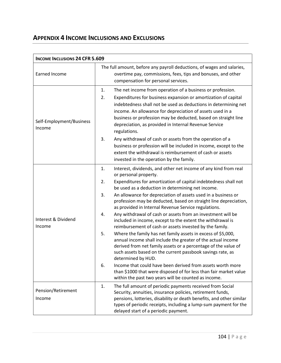# **APPENDIX 4 INCOME INCLUSIONS AND EXCLUSIONS**

| <b>INCOME INCLUSIONS 24 CFR 5.609</b> |                                                                                                                                                                                                                                                                                                                                                                                                                                                                                                                                                                                                                                                                                                                                                                                                                                                                                                                                                                                                                                                                                                                            |  |  |
|---------------------------------------|----------------------------------------------------------------------------------------------------------------------------------------------------------------------------------------------------------------------------------------------------------------------------------------------------------------------------------------------------------------------------------------------------------------------------------------------------------------------------------------------------------------------------------------------------------------------------------------------------------------------------------------------------------------------------------------------------------------------------------------------------------------------------------------------------------------------------------------------------------------------------------------------------------------------------------------------------------------------------------------------------------------------------------------------------------------------------------------------------------------------------|--|--|
| <b>Earned Income</b>                  | The full amount, before any payroll deductions, of wages and salaries,<br>overtime pay, commissions, fees, tips and bonuses, and other<br>compensation for personal services.                                                                                                                                                                                                                                                                                                                                                                                                                                                                                                                                                                                                                                                                                                                                                                                                                                                                                                                                              |  |  |
| Self-Employment/Business<br>Income    | The net income from operation of a business or profession.<br>1.<br>2.<br>Expenditures for business expansion or amortization of capital<br>indebtedness shall not be used as deductions in determining net<br>income. An allowance for depreciation of assets used in a<br>business or profession may be deducted, based on straight line<br>depreciation, as provided in Internal Revenue Service<br>regulations.<br>3.<br>Any withdrawal of cash or assets from the operation of a<br>business or profession will be included in income, except to the<br>extent the withdrawal is reimbursement of cash or assets<br>invested in the operation by the family.                                                                                                                                                                                                                                                                                                                                                                                                                                                          |  |  |
| Interest & Dividend<br>Income         | Interest, dividends, and other net income of any kind from real<br>1.<br>or personal property.<br>2.<br>Expenditures for amortization of capital indebtedness shall not<br>be used as a deduction in determining net income.<br>An allowance for depreciation of assets used in a business or<br>3.<br>profession may be deducted, based on straight line depreciation,<br>as provided in Internal Revenue Service regulations.<br>Any withdrawal of cash or assets from an investment will be<br>4.<br>included in income, except to the extent the withdrawal is<br>reimbursement of cash or assets invested by the family.<br>5.<br>Where the family has net family assets in excess of \$5,000,<br>annual income shall include the greater of the actual income<br>derived from net family assets or a percentage of the value of<br>such assets based on the current passbook savings rate, as<br>determined by HUD.<br>Income that could have been derived from assets worth more<br>6.<br>than \$1000 that were disposed of for less than fair market value<br>within the past two years will be counted as income. |  |  |
| Pension/Retirement<br>Income          | The full amount of periodic payments received from Social<br>1.<br>Security, annuities, insurance policies, retirement funds,<br>pensions, lotteries, disability or death benefits, and other similar<br>types of periodic receipts, including a lump-sum payment for the<br>delayed start of a periodic payment.                                                                                                                                                                                                                                                                                                                                                                                                                                                                                                                                                                                                                                                                                                                                                                                                          |  |  |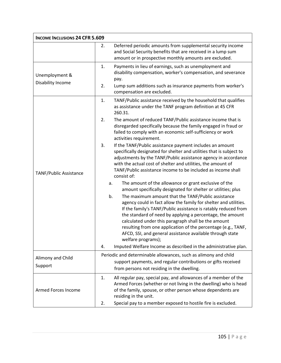| <b>INCOME INCLUSIONS 24 CFR 5.609</b> |                                                                                                                                                                                                                                                                                                                                                                                                                                                                                                                                                                                                                                                                                 |  |
|---------------------------------------|---------------------------------------------------------------------------------------------------------------------------------------------------------------------------------------------------------------------------------------------------------------------------------------------------------------------------------------------------------------------------------------------------------------------------------------------------------------------------------------------------------------------------------------------------------------------------------------------------------------------------------------------------------------------------------|--|
|                                       | Deferred periodic amounts from supplemental security income<br>2.<br>and Social Security benefits that are received in a lump sum<br>amount or in prospective monthly amounts are excluded.                                                                                                                                                                                                                                                                                                                                                                                                                                                                                     |  |
| Unemployment &<br>Disability Income   | Payments in lieu of earnings, such as unemployment and<br>1.<br>disability compensation, worker's compensation, and severance<br>pay.<br>2.<br>Lump sum additions such as insurance payments from worker's<br>compensation are excluded.                                                                                                                                                                                                                                                                                                                                                                                                                                        |  |
| TANF/Public Assistance                | TANF/Public assistance received by the household that qualifies<br>1.<br>as assistance under the TANF program definition at 45 CFR<br>260.31.<br>The amount of reduced TANF/Public assistance income that is<br>2.<br>disregarded specifically because the family engaged in fraud or                                                                                                                                                                                                                                                                                                                                                                                           |  |
|                                       | failed to comply with an economic self-sufficiency or work<br>activities requirement.<br>3.<br>If the TANF/Public assistance payment includes an amount<br>specifically designated for shelter and utilities that is subject to<br>adjustments by the TANF/Public assistance agency in accordance<br>with the actual cost of shelter and utilities, the amount of<br>TANF/Public assistance income to be included as income shall<br>consist of:                                                                                                                                                                                                                                |  |
|                                       | The amount of the allowance or grant exclusive of the<br>a.<br>amount specifically designated for shelter or utilities; plus<br>The maximum amount that the TANF/Public assistance<br>b.<br>agency could in fact allow the family for shelter and utilities.<br>If the family's TANF/Public assistance is ratably reduced from<br>the standard of need by applying a percentage, the amount<br>calculated under this paragraph shall be the amount<br>resulting from one application of the percentage (e.g., TANF,<br>AFCD, SSI, and general assistance available through state<br>welfare programs);<br>Imputed Welfare Income as described in the administrative plan.<br>4. |  |
| Alimony and Child<br>Support          | Periodic and determinable allowances, such as alimony and child<br>support payments, and regular contributions or gifts received<br>from persons not residing in the dwelling.                                                                                                                                                                                                                                                                                                                                                                                                                                                                                                  |  |
| Armed Forces Income                   | All regular pay, special pay, and allowances of a member of the<br>1.<br>Armed Forces (whether or not living in the dwelling) who is head<br>of the family, spouse, or other person whose dependents are<br>residing in the unit.<br>Special pay to a member exposed to hostile fire is excluded.<br>2.                                                                                                                                                                                                                                                                                                                                                                         |  |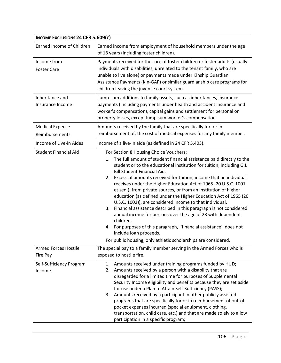| INCOME EXCLUSIONS 24 CFR 5.609(c)        |                                                                                                                                                                                                                                                                                                                                                                                                                                                                                                                                                                                                                                                                                                                                                                                                                                                                                                              |  |
|------------------------------------------|--------------------------------------------------------------------------------------------------------------------------------------------------------------------------------------------------------------------------------------------------------------------------------------------------------------------------------------------------------------------------------------------------------------------------------------------------------------------------------------------------------------------------------------------------------------------------------------------------------------------------------------------------------------------------------------------------------------------------------------------------------------------------------------------------------------------------------------------------------------------------------------------------------------|--|
| Earned Income of Children                | Earned income from employment of household members under the age<br>of 18 years (including foster children).                                                                                                                                                                                                                                                                                                                                                                                                                                                                                                                                                                                                                                                                                                                                                                                                 |  |
| Income from<br><b>Foster Care</b>        | Payments received for the care of foster children or foster adults (usually<br>individuals with disabilities, unrelated to the tenant family, who are<br>unable to live alone) or payments made under Kinship Guardian<br>Assistance Payments (Kin-GAP) or similar guardianship care programs for<br>children leaving the juvenile court system.                                                                                                                                                                                                                                                                                                                                                                                                                                                                                                                                                             |  |
| Inheritance and<br>Insurance Income      | Lump-sum additions to family assets, such as inheritances, insurance<br>payments (including payments under health and accident insurance and<br>worker's compensation), capital gains and settlement for personal or<br>property losses, except lump sum worker's compensation.                                                                                                                                                                                                                                                                                                                                                                                                                                                                                                                                                                                                                              |  |
| <b>Medical Expense</b><br>Reimbursements | Amounts received by the family that are specifically for, or in<br>reimbursement of, the cost of medical expenses for any family member.                                                                                                                                                                                                                                                                                                                                                                                                                                                                                                                                                                                                                                                                                                                                                                     |  |
| Income of Live-in Aides                  | Income of a live-in aide (as defined in 24 CFR 5.403).                                                                                                                                                                                                                                                                                                                                                                                                                                                                                                                                                                                                                                                                                                                                                                                                                                                       |  |
| <b>Student Financial Aid</b>             | For Section 8 Housing Choice Vouchers:<br>1. The full amount of student financial assistance paid directly to the<br>student or to the educational institution for tuition, including G.I.<br><b>Bill Student Financial Aid.</b><br>Excess of amounts received for tuition, income that an individual<br>2.<br>receives under the Higher Education Act of 1965 (20 U.S.C. 1001<br>et seq.), from private sources, or from an institution of higher<br>education (as defined under the Higher Education Act of 1965 (20<br>U.S.C. 1002)), are considered income to that individual.<br>3. Financial assistance described in this paragraph is not considered<br>annual income for persons over the age of 23 with dependent<br>children.<br>For purposes of this paragraph, "financial assistance" does not<br>4.<br>include loan proceeds.<br>For public housing, only athletic scholarships are considered. |  |
| <b>Armed Forces Hostile</b><br>Fire Pay  | The special pay to a family member serving in the Armed Forces who is<br>exposed to hostile fire.                                                                                                                                                                                                                                                                                                                                                                                                                                                                                                                                                                                                                                                                                                                                                                                                            |  |
| Self-Sufficiency Program<br>Income       | 1. Amounts received under training programs funded by HUD;<br>Amounts received by a person with a disability that are<br>2.<br>disregarded for a limited time for purposes of Supplemental<br>Security Income eligibility and benefits because they are set aside<br>for use under a Plan to Attain Self-Sufficiency (PASS);<br>3. Amounts received by a participant in other publicly assisted<br>programs that are specifically for or in reimbursement of out-of-<br>pocket expenses incurred (special equipment, clothing,<br>transportation, child care, etc.) and that are made solely to allow<br>participation in a specific program;                                                                                                                                                                                                                                                                |  |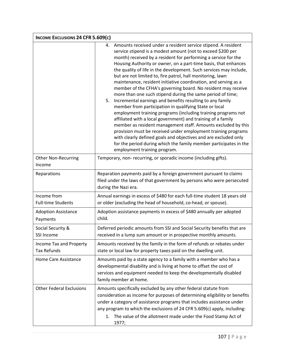| INCOME EXCLUSIONS 24 CFR 5.609(c)             |                                                                                                                                                                                                                                                                                                                                                                                                                                                                                                                                                                                                                                                                                                                                                                                                                                                                                                                                                                                                                                                                                                                                                                                       |  |
|-----------------------------------------------|---------------------------------------------------------------------------------------------------------------------------------------------------------------------------------------------------------------------------------------------------------------------------------------------------------------------------------------------------------------------------------------------------------------------------------------------------------------------------------------------------------------------------------------------------------------------------------------------------------------------------------------------------------------------------------------------------------------------------------------------------------------------------------------------------------------------------------------------------------------------------------------------------------------------------------------------------------------------------------------------------------------------------------------------------------------------------------------------------------------------------------------------------------------------------------------|--|
|                                               | Amounts received under a resident service stipend. A resident<br>4.<br>service stipend is a modest amount (not to exceed \$200 per<br>month) received by a resident for performing a service for the<br>Housing Authority or owner, on a part-time basis, that enhances<br>the quality of life in the development. Such services may include,<br>but are not limited to, fire patrol, hall monitoring, lawn<br>maintenance, resident initiative coordination, and serving as a<br>member of the CFHA's governing board. No resident may receive<br>more than one such stipend during the same period of time;<br>Incremental earnings and benefits resulting to any family<br>5.<br>member from participation in qualifying State or local<br>employment training programs (including training programs not<br>affiliated with a local government) and training of a family<br>member as resident management staff. Amounts excluded by this<br>provision must be received under employment training programs<br>with clearly defined goals and objectives and are excluded only<br>for the period during which the family member participates in the<br>employment training program. |  |
| Other Non-Recurring<br>Income                 | Temporary, non- recurring, or sporadic income (including gifts).                                                                                                                                                                                                                                                                                                                                                                                                                                                                                                                                                                                                                                                                                                                                                                                                                                                                                                                                                                                                                                                                                                                      |  |
| Reparations                                   | Reparation payments paid by a foreign government pursuant to claims<br>filed under the laws of that government by persons who were persecuted<br>during the Nazi era.                                                                                                                                                                                                                                                                                                                                                                                                                                                                                                                                                                                                                                                                                                                                                                                                                                                                                                                                                                                                                 |  |
| Income from<br><b>Full-time Students</b>      | Annual earnings in excess of \$480 for each full-time student 18 years old<br>or older (excluding the head of household, co-head, or spouse).                                                                                                                                                                                                                                                                                                                                                                                                                                                                                                                                                                                                                                                                                                                                                                                                                                                                                                                                                                                                                                         |  |
| <b>Adoption Assistance</b><br>Payments        | Adoption assistance payments in excess of \$480 annually per adopted<br>child.                                                                                                                                                                                                                                                                                                                                                                                                                                                                                                                                                                                                                                                                                                                                                                                                                                                                                                                                                                                                                                                                                                        |  |
| Social Security &<br>SSI Income               | Deferred periodic amounts from SSI and Social Security benefits that are<br>received in a lump sum amount or in prospective monthly amounts.                                                                                                                                                                                                                                                                                                                                                                                                                                                                                                                                                                                                                                                                                                                                                                                                                                                                                                                                                                                                                                          |  |
| Income Tax and Property<br><b>Tax Refunds</b> | Amounts received by the family in the form of refunds or rebates under<br>state or local law for property taxes paid on the dwelling unit.                                                                                                                                                                                                                                                                                                                                                                                                                                                                                                                                                                                                                                                                                                                                                                                                                                                                                                                                                                                                                                            |  |
| Home Care Assistance                          | Amounts paid by a state agency to a family with a member who has a<br>developmental disability and is living at home to offset the cost of<br>services and equipment needed to keep the developmentally disabled<br>family member at home.                                                                                                                                                                                                                                                                                                                                                                                                                                                                                                                                                                                                                                                                                                                                                                                                                                                                                                                                            |  |
| <b>Other Federal Exclusions</b>               | Amounts specifically excluded by any other federal statute from<br>consideration as income for purposes of determining eligibility or benefits<br>under a category of assistance programs that includes assistance under<br>any program to which the exclusions of 24 CFR 5.609(c) apply, including:<br>1. The value of the allotment made under the Food Stamp Act of<br>1977;                                                                                                                                                                                                                                                                                                                                                                                                                                                                                                                                                                                                                                                                                                                                                                                                       |  |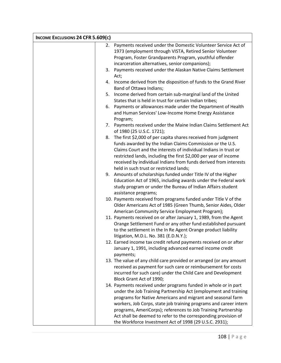| INCOME EXCLUSIONS 24 CFR 5.609(c) |                                                                                                                      |  |
|-----------------------------------|----------------------------------------------------------------------------------------------------------------------|--|
| 2.                                | Payments received under the Domestic Volunteer Service Act of                                                        |  |
|                                   | 1973 (employment through VISTA, Retired Senior Volunteer                                                             |  |
|                                   | Program, Foster Grandparents Program, youthful offender                                                              |  |
|                                   | incarceration alternatives, senior companions);                                                                      |  |
|                                   | 3. Payments received under the Alaskan Native Claims Settlement                                                      |  |
|                                   | Act;                                                                                                                 |  |
|                                   | 4. Income derived from the disposition of funds to the Grand River                                                   |  |
|                                   | Band of Ottawa Indians;                                                                                              |  |
| 5.                                | Income derived from certain sub-marginal land of the United                                                          |  |
|                                   | States that is held in trust for certain Indian tribes;                                                              |  |
|                                   | 6. Payments or allowances made under the Department of Health                                                        |  |
|                                   | and Human Services' Low-Income Home Energy Assistance                                                                |  |
|                                   | Program;                                                                                                             |  |
|                                   | 7. Payments received under the Maine Indian Claims Settlement Act                                                    |  |
|                                   | of 1980 (25 U.S.C. 1721);                                                                                            |  |
|                                   | 8. The first \$2,000 of per capita shares received from judgment                                                     |  |
|                                   | funds awarded by the Indian Claims Commission or the U.S.                                                            |  |
|                                   | Claims Court and the interests of individual Indians in trust or                                                     |  |
|                                   | restricted lands, including the first \$2,000 per year of income                                                     |  |
|                                   | received by individual Indians from funds derived from interests                                                     |  |
|                                   | held in such trust or restricted lands;                                                                              |  |
|                                   | 9. Amounts of scholarships funded under Title IV of the Higher                                                       |  |
|                                   | Education Act of 1965, including awards under the Federal work                                                       |  |
|                                   | study program or under the Bureau of Indian Affairs student                                                          |  |
|                                   | assistance programs;                                                                                                 |  |
|                                   | 10. Payments received from programs funded under Title V of the                                                      |  |
|                                   | Older Americans Act of 1985 (Green Thumb, Senior Aides, Older                                                        |  |
|                                   | American Community Service Employment Program);<br>11. Payments received on or after January 1, 1989, from the Agent |  |
|                                   | Orange Settlement Fund or any other fund established pursuant                                                        |  |
|                                   | to the settlement in the In Re Agent Orange product liability                                                        |  |
|                                   | litigation, M.D.L. No. 381 (E.D.N.Y.);                                                                               |  |
|                                   | 12. Earned income tax credit refund payments received on or after                                                    |  |
|                                   | January 1, 1991, including advanced earned income credit                                                             |  |
|                                   | payments;                                                                                                            |  |
|                                   | 13. The value of any child care provided or arranged (or any amount                                                  |  |
|                                   | received as payment for such care or reimbursement for costs                                                         |  |
|                                   | incurred for such care) under the Child Care and Development                                                         |  |
|                                   | Block Grant Act of 1990;                                                                                             |  |
|                                   | 14. Payments received under programs funded in whole or in part                                                      |  |
|                                   | under the Job Training Partnership Act (employment and training                                                      |  |
|                                   | programs for Native Americans and migrant and seasonal farm                                                          |  |
|                                   | workers, Job Corps, state job training programs and career intern                                                    |  |
|                                   | programs, AmeriCorps); references to Job Training Partnership                                                        |  |
|                                   | Act shall be deemed to refer to the corresponding provision of                                                       |  |
|                                   | the Workforce Investment Act of 1998 (29 U.S.C. 2931);                                                               |  |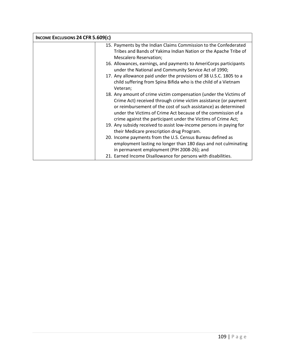| INCOME EXCLUSIONS 24 CFR 5.609(c) |                                                                                                                                                                                                                                                                                                                                                                                                                                                                                                                                                                                                                                                                                                                                                                                              |  |
|-----------------------------------|----------------------------------------------------------------------------------------------------------------------------------------------------------------------------------------------------------------------------------------------------------------------------------------------------------------------------------------------------------------------------------------------------------------------------------------------------------------------------------------------------------------------------------------------------------------------------------------------------------------------------------------------------------------------------------------------------------------------------------------------------------------------------------------------|--|
|                                   | 15. Payments by the Indian Claims Commission to the Confederated<br>Tribes and Bands of Yakima Indian Nation or the Apache Tribe of<br>Mescalero Reservation;<br>16. Allowances, earnings, and payments to AmeriCorps participants<br>under the National and Community Service Act of 1990;<br>17. Any allowance paid under the provisions of 38 U.S.C. 1805 to a<br>child suffering from Spina Bifida who is the child of a Vietnam<br>Veteran;<br>18. Any amount of crime victim compensation (under the Victims of<br>Crime Act) received through crime victim assistance (or payment<br>or reimbursement of the cost of such assistance) as determined<br>under the Victims of Crime Act because of the commission of a<br>crime against the participant under the Victims of Crime Act; |  |
|                                   | 19. Any subsidy received to assist low-income persons in paying for<br>their Medicare prescription drug Program.<br>20. Income payments from the U.S. Census Bureau defined as<br>employment lasting no longer than 180 days and not culminating<br>in permanent employment (PIH 2008-26); and<br>21. Earned Income Disallowance for persons with disabilities.                                                                                                                                                                                                                                                                                                                                                                                                                              |  |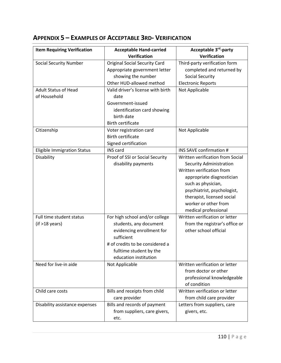| <b>Item Requiring Verification</b> | <b>Acceptable Hand-carried</b>       | Acceptable 3 <sup>rd</sup> -party |
|------------------------------------|--------------------------------------|-----------------------------------|
|                                    | Verification                         | Verification                      |
| <b>Social Security Number</b>      | <b>Original Social Security Card</b> | Third-party verification form     |
|                                    | Appropriate government letter        | completed and returned by         |
|                                    | showing the number                   | <b>Social Security</b>            |
|                                    | Other HUD-allowed method             | <b>Electronic Reports</b>         |
| <b>Adult Status of Head</b>        | Valid driver's license with birth    | Not Applicable                    |
| of Household                       | date                                 |                                   |
|                                    | Government-issued                    |                                   |
|                                    | identification card showing          |                                   |
|                                    | birth date                           |                                   |
|                                    | <b>Birth certificate</b>             |                                   |
| Citizenship                        | Voter registration card              | Not Applicable                    |
|                                    | <b>Birth certificate</b>             |                                   |
|                                    | Signed certification                 |                                   |
| <b>Eligible Immigration Status</b> | <b>INS card</b>                      | INS SAVE confirmation #           |
| Disability                         | Proof of SSI or Social Security      | Written verification from Social  |
|                                    | disability payments                  | <b>Security Administration</b>    |
|                                    |                                      | Written verification from         |
|                                    |                                      | appropriate diagnostician         |
|                                    |                                      | such as physician,                |
|                                    |                                      | psychiatrist, psychologist,       |
|                                    |                                      | therapist, licensed social        |
|                                    |                                      | worker or other from              |
|                                    |                                      | medical professional              |
| Full time student status           | For high school and/or college       | Written verification or letter    |
| $(if > 18 \text{ years})$          | students, any document               | from the registrar's office or    |
|                                    | evidencing enrollment for            | other school official             |
|                                    | sufficient                           |                                   |
|                                    | # of credits to be considered a      |                                   |
|                                    | fulltime student by the              |                                   |
|                                    | education institution                |                                   |
| Need for live-in aide              | Not Applicable                       | Written verification or letter    |
|                                    |                                      | from doctor or other              |
|                                    |                                      | professional knowledgeable        |
|                                    |                                      | of condition                      |
| Child care costs                   | Bills and receipts from child        | Written verification or letter    |
|                                    | care provider                        | from child care provider          |
| Disability assistance expenses     | Bills and records of payment         | Letters from suppliers, care      |
|                                    | from suppliers, care givers,         | givers, etc.                      |
|                                    | etc.                                 |                                   |

# **APPENDIX 5 – EXAMPLES OF ACCEPTABLE 3RD- VERIFICATION**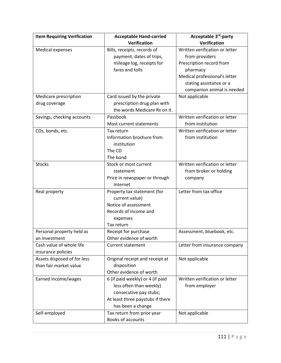| <b>Item Requiring Verification</b> | <b>Acceptable Hand-carried</b>   | Acceptable 3 <sup>rd</sup> -party |
|------------------------------------|----------------------------------|-----------------------------------|
|                                    | Verification                     | Verification                      |
| <b>Medical expenses</b>            | Bills, receipts, records of      | Written verification or letter    |
|                                    | payment, dates of trips,         | from providers                    |
|                                    | mileage log, receipts for        | Prescription record from          |
|                                    | fares and tolls                  | pharmacy                          |
|                                    |                                  | Medical professional's letter     |
|                                    |                                  | stating assistance or a           |
|                                    |                                  | companion animal is needed        |
| Medicare prescription              | Card issued by the private       | Not applicable                    |
| drug coverage                      | prescription drug plan with      |                                   |
|                                    | the words Medicare Rx on it.     |                                   |
| Savings, checking accounts         | Passbook                         | Written verification or letter    |
|                                    | Most current statements          | from institution                  |
| CDs, bonds, etc.                   | Tax return                       | Written verification or letter    |
|                                    | Information brochure from        | from institution                  |
|                                    | institution                      |                                   |
|                                    | The CD                           |                                   |
|                                    | The bond                         |                                   |
| <b>Stocks</b>                      | Stock or most current            | Written verification or letter    |
|                                    | statement                        | from broker or holding            |
|                                    | Price in newspaper or through    | company                           |
|                                    | Internet                         |                                   |
| Real property                      | Property tax statement (for      | Letter from tax office            |
|                                    | current value)                   |                                   |
|                                    | Notice of assessment             |                                   |
|                                    | Records of income and            |                                   |
|                                    | expenses                         |                                   |
|                                    | Tax return                       |                                   |
| Personal property held as          | Receipt for purchase             | Assessment, bluebook, etc.        |
| an investment                      | Other evidence of worth          |                                   |
| Cash value of whole life           | <b>Current statement</b>         | Letter from insurance company     |
| insurance policies                 |                                  |                                   |
| Assets disposed of for less        | Original receipt and receipt at  | Not applicable                    |
| than fair market value             | disposition                      |                                   |
|                                    | Other evidence of worth          |                                   |
| Earned income/wages                | 6 (if paid weekly) or 4 (if paid | Written verification or letter    |
|                                    | less often than weekly)          | from employer                     |
|                                    | consecutive pay stubs;           |                                   |
|                                    | At least three paystubs if there |                                   |
|                                    | has been a change                |                                   |
| Self-employed                      | Tax return from prior year       | Not applicable                    |
|                                    | Books of accounts                |                                   |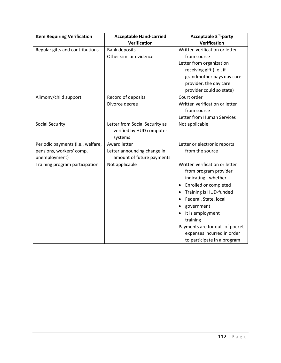| <b>Item Requiring Verification</b> | <b>Acceptable Hand-carried</b> | Acceptable 3 <sup>rd</sup> -party |
|------------------------------------|--------------------------------|-----------------------------------|
|                                    | Verification                   | Verification                      |
| Regular gifts and contributions    | <b>Bank deposits</b>           | Written verification or letter    |
|                                    | Other similar evidence         | from source                       |
|                                    |                                | Letter from organization          |
|                                    |                                | receiving gift (i.e., if          |
|                                    |                                | grandmother pays day care         |
|                                    |                                | provider, the day care            |
|                                    |                                | provider could so state)          |
| Alimony/child support              | Record of deposits             | Court order                       |
|                                    | Divorce decree                 | Written verification or letter    |
|                                    |                                | from source                       |
|                                    |                                | Letter from Human Services        |
| <b>Social Security</b>             | Letter from Social Security as | Not applicable                    |
|                                    | verified by HUD computer       |                                   |
|                                    | systems                        |                                   |
| Periodic payments (i.e., welfare,  | <b>Award letter</b>            | Letter or electronic reports      |
| pensions, workers' comp,           | Letter announcing change in    | from the source                   |
| unemployment)                      | amount of future payments      |                                   |
| Training program participation     | Not applicable                 | Written verification or letter    |
|                                    |                                | from program provider             |
|                                    |                                | indicating - whether              |
|                                    |                                | Enrolled or completed             |
|                                    |                                | Training is HUD-funded            |
|                                    |                                | Federal, State, local             |
|                                    |                                | government                        |
|                                    |                                | It is employment                  |
|                                    |                                | training                          |
|                                    |                                | Payments are for out- of pocket   |
|                                    |                                | expenses incurred in order        |
|                                    |                                | to participate in a program       |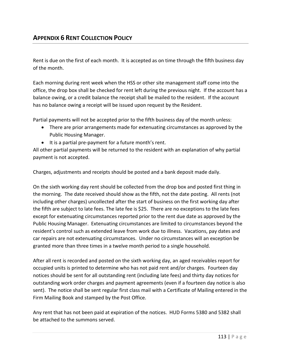Rent is due on the first of each month. It is accepted as on time through the fifth business day of the month.

Each morning during rent week when the HSS or other site management staff come into the office, the drop box shall be checked for rent left during the previous night. If the account has a balance owing, or a credit balance the receipt shall be mailed to the resident. If the account has no balance owing a receipt will be issued upon request by the Resident.

Partial payments will not be accepted prior to the fifth business day of the month unless:

- There are prior arrangements made for extenuating circumstances as approved by the Public Housing Manager.
- It is a partial pre-payment for a future month's rent.

All other partial payments will be returned to the resident with an explanation of why partial payment is not accepted.

Charges, adjustments and receipts should be posted and a bank deposit made daily.

On the sixth working day rent should be collected from the drop box and posted first thing in the morning. The date received should show as the fifth, not the date posting. All rents (not including other charges) uncollected after the start of business on the first working day after the fifth are subject to late fees. The late fee is \$25. There are no exceptions to the late fees except for extenuating circumstances reported prior to the rent due date as approved by the Public Housing Manager. Extenuating circumstances are limited to circumstances beyond the resident's control such as extended leave from work due to illness. Vacations, pay dates and car repairs are not extenuating circumstances. Under no circumstances will an exception be granted more than three times in a twelve month period to a single household.

After all rent is recorded and posted on the sixth working day, an aged receivables report for occupied units is printed to determine who has not paid rent and/or charges. Fourteen day notices should be sent for all outstanding rent (including late fees) and thirty day notices for outstanding work order charges and payment agreements (even if a fourteen day notice is also sent). The notice shall be sent regular first class mail with a Certificate of Mailing entered in the Firm Mailing Book and stamped by the Post Office.

Any rent that has not been paid at expiration of the notices. HUD Forms 5380 and 5382 shall be attached to the summons served.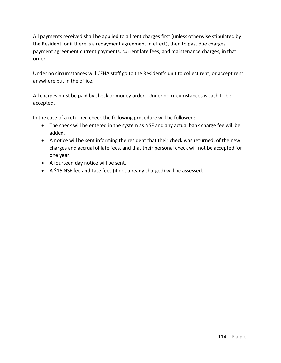All payments received shall be applied to all rent charges first (unless otherwise stipulated by the Resident, or if there is a repayment agreement in effect), then to past due charges, payment agreement current payments, current late fees, and maintenance charges, in that order.

Under no circumstances will CFHA staff go to the Resident's unit to collect rent, or accept rent anywhere but in the office.

All charges must be paid by check or money order. Under no circumstances is cash to be accepted.

In the case of a returned check the following procedure will be followed:

- The check will be entered in the system as NSF and any actual bank charge fee will be added.
- A notice will be sent informing the resident that their check was returned, of the new charges and accrual of late fees, and that their personal check will not be accepted for one year.
- A fourteen day notice will be sent.
- A \$15 NSF fee and Late fees (if not already charged) will be assessed.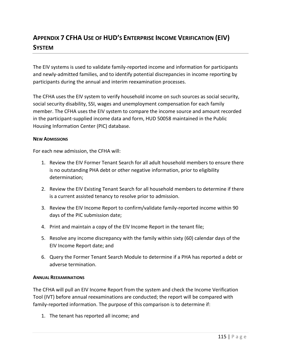# **APPENDIX 7 CFHA USE OF HUD'S ENTERPRISE INCOME VERIFICATION (EIV) SYSTEM**

The EIV systems is used to validate family-reported income and information for participants and newly-admitted families, and to identify potential discrepancies in income reporting by participants during the annual and interim reexamination processes.

The CFHA uses the EIV system to verify household income on such sources as social security, social security disability, SSI, wages and unemployment compensation for each family member. The CFHA uses the EIV system to compare the income source and amount recorded in the participant-supplied income data and form, HUD 50058 maintained in the Public Housing Information Center (PIC) database.

#### **NEW ADMISSIONS**

For each new admission, the CFHA will:

- 1. Review the EIV Former Tenant Search for all adult household members to ensure there is no outstanding PHA debt or other negative information, prior to eligibility determination;
- 2. Review the EIV Existing Tenant Search for all household members to determine if there is a current assisted tenancy to resolve prior to admission.
- 3. Review the EIV Income Report to confirm/validate family-reported income within 90 days of the PIC submission date;
- 4. Print and maintain a copy of the EIV Income Report in the tenant file;
- 5. Resolve any income discrepancy with the family within sixty (60) calendar days of the EIV Income Report date; and
- 6. Query the Former Tenant Search Module to determine if a PHA has reported a debt or adverse termination.

#### **ANNUAL REEXAMINATIONS**

The CFHA will pull an EIV Income Report from the system and check the Income Verification Tool (IVT) before annual reexaminations are conducted; the report will be compared with family-reported information. The purpose of this comparison is to determine if:

1. The tenant has reported all income; and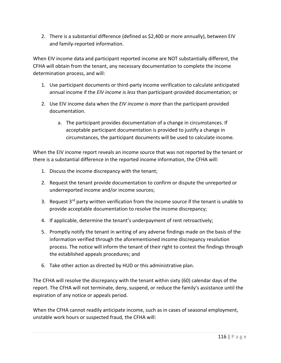2. There is a substantial difference (defined as \$2,400 or more annually), between EIV and family-reported information.

When EIV income data and participant reported income are NOT substantially different, the CFHA will obtain from the tenant, any necessary documentation to complete the income determination process, and will:

- 1. Use participant documents or third-party income verification to calculate anticipated annual income if the *EIV income is less* than participant-provided documentation; or
- 2. Use EIV income data when the *EIV income is more* than the participant-provided documentation.
	- a. The participant provides documentation of a change in circumstances. If acceptable participant documentation is provided to justify a change in circumstances, the participant documents will be used to calculate income.

When the EIV income report reveals an income source that was not reported by the tenant or there is a substantial difference in the reported income information, the CFHA will:

- 1. Discuss the income discrepancy with the tenant;
- 2. Request the tenant provide documentation to confirm or dispute the unreported or underreported income and/or income sources;
- 3. Request  $3^{rd}$  party written verification from the income source if the tenant is unable to provide acceptable documentation to resolve the income discrepancy;
- 4. If applicable, determine the tenant's underpayment of rent retroactively;
- 5. Promptly notify the tenant in writing of any adverse findings made on the basis of the information verified through the aforementioned income discrepancy resolution process. The notice will inform the tenant of their right to contest the findings through the established appeals procedures; and
- 6. Take other action as directed by HUD or this administrative plan.

The CFHA will resolve the discrepancy with the tenant within sixty (60) calendar days of the report. The CFHA will not terminate, deny, suspend, or reduce the family's assistance until the expiration of any notice or appeals period.

When the CFHA cannot readily anticipate income, such as in cases of seasonal employment, unstable work hours or suspected fraud, the CFHA will: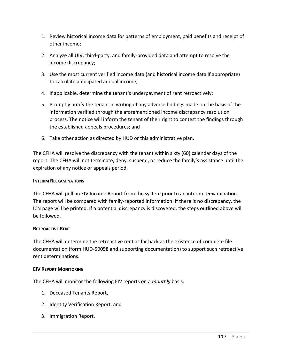- 1. Review historical income data for patterns of employment, paid benefits and receipt of other income;
- 2. Analyze all UIV, third-party, and family-provided data and attempt to resolve the income discrepancy;
- 3. Use the most current verified income data (and historical income data if appropriate) to calculate anticipated annual income;
- 4. If applicable, determine the tenant's underpayment of rent retroactively;
- 5. Promptly notify the tenant in writing of any adverse findings made on the basis of the information verified through the aforementioned income discrepancy resolution process. The notice will inform the tenant of their right to contest the findings through the established appeals procedures; and
- 6. Take other action as directed by HUD or this administrative plan.

The CFHA will resolve the discrepancy with the tenant within sixty (60) calendar days of the report. The CFHA will not terminate, deny, suspend, or reduce the family's assistance until the expiration of any notice or appeals period.

#### **INTERIM REEXAMINATIONS**

The CFHA will pull an EIV Income Report from the system prior to an interim reexamination. The report will be compared with family-reported information. If there is no discrepancy, the ICN page will be printed. If a potential discrepancy is discovered, the steps outlined above will be followed.

#### **RETROACTIVE RENT**

The CFHA will determine the retroactive rent as far back as the existence of complete file documentation (form HUD-50058 and supporting documentation) to support such retroactive rent determinations.

#### **EIV REPORT MONITORING**

The CFHA will monitor the following EIV reports on a *monthly* basis:

- 1. Deceased Tenants Report,
- 2. Identity Verification Report, and
- 3. Immigration Report.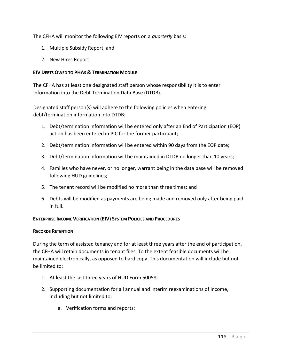The CFHA will monitor the following EIV reports on a *quarterly* basis:

- 1. Multiple Subsidy Report, and
- 2. New Hires Report.

### **EIV DEBTS OWED TO PHAS & TERMINATION MODULE**

The CFHA has at least one designated staff person whose responsibility it is to enter information into the Debt Termination Data Base (DTDB).

Designated staff person(s) will adhere to the following policies when entering debt/termination information into DTDB:

- 1. Debt/termination information will be entered only after an End of Participation (EOP) action has been entered in PIC for the former participant;
- 2. Debt/termination information will be entered within 90 days from the EOP date;
- 3. Debt/termination information will be maintained in DTDB no longer than 10 years;
- 4. Families who have never, or no longer, warrant being in the data base will be removed following HUD guidelines;
- 5. The tenant record will be modified no more than three times; and
- 6. Debts will be modified as payments are being made and removed only after being paid in full.

## **ENTERPRISE INCOME VERIFICATION (EIV) SYSTEM POLICIES AND PROCEDURES**

#### **RECORDS RETENTION**

During the term of assisted tenancy and for at least three years after the end of participation, the CFHA will retain documents in tenant files. To the extent feasible documents will be maintained electronically, as opposed to hard copy. This documentation will include but not be limited to:

- 1. At least the last three years of HUD Form 50058;
- 2. Supporting documentation for all annual and interim reexaminations of income, including but not limited to:
	- a. Verification forms and reports;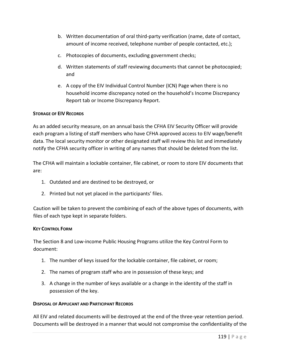- b. Written documentation of oral third-party verification (name, date of contact, amount of income received, telephone number of people contacted, etc.);
- c. Photocopies of documents, excluding government checks;
- d. Written statements of staff reviewing documents that cannot be photocopied; and
- e. A copy of the EIV Individual Control Number (ICN) Page when there is no household income discrepancy noted on the household's Income Discrepancy Report tab or Income Discrepancy Report.

#### **STORAGE OF EIV RECORDS**

As an added security measure, on an annual basis the CFHA EIV Security Officer will provide each program a listing of staff members who have CFHA approved access to EIV wage/benefit data. The local security monitor or other designated staff will review this list and immediately notify the CFHA security officer in writing of any names that should be deleted from the list.

The CFHA will maintain a lockable container, file cabinet, or room to store EIV documents that are:

- 1. Outdated and are destined to be destroyed, or
- 2. Printed but not yet placed in the participants' files.

Caution will be taken to prevent the combining of each of the above types of documents, with files of each type kept in separate folders.

#### **KEY CONTROL FORM**

The Section 8 and Low-income Public Housing Programs utilize the Key Control Form to document:

- 1. The number of keys issued for the lockable container, file cabinet, or room;
- 2. The names of program staff who are in possession of these keys; and
- 3. A change in the number of keys available or a change in the identity of the staff in possession of the key.

#### **DISPOSAL OF APPLICANT AND PARTICIPANT RECORDS**

All EIV and related documents will be destroyed at the end of the three-year retention period. Documents will be destroyed in a manner that would not compromise the confidentiality of the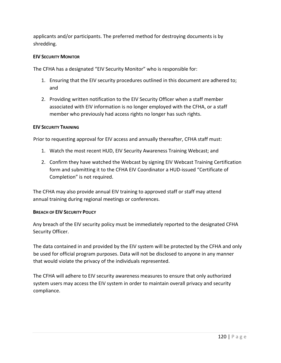applicants and/or participants. The preferred method for destroying documents is by shredding.

#### **EIV SECURITY MONITOR**

The CFHA has a designated "EIV Security Monitor" who is responsible for:

- 1. Ensuring that the EIV security procedures outlined in this document are adhered to; and
- 2. Providing written notification to the EIV Security Officer when a staff member associated with EIV information is no longer employed with the CFHA, or a staff member who previously had access rights no longer has such rights.

#### **EIV SECURITY TRAINING**

Prior to requesting approval for EIV access and annually thereafter, CFHA staff must:

- 1. Watch the most recent HUD, EIV Security Awareness Training Webcast; and
- 2. Confirm they have watched the Webcast by signing EIV Webcast Training Certification form and submitting it to the CFHA EIV Coordinator a HUD-issued "Certificate of Completion" is not required.

The CFHA may also provide annual EIV training to approved staff or staff may attend annual training during regional meetings or conferences.

#### **BREACH OF EIV SECURITY POLICY**

Any breach of the EIV security policy must be immediately reported to the designated CFHA Security Officer.

The data contained in and provided by the EIV system will be protected by the CFHA and only be used for official program purposes. Data will not be disclosed to anyone in any manner that would violate the privacy of the individuals represented.

The CFHA will adhere to EIV security awareness measures to ensure that only authorized system users may access the EIV system in order to maintain overall privacy and security compliance.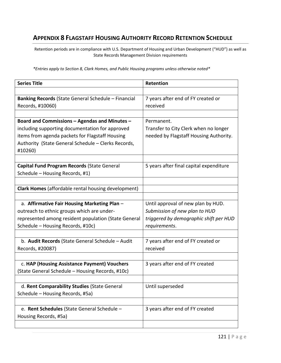# **APPENDIX 8 FLAGSTAFF HOUSING AUTHORITY RECORD RETENTION SCHEDULE**

Retention periods are in compliance with U.S. Department of Housing and Urban Development ("HUD") as well as State Records Management Division requirements

*\*Entries apply to Section 8, Clark Homes, and Public Housing programs unless otherwise noted\**

| <b>Series Title</b>                                        | Retention                               |
|------------------------------------------------------------|-----------------------------------------|
|                                                            |                                         |
| <b>Banking Records</b> (State General Schedule – Financial | 7 years after end of FY created or      |
| Records, #10060)                                           | received                                |
|                                                            |                                         |
| Board and Commissions - Agendas and Minutes -              | Permanent.                              |
| including supporting documentation for approved            | Transfer to City Clerk when no longer   |
| items from agenda packets for Flagstaff Housing            | needed by Flagstaff Housing Authority.  |
| Authority (State General Schedule - Clerks Records,        |                                         |
| #10260)                                                    |                                         |
|                                                            |                                         |
| Capital Fund Program Records (State General                | 5 years after final capital expenditure |
| Schedule - Housing Records, #1)                            |                                         |
|                                                            |                                         |
| Clark Homes (affordable rental housing development)        |                                         |
|                                                            |                                         |
| a. Affirmative Fair Housing Marketing Plan -               | Until approval of new plan by HUD.      |
| outreach to ethnic groups which are under-                 | Submission of new plan to HUD           |
| represented among resident population (State General       | triggered by demographic shift per HUD  |
| Schedule - Housing Records, #10c)                          | requirements.                           |
|                                                            |                                         |
| b. Audit Records (State General Schedule - Audit           | 7 years after end of FY created or      |
| Records, #20087)                                           | received                                |
|                                                            |                                         |
| c. HAP (Housing Assistance Payment) Vouchers               | 3 years after end of FY created         |
| (State General Schedule - Housing Records, #10c)           |                                         |
|                                                            |                                         |
| d. Rent Comparability Studies (State General               | Until superseded                        |
| Schedule - Housing Records, #5a)                           |                                         |
|                                                            |                                         |
| e. Rent Schedules (State General Schedule -                | 3 years after end of FY created         |
| Housing Records, #5a)                                      |                                         |
|                                                            |                                         |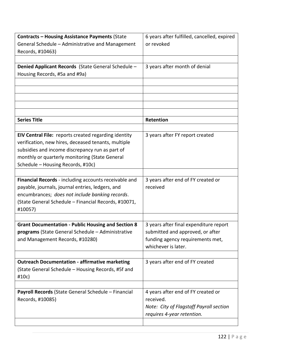| <b>Contracts - Housing Assistance Payments (State</b>     | 6 years after fulfilled, cancelled, expired |
|-----------------------------------------------------------|---------------------------------------------|
| General Schedule - Administrative and Management          | or revoked                                  |
| Records, #10463)                                          |                                             |
|                                                           |                                             |
| Denied Applicant Records (State General Schedule -        | 3 years after month of denial               |
| Housing Records, #5a and #9a)                             |                                             |
|                                                           |                                             |
|                                                           |                                             |
|                                                           |                                             |
|                                                           |                                             |
|                                                           |                                             |
| <b>Series Title</b>                                       | Retention                                   |
|                                                           |                                             |
| EIV Central File: reports created regarding identity      | 3 years after FY report created             |
| verification, new hires, deceased tenants, multiple       |                                             |
| subsidies and income discrepancy run as part of           |                                             |
| monthly or quarterly monitoring (State General            |                                             |
| Schedule - Housing Records, #10c)                         |                                             |
|                                                           |                                             |
| Financial Records - including accounts receivable and     | 3 years after end of FY created or          |
| payable, journals, journal entries, ledgers, and          | received                                    |
| encumbrances; does not include banking records.           |                                             |
| (State General Schedule - Financial Records, #10071,      |                                             |
| #10057)                                                   |                                             |
|                                                           |                                             |
| <b>Grant Documentation - Public Housing and Section 8</b> | 3 years after final expenditure report      |
| programs (State General Schedule - Administrative         | submitted and approved, or after            |
| and Management Records, #10280)                           | funding agency requirements met,            |
|                                                           | whichever is later.                         |
|                                                           |                                             |
| <b>Outreach Documentation - affirmative marketing</b>     | 3 years after end of FY created             |
| (State General Schedule - Housing Records, #5f and        |                                             |
| #10c)                                                     |                                             |
|                                                           |                                             |
| Payroll Records (State General Schedule - Financial       | 4 years after end of FY created or          |
| Records, #10085)                                          | received.                                   |
|                                                           | Note: City of Flagstaff Payroll section     |
|                                                           | requires 4-year retention.                  |
|                                                           |                                             |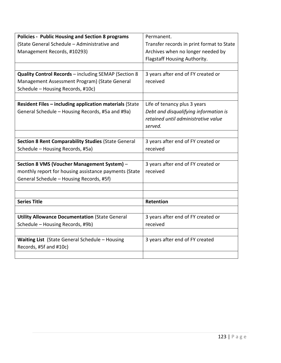| <b>Policies - Public Housing and Section 8 programs</b> | Permanent.                                |
|---------------------------------------------------------|-------------------------------------------|
| (State General Schedule - Administrative and            | Transfer records in print format to State |
| Management Records, #10293)                             | Archives when no longer needed by         |
|                                                         | Flagstaff Housing Authority.              |
|                                                         |                                           |
| Quality Control Records - including SEMAP (Section 8    | 3 years after end of FY created or        |
| Management Assessment Program) (State General           | received                                  |
| Schedule - Housing Records, #10c)                       |                                           |
|                                                         |                                           |
| Resident Files - including application materials (State | Life of tenancy plus 3 years              |
| General Schedule - Housing Records, #5a and #9a)        | Debt and disqualifying information is     |
|                                                         | retained until administrative value       |
|                                                         | served.                                   |
|                                                         |                                           |
| Section 8 Rent Comparability Studies (State General     | 3 years after end of FY created or        |
| Schedule - Housing Records, #5a)                        | received                                  |
|                                                         |                                           |
| Section 8 VMS (Voucher Management System) -             | 3 years after end of FY created or        |
| monthly report for housing assistance payments (State   | received                                  |
| General Schedule - Housing Records, #5f)                |                                           |
|                                                         |                                           |
|                                                         |                                           |
| <b>Series Title</b>                                     | Retention                                 |
|                                                         |                                           |
| <b>Utility Allowance Documentation (State General</b>   | 3 years after end of FY created or        |
| Schedule - Housing Records, #9b)                        | received                                  |
|                                                         |                                           |
| Waiting List (State General Schedule - Housing          | 3 years after end of FY created           |
| Records, #5f and #10c)                                  |                                           |
|                                                         |                                           |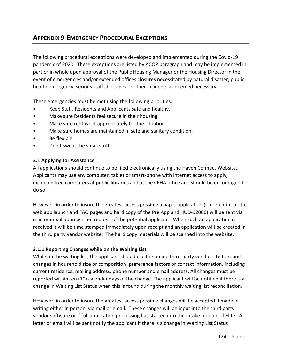# **APPENDIX 9-EMERGENCY PROCEDURAL EXCEPTIONS**

The following procedural exceptions were developed and implemented during the Covid-19 pandemic of 2020. These exceptions are listed by ACOP paragraph and may be implemented in part or in whole upon approval of the Public Housing Manager or the Housing Director in the event of emergencies and/or extended offices closures necessitated by natural disaster, public health emergency, serious staff shortages or other incidents as deemed necessary.

These emergencies must be met using the following priorities:

- Keep Staff, Residents and Applicants safe and healthy.
- Make sure Residents feel secure in their housing.
- Make sure rent is set appropriately for the situation.
- Make sure homes are maintained in safe and sanitary condition.
- Be flexible.
- Don't sweat the small stuff.

#### **3.1 Applying for Assistance**

All applications should continue to be filed electronically using the Haven Connect Website. Applicants may use any computer, tablet or smart-phone with internet access to apply, including free computers at public libraries and at the CFHA office and should be encouraged to do so.

However, in order to insure the greatest access possible a paper application (screen print of the web app launch and FAQ pages and hard copy of the Pre App and HUD-92006) will be sent via mail or email upon written request of the potential applicant. When such an application is received it will be time stamped immediately upon receipt and an application will be created in the third party vendor website. The hard copy materials will be scanned into the website.

#### **3.1.1 Reporting Changes while on the Waiting List**

While on the waiting list, the applicant should use the online third-party vendor site to report changes in household size or composition, preference factors or contact information, including current residence, mailing address, phone number and email address. All changes must be reported within ten (10) calendar days of the change. The applicant will be notified if there is a change in Waiting List Status when this is found during the monthly waiting list reconciliation.

However, in order to insure the greatest access possible changes will be accepted if made in writing either in person, via mail or email. These changes will be input into the third party vendor software or if full application processing has started into the Intake module of Elite. A letter or email will be sent notify the applicant if there is a change in Waiting List Status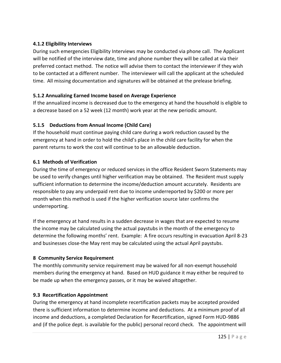# **4.1.2 Eligibility Interviews**

During such emergencies Eligibility Interviews may be conducted via phone call. The Applicant will be notified of the interview date, time and phone number they will be called at via their preferred contact method. The notice will advise them to contact the interviewer if they wish to be contacted at a different number. The interviewer will call the applicant at the scheduled time. All missing documentation and signatures will be obtained at the prelease briefing.

# **5.1.2 Annualizing Earned Income based on Average Experience**

If the annualized income is decreased due to the emergency at hand the household is eligible to a decrease based on a 52 week (12 month) work year at the new periodic amount.

# **5.1.5 Deductions from Annual Income (Child Care)**

If the household must continue paying child care during a work reduction caused by the emergency at hand in order to hold the child's place in the child care facility for when the parent returns to work the cost will continue to be an allowable deduction.

# **6.1 Methods of Verification**

During the time of emergency or reduced services in the office Resident Sworn Statements may be used to verify changes until higher verification may be obtained. The Resident must supply sufficient information to determine the income/deduction amount accurately. Residents are responsible to pay any underpaid rent due to income underreported by \$200 or more per month when this method is used if the higher verification source later confirms the underreporting.

If the emergency at hand results in a sudden decrease in wages that are expected to resume the income may be calculated using the actual paystubs in the month of the emergency to determine the following months' rent. Example: A fire occurs resulting in evacuation April 8-23 and businesses close-the May rent may be calculated using the actual April paystubs.

## **8 Community Service Requirement**

The monthly community service requirement may be waived for all non-exempt household members during the emergency at hand. Based on HUD guidance it may either be required to be made up when the emergency passes, or it may be waived altogether.

## **9.3 Recertification Appointment**

During the emergency at hand incomplete recertification packets may be accepted provided there is sufficient information to determine income and deductions. At a minimum proof of all income and deductions, a completed Declaration for Recertification, signed Form HUD-9886 and (if the police dept. is available for the public) personal record check. The appointment will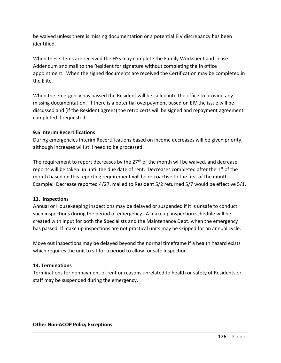be waived unless there is missing documentation or a potential EIV discrepancy has been identified.

When these items are received the HSS may complete the Family Worksheet and Lease Addendum and mail to the Resident for signature without completing the in office appointment. When the signed documents are received the Certification may be completed in the Elite.

When the emergency has passed the Resident will be called into the office to provide any missing documentation. If there is a potential overpayment based on EIV the issue will be discussed and (if the Resident agrees) the retro certs will be signed and repayment agreement completed if requested.

## **9.6 Interim Recertifications**

During emergencies Interim Recertifications based on income decreases will be given priority, although increases will still need to be processed.

The requirement to report decreases by the  $27<sup>th</sup>$  of the month will be waived, and decrease reports will be taken up until the due date of rent. Decreases completed after the 1<sup>st</sup> of the month based on this reporting requirement will be retroactive to the first of the month. Example: Decrease reported 4/27, mailed to Resident 5/2 returned 5/7 would be effective 5/1.

## **11. Inspections**

Annual or Housekeeping Inspections may be delayed or suspended if it is unsafe to conduct such inspections during the period of emergency. A make up inspection schedule will be created with input for both the Specialists and the Maintenance Dept. when the emergency has passed. If make up inspections are not practical units may be skipped for an annual cycle.

Move out inspections may be delayed beyond the normal timeframe if a health hazard exists which requires the unit to sit for a period to allow for safe inspection.

# **14. Terminations**

Terminations for nonpayment of rent or reasons unrelated to health or safety of Residents or staff may be suspended during the emergency.

#### **Other Non-ACOP Policy Exceptions**